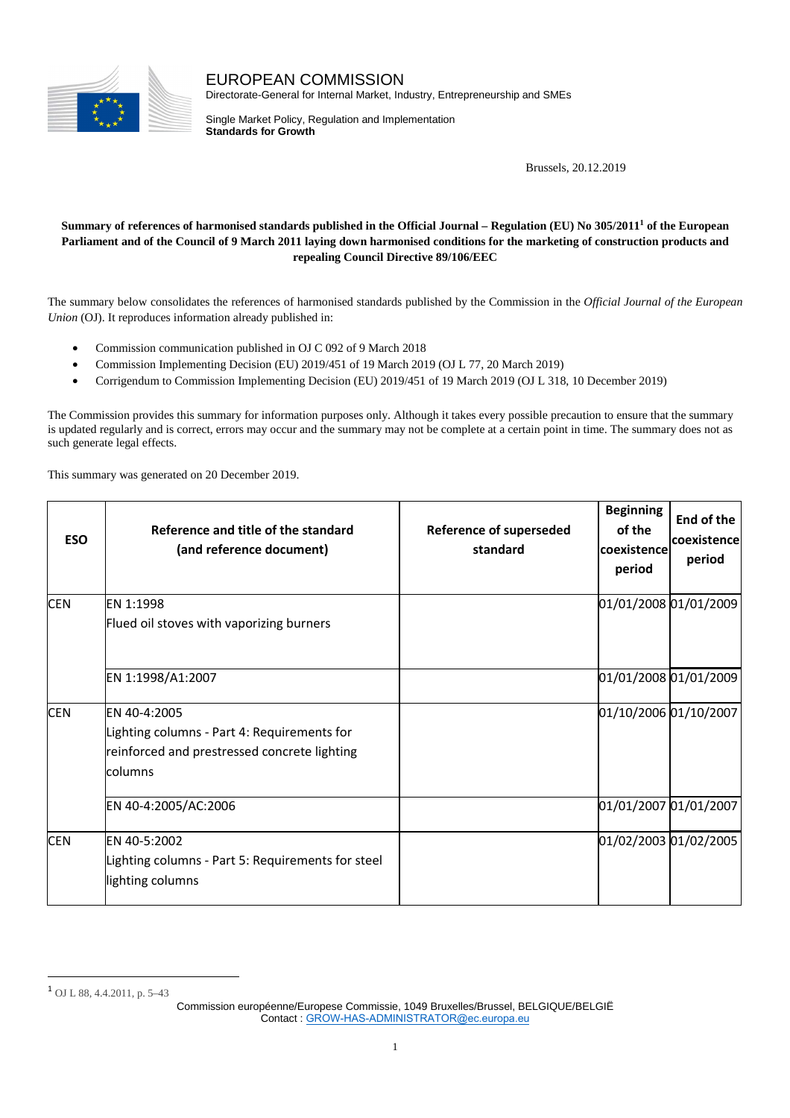

EUROPEAN COMMISSION

Directorate-General for Internal Market, Industry, Entrepreneurship and SMEs

Single Market Policy, Regulation and Implementation **Standards for Growth**

Brussels, 20.12.2019

## **Summary of references of harmonised standards published in the Official Journal – Regulation (EU) No 305/20111 of the European Parliament and of the Council of 9 March 2011 laying down harmonised conditions for the marketing of construction products and repealing Council Directive 89/106/EEC**

The summary below consolidates the references of harmonised standards published by the Commission in the *Official Journal of the European Union* (OJ). It reproduces information already published in:

- Commission communication published in OJ C 092 of 9 March 2018
- Commission Implementing Decision (EU) 2019/451 of 19 March 2019 (OJ L 77, 20 March 2019)
- Corrigendum to Commission Implementing Decision (EU) 2019/451 of 19 March 2019 (OJ L 318, 10 December 2019)

The Commission provides this summary for information purposes only. Although it takes every possible precaution to ensure that the summary is updated regularly and is correct, errors may occur and the summary may not be complete at a certain point in time. The summary does not as such generate legal effects.

This summary was generated on 20 December 2019.

| <b>ESO</b> | Reference and title of the standard<br>(and reference document)                                                        | <b>Reference of superseded</b><br>standard | <b>Beginning</b><br>of the<br> coexistence <br>period | End of the<br> coexistence <br>period |
|------------|------------------------------------------------------------------------------------------------------------------------|--------------------------------------------|-------------------------------------------------------|---------------------------------------|
| <b>CEN</b> | EN 1:1998<br>Flued oil stoves with vaporizing burners                                                                  |                                            | 01/01/2008 01/01/2009                                 |                                       |
|            | EN 1:1998/A1:2007                                                                                                      |                                            | 01/01/2008 01/01/2009                                 |                                       |
| <b>CEN</b> | EN 40-4:2005<br>Lighting columns - Part 4: Requirements for<br>reinforced and prestressed concrete lighting<br>columns |                                            | 01/10/2006 01/10/2007                                 |                                       |
|            | EN 40-4:2005/AC:2006                                                                                                   |                                            | 01/01/2007 01/01/2007                                 |                                       |
| <b>CEN</b> | EN 40-5:2002<br>Lighting columns - Part 5: Requirements for steel<br>lighting columns                                  |                                            | 01/02/2003 01/02/2005                                 |                                       |

<sup>1</sup> OJ L 88, 4.4.2011, p. 5–43

Commission européenne/Europese Commissie, 1049 Bruxelles/Brussel, BELGIQUE/BELGIË Contact : GROW-HAS-ADMINISTRATOR@ec.europa.eu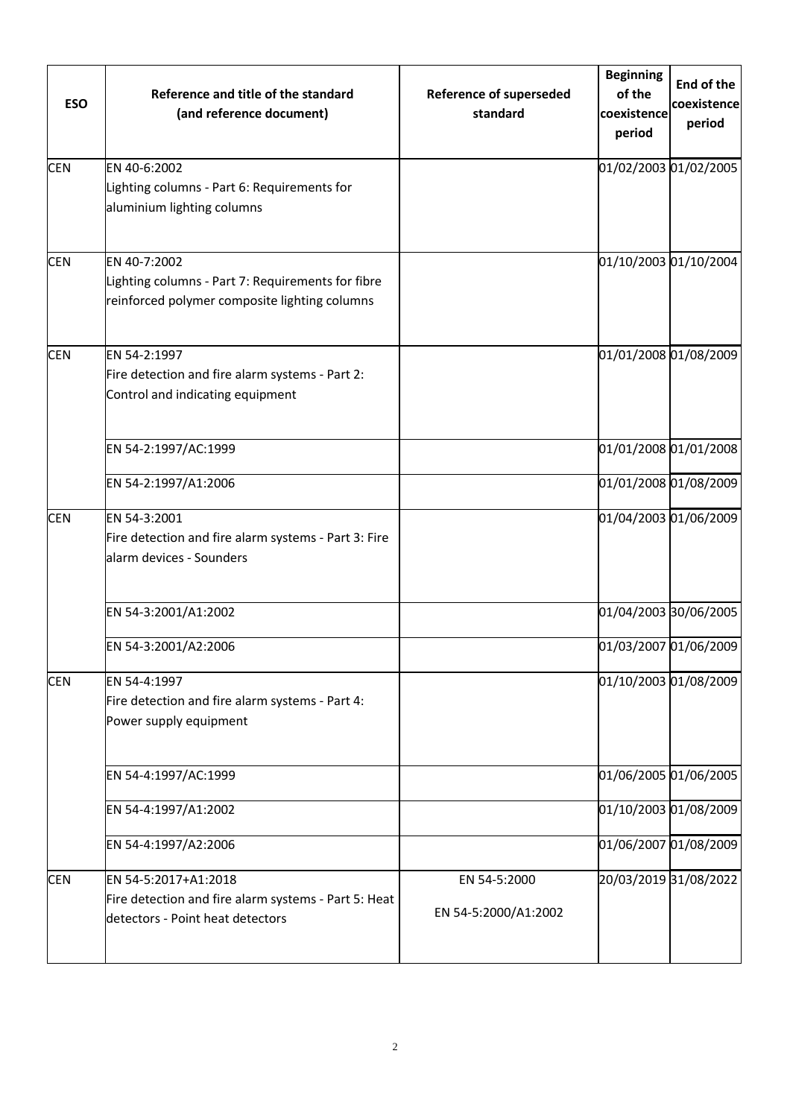| <b>ESO</b> | Reference and title of the standard<br>(and reference document)                                                    | <b>Reference of superseded</b><br>standard | <b>Beginning</b><br>of the<br>coexistence<br>period | End of the<br>coexistence<br>period |
|------------|--------------------------------------------------------------------------------------------------------------------|--------------------------------------------|-----------------------------------------------------|-------------------------------------|
| <b>CEN</b> | EN 40-6:2002<br>Lighting columns - Part 6: Requirements for<br>aluminium lighting columns                          |                                            | 01/02/2003 01/02/2005                               |                                     |
| <b>CEN</b> | EN 40-7:2002<br>Lighting columns - Part 7: Requirements for fibre<br>reinforced polymer composite lighting columns |                                            | 01/10/2003 01/10/2004                               |                                     |
| <b>CEN</b> | EN 54-2:1997<br>Fire detection and fire alarm systems - Part 2:<br>Control and indicating equipment                |                                            | 01/01/2008 01/08/2009                               |                                     |
|            | EN 54-2:1997/AC:1999                                                                                               |                                            | 01/01/2008 01/01/2008                               |                                     |
|            | EN 54-2:1997/A1:2006                                                                                               |                                            | 01/01/2008 01/08/2009                               |                                     |
| <b>CEN</b> | EN 54-3:2001<br>Fire detection and fire alarm systems - Part 3: Fire<br>alarm devices - Sounders                   |                                            | 01/04/2003 01/06/2009                               |                                     |
|            | EN 54-3:2001/A1:2002                                                                                               |                                            | 01/04/2003 30/06/2005                               |                                     |
|            | EN 54-3:2001/A2:2006                                                                                               |                                            | 01/03/2007 01/06/2009                               |                                     |
| <b>CEN</b> | EN 54-4:1997<br>Fire detection and fire alarm systems - Part 4:<br>Power supply equipment                          |                                            | 01/10/2003 01/08/2009                               |                                     |
|            | EN 54-4:1997/AC:1999                                                                                               |                                            | 01/06/2005 01/06/2005                               |                                     |
|            | EN 54-4:1997/A1:2002                                                                                               |                                            | 01/10/2003 01/08/2009                               |                                     |
|            | EN 54-4:1997/A2:2006                                                                                               |                                            | 01/06/2007 01/08/2009                               |                                     |
| <b>CEN</b> | EN 54-5:2017+A1:2018<br>Fire detection and fire alarm systems - Part 5: Heat<br>detectors - Point heat detectors   | EN 54-5:2000<br>EN 54-5:2000/A1:2002       | 20/03/2019 31/08/2022                               |                                     |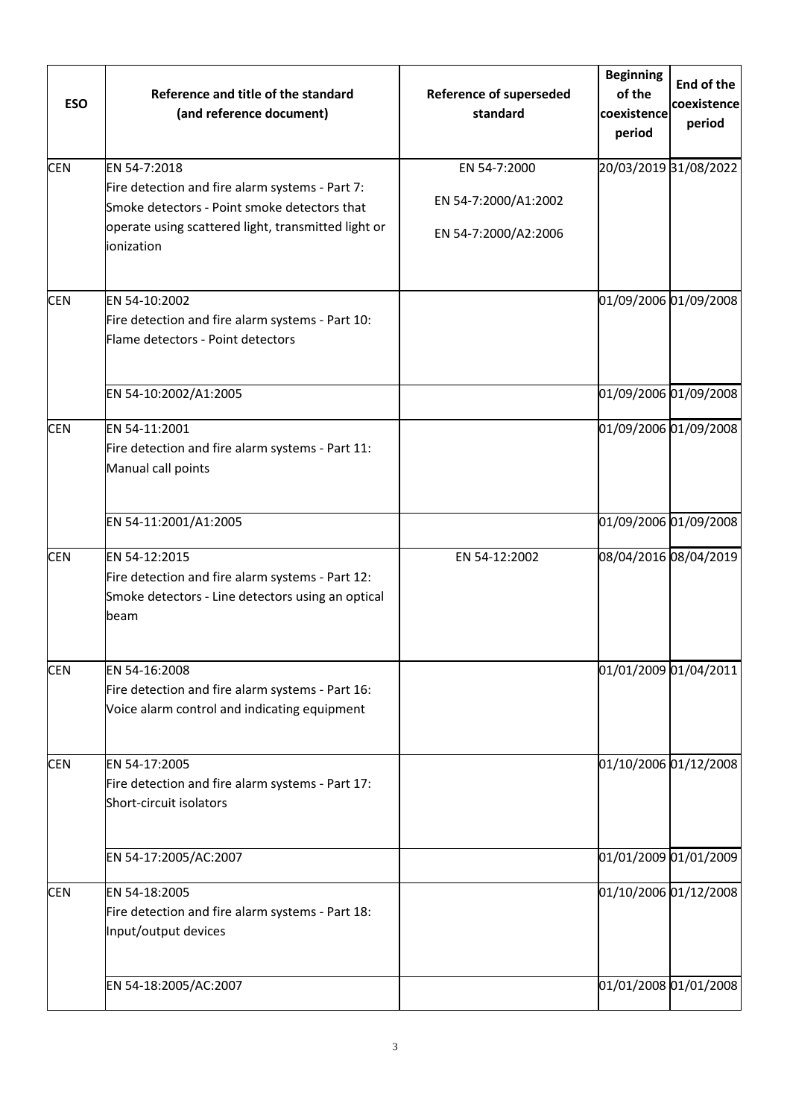| <b>ESO</b> | Reference and title of the standard<br>(and reference document)                                                                                                                      | <b>Reference of superseded</b><br>standard                   | <b>Beginning</b><br>of the<br>coexistence<br>period | End of the<br>coexistence<br>period |
|------------|--------------------------------------------------------------------------------------------------------------------------------------------------------------------------------------|--------------------------------------------------------------|-----------------------------------------------------|-------------------------------------|
| <b>CEN</b> | EN 54-7:2018<br>Fire detection and fire alarm systems - Part 7:<br>Smoke detectors - Point smoke detectors that<br>operate using scattered light, transmitted light or<br>ionization | EN 54-7:2000<br>EN 54-7:2000/A1:2002<br>EN 54-7:2000/A2:2006 | 20/03/2019 31/08/2022                               |                                     |
| <b>CEN</b> | EN 54-10:2002<br>Fire detection and fire alarm systems - Part 10:<br>Flame detectors - Point detectors                                                                               |                                                              | 01/09/2006 01/09/2008                               |                                     |
|            | EN 54-10:2002/A1:2005<br>EN 54-11:2001                                                                                                                                               |                                                              | 01/09/2006 01/09/2008                               | 01/09/2006 01/09/2008               |
| <b>CEN</b> | Fire detection and fire alarm systems - Part 11:<br>Manual call points                                                                                                               |                                                              |                                                     |                                     |
|            | EN 54-11:2001/A1:2005                                                                                                                                                                |                                                              | 01/09/2006 01/09/2008                               |                                     |
| <b>CEN</b> | EN 54-12:2015<br>Fire detection and fire alarm systems - Part 12:<br>Smoke detectors - Line detectors using an optical<br>beam                                                       | EN 54-12:2002                                                | 08/04/2016 08/04/2019                               |                                     |
| <b>CEN</b> | EN 54-16:2008<br>Fire detection and fire alarm systems - Part 16:<br>Voice alarm control and indicating equipment                                                                    |                                                              |                                                     | 01/01/2009 01/04/2011               |
| <b>CEN</b> | EN 54-17:2005<br>Fire detection and fire alarm systems - Part 17:<br>Short-circuit isolators                                                                                         |                                                              | 01/10/2006 01/12/2008                               |                                     |
|            | EN 54-17:2005/AC:2007                                                                                                                                                                |                                                              | 01/01/2009 01/01/2009                               |                                     |
| <b>CEN</b> | EN 54-18:2005<br>Fire detection and fire alarm systems - Part 18:<br>Input/output devices                                                                                            |                                                              |                                                     | 01/10/2006 01/12/2008               |
|            | EN 54-18:2005/AC:2007                                                                                                                                                                |                                                              |                                                     | 01/01/2008 01/01/2008               |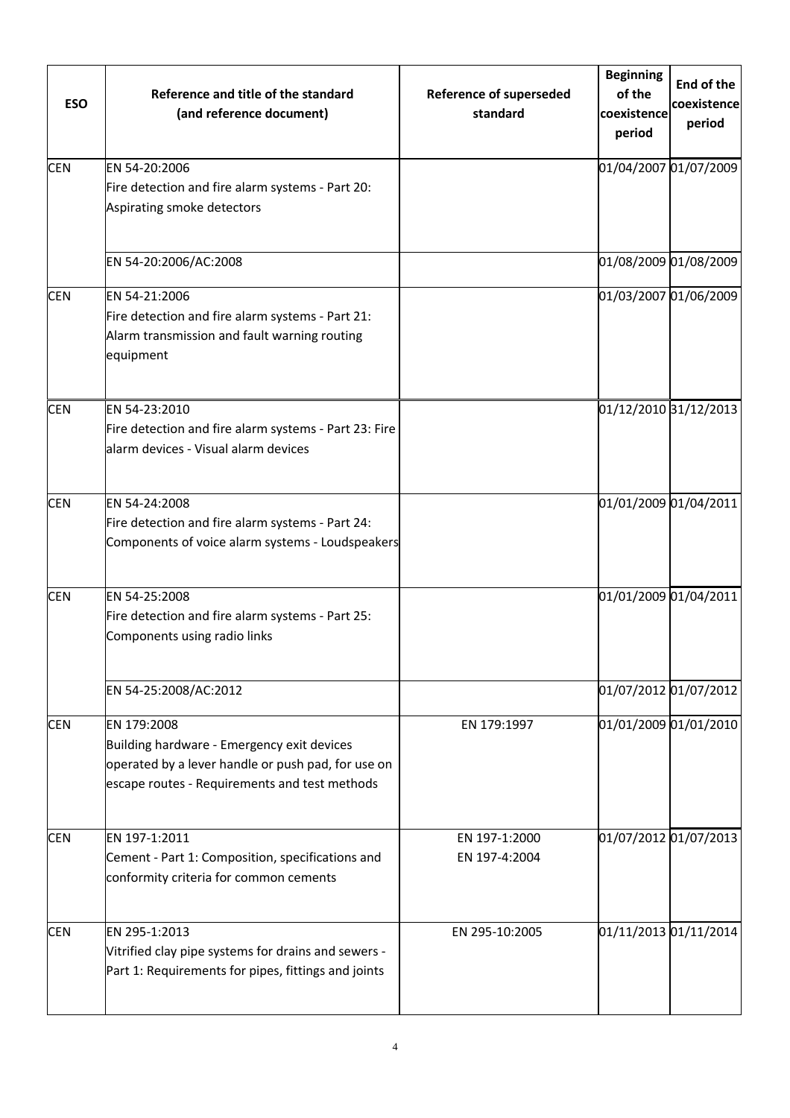| <b>ESO</b> | Reference and title of the standard<br>(and reference document)                                                                                                  | <b>Reference of superseded</b><br>standard | <b>Beginning</b><br>of the<br>coexistence<br>period | End of the<br>coexistence<br>period |
|------------|------------------------------------------------------------------------------------------------------------------------------------------------------------------|--------------------------------------------|-----------------------------------------------------|-------------------------------------|
| <b>CEN</b> | EN 54-20:2006<br>Fire detection and fire alarm systems - Part 20:<br>Aspirating smoke detectors                                                                  |                                            |                                                     | 01/04/2007 01/07/2009               |
|            | EN 54-20:2006/AC:2008                                                                                                                                            |                                            |                                                     | 01/08/2009 01/08/2009               |
| <b>CEN</b> | EN 54-21:2006<br>Fire detection and fire alarm systems - Part 21:<br>Alarm transmission and fault warning routing<br>equipment                                   |                                            |                                                     | 01/03/2007 01/06/2009               |
| <b>CEN</b> | EN 54-23:2010<br>Fire detection and fire alarm systems - Part 23: Fire<br>alarm devices - Visual alarm devices                                                   |                                            |                                                     | 01/12/2010 31/12/2013               |
| <b>CEN</b> | EN 54-24:2008<br>Fire detection and fire alarm systems - Part 24:<br>Components of voice alarm systems - Loudspeakers                                            |                                            |                                                     | 01/01/2009 01/04/2011               |
| <b>CEN</b> | EN 54-25:2008<br>Fire detection and fire alarm systems - Part 25:<br>Components using radio links                                                                |                                            |                                                     | 01/01/2009 01/04/2011               |
|            | EN 54-25:2008/AC:2012                                                                                                                                            |                                            |                                                     | 01/07/2012 01/07/2012               |
| <b>CEN</b> | EN 179:2008<br>Building hardware - Emergency exit devices<br>operated by a lever handle or push pad, for use on<br>escape routes - Requirements and test methods | EN 179:1997                                |                                                     | 01/01/2009 01/01/2010               |
| <b>CEN</b> | EN 197-1:2011<br>Cement - Part 1: Composition, specifications and<br>conformity criteria for common cements                                                      | EN 197-1:2000<br>EN 197-4:2004             | 01/07/2012 01/07/2013                               |                                     |
| <b>CEN</b> | EN 295-1:2013<br>Vitrified clay pipe systems for drains and sewers -<br>Part 1: Requirements for pipes, fittings and joints                                      | EN 295-10:2005                             |                                                     | 01/11/2013 01/11/2014               |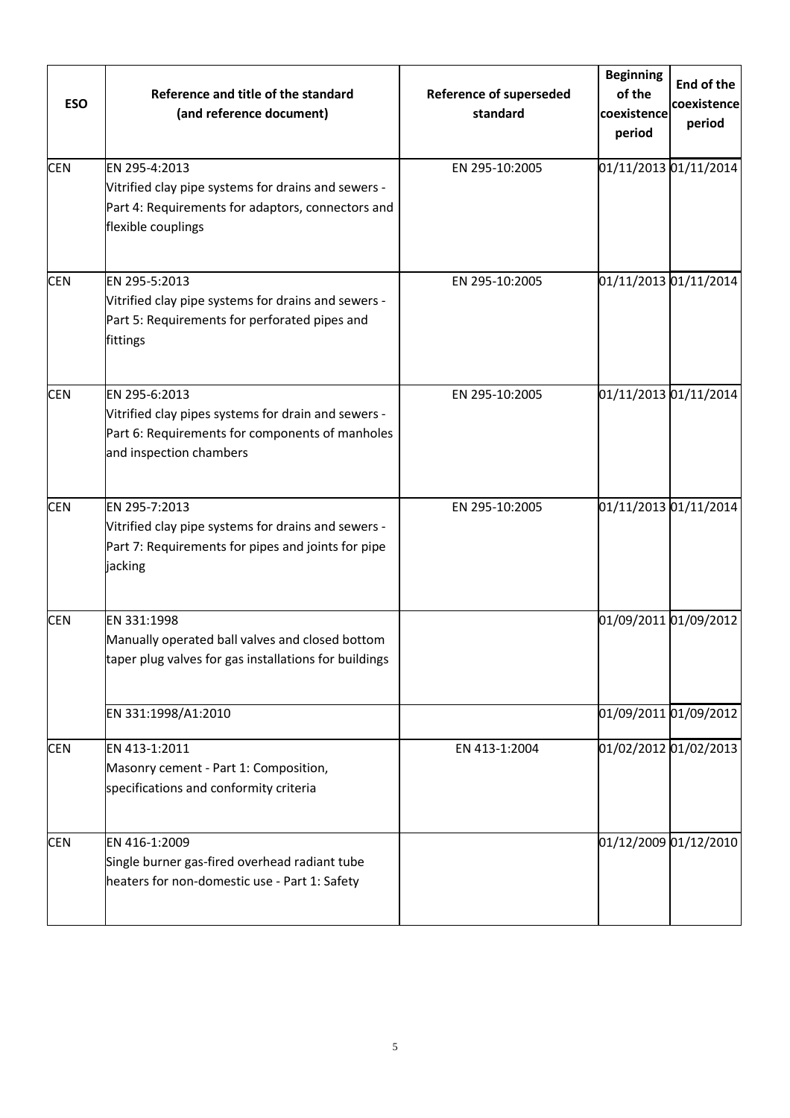| <b>ESO</b> | Reference and title of the standard<br>(and reference document)                                                                                    | <b>Reference of superseded</b><br>standard | <b>Beginning</b><br>of the<br>coexistence<br>period | End of the<br>coexistence<br>period |
|------------|----------------------------------------------------------------------------------------------------------------------------------------------------|--------------------------------------------|-----------------------------------------------------|-------------------------------------|
| <b>CEN</b> | EN 295-4:2013<br>Vitrified clay pipe systems for drains and sewers -<br>Part 4: Requirements for adaptors, connectors and<br>flexible couplings    | EN 295-10:2005                             |                                                     | 01/11/2013 01/11/2014               |
| <b>CEN</b> | EN 295-5:2013<br>Vitrified clay pipe systems for drains and sewers -<br>Part 5: Requirements for perforated pipes and<br>fittings                  | EN 295-10:2005                             |                                                     | 01/11/2013 01/11/2014               |
| <b>CEN</b> | EN 295-6:2013<br>Vitrified clay pipes systems for drain and sewers -<br>Part 6: Requirements for components of manholes<br>and inspection chambers | EN 295-10:2005                             |                                                     | 01/11/2013 01/11/2014               |
| <b>CEN</b> | EN 295-7:2013<br>Vitrified clay pipe systems for drains and sewers -<br>Part 7: Requirements for pipes and joints for pipe<br>jacking              | EN 295-10:2005                             |                                                     | 01/11/2013 01/11/2014               |
| <b>CEN</b> | EN 331:1998<br>Manually operated ball valves and closed bottom<br>taper plug valves for gas installations for buildings                            |                                            |                                                     | 01/09/2011 01/09/2012               |
|            | EN 331:1998/A1:2010                                                                                                                                |                                            |                                                     | 01/09/2011 01/09/2012               |
| <b>CEN</b> | EN 413-1:2011<br>Masonry cement - Part 1: Composition,<br>specifications and conformity criteria                                                   | EN 413-1:2004                              |                                                     | 01/02/2012 01/02/2013               |
| <b>CEN</b> | EN 416-1:2009<br>Single burner gas-fired overhead radiant tube<br>heaters for non-domestic use - Part 1: Safety                                    |                                            |                                                     | 01/12/2009 01/12/2010               |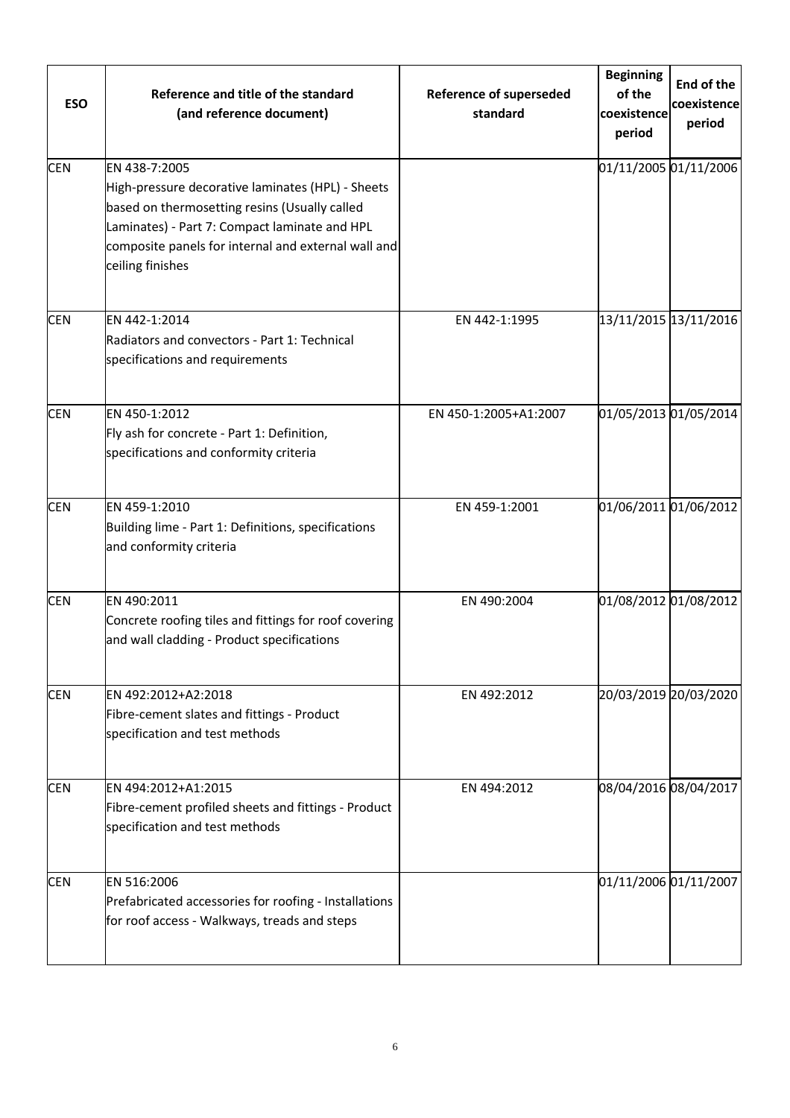| <b>ESO</b> | Reference and title of the standard<br>(and reference document)                                                                                                                                                                                 | <b>Reference of superseded</b><br>standard | <b>Beginning</b><br>of the<br>coexistence<br>period | End of the<br>coexistence<br>period |
|------------|-------------------------------------------------------------------------------------------------------------------------------------------------------------------------------------------------------------------------------------------------|--------------------------------------------|-----------------------------------------------------|-------------------------------------|
| <b>CEN</b> | EN 438-7:2005<br>High-pressure decorative laminates (HPL) - Sheets<br>based on thermosetting resins (Usually called<br>Laminates) - Part 7: Compact laminate and HPL<br>composite panels for internal and external wall and<br>ceiling finishes |                                            | 01/11/2005 01/11/2006                               |                                     |
| <b>CEN</b> | EN 442-1:2014<br>Radiators and convectors - Part 1: Technical<br>specifications and requirements                                                                                                                                                | EN 442-1:1995                              |                                                     | 13/11/2015 13/11/2016               |
| <b>CEN</b> | EN 450-1:2012<br>Fly ash for concrete - Part 1: Definition,<br>specifications and conformity criteria                                                                                                                                           | EN 450-1:2005+A1:2007                      | 01/05/2013 01/05/2014                               |                                     |
| <b>CEN</b> | EN 459-1:2010<br>Building lime - Part 1: Definitions, specifications<br>and conformity criteria                                                                                                                                                 | EN 459-1:2001                              | 01/06/2011 01/06/2012                               |                                     |
| <b>CEN</b> | EN 490:2011<br>Concrete roofing tiles and fittings for roof covering<br>and wall cladding - Product specifications                                                                                                                              | EN 490:2004                                | 01/08/2012 01/08/2012                               |                                     |
| <b>CEN</b> | EN 492:2012+A2:2018<br>Fibre-cement slates and fittings - Product<br>specification and test methods                                                                                                                                             | EN 492:2012                                |                                                     | 20/03/2019 20/03/2020               |
| <b>CEN</b> | EN 494:2012+A1:2015<br>Fibre-cement profiled sheets and fittings - Product<br>specification and test methods                                                                                                                                    | EN 494:2012                                | 08/04/2016 08/04/2017                               |                                     |
| <b>CEN</b> | EN 516:2006<br>Prefabricated accessories for roofing - Installations<br>for roof access - Walkways, treads and steps                                                                                                                            |                                            | 01/11/2006 01/11/2007                               |                                     |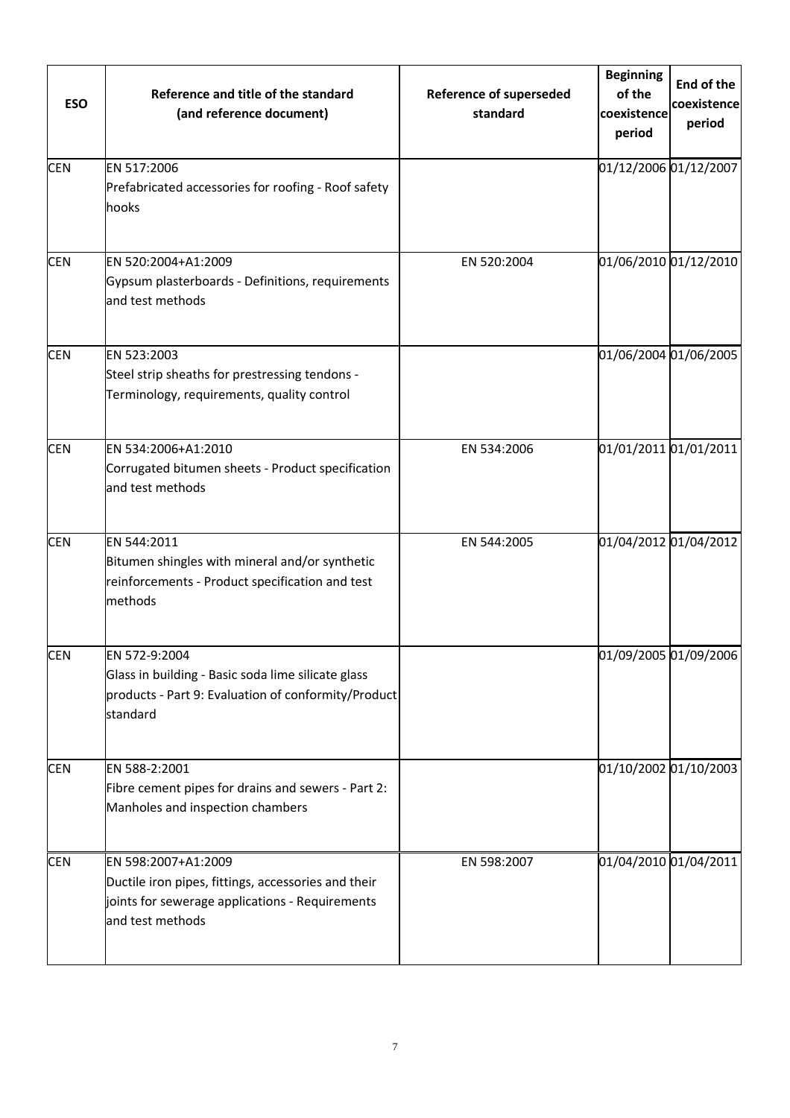| <b>ESO</b> | Reference and title of the standard<br>(and reference document)                                                                                   | <b>Reference of superseded</b><br>standard | <b>Beginning</b><br>of the<br>coexistence<br>period | End of the<br>coexistence<br>period |
|------------|---------------------------------------------------------------------------------------------------------------------------------------------------|--------------------------------------------|-----------------------------------------------------|-------------------------------------|
| <b>CEN</b> | EN 517:2006<br>Prefabricated accessories for roofing - Roof safety<br>hooks                                                                       |                                            |                                                     | 01/12/2006 01/12/2007               |
| <b>CEN</b> | EN 520:2004+A1:2009<br>Gypsum plasterboards - Definitions, requirements<br>and test methods                                                       | EN 520:2004                                |                                                     | 01/06/2010 01/12/2010               |
| <b>CEN</b> | EN 523:2003<br>Steel strip sheaths for prestressing tendons -<br>Terminology, requirements, quality control                                       |                                            |                                                     | 01/06/2004 01/06/2005               |
| <b>CEN</b> | EN 534:2006+A1:2010<br>Corrugated bitumen sheets - Product specification<br>and test methods                                                      | EN 534:2006                                | 01/01/2011 01/01/2011                               |                                     |
| <b>CEN</b> | EN 544:2011<br>Bitumen shingles with mineral and/or synthetic<br>reinforcements - Product specification and test<br>methods                       | EN 544:2005                                |                                                     | 01/04/2012 01/04/2012               |
| <b>CEN</b> | IFN 572-9:2004<br>Glass in building - Basic soda lime silicate glass<br>products - Part 9: Evaluation of conformity/Product<br>standard           |                                            |                                                     | 01/09/2005 01/09/2006               |
| <b>CEN</b> | EN 588-2:2001<br>Fibre cement pipes for drains and sewers - Part 2:<br>Manholes and inspection chambers                                           |                                            |                                                     | 01/10/2002 01/10/2003               |
| <b>CEN</b> | EN 598:2007+A1:2009<br>Ductile iron pipes, fittings, accessories and their<br>joints for sewerage applications - Requirements<br>and test methods | EN 598:2007                                |                                                     | 01/04/2010 01/04/2011               |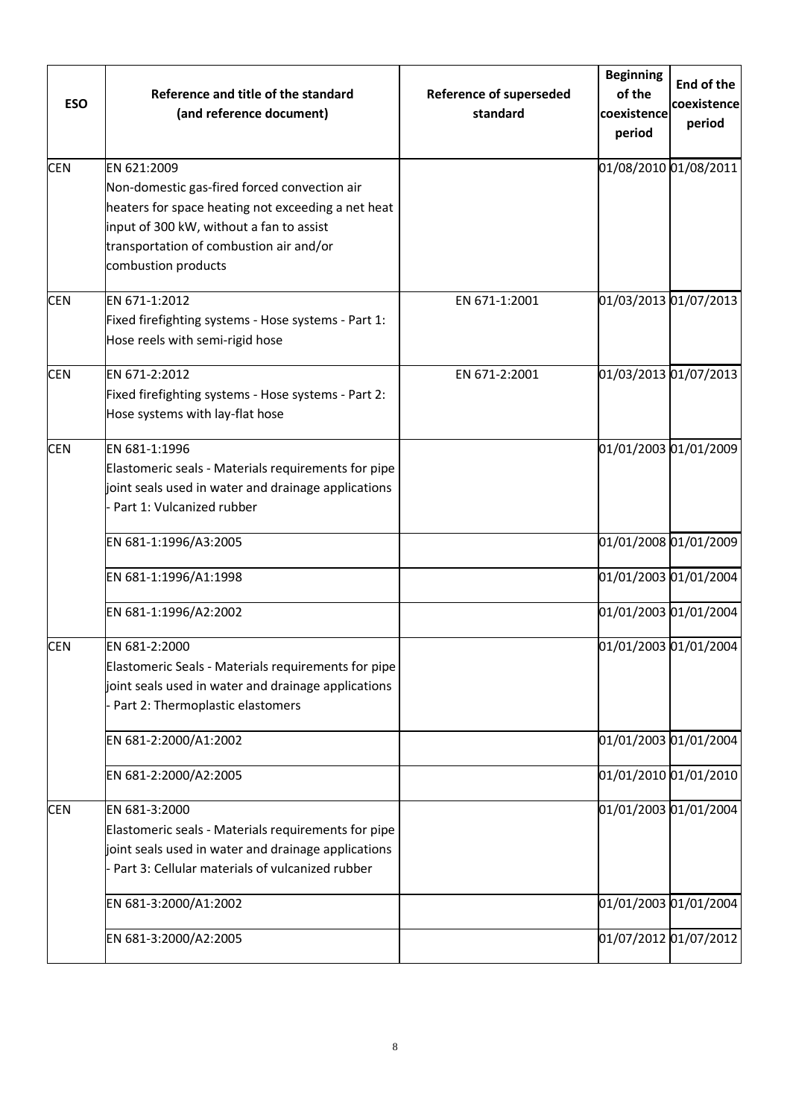| <b>ESO</b> | Reference and title of the standard<br>(and reference document)                                                                                                                                                                 | <b>Reference of superseded</b><br>standard | <b>Beginning</b><br>of the<br>coexistence<br>period | End of the<br>coexistence<br>period |
|------------|---------------------------------------------------------------------------------------------------------------------------------------------------------------------------------------------------------------------------------|--------------------------------------------|-----------------------------------------------------|-------------------------------------|
| <b>CEN</b> | EN 621:2009<br>Non-domestic gas-fired forced convection air<br>heaters for space heating not exceeding a net heat<br>input of 300 kW, without a fan to assist<br>transportation of combustion air and/or<br>combustion products |                                            |                                                     | 01/08/2010 01/08/2011               |
| <b>CEN</b> | EN 671-1:2012<br>Fixed firefighting systems - Hose systems - Part 1:<br>Hose reels with semi-rigid hose                                                                                                                         | EN 671-1:2001                              |                                                     | 01/03/2013 01/07/2013               |
| <b>CEN</b> | EN 671-2:2012<br>Fixed firefighting systems - Hose systems - Part 2:<br>Hose systems with lay-flat hose                                                                                                                         | EN 671-2:2001                              |                                                     | 01/03/2013 01/07/2013               |
| <b>CEN</b> | EN 681-1:1996<br>Elastomeric seals - Materials requirements for pipe<br>joint seals used in water and drainage applications<br>Part 1: Vulcanized rubber                                                                        |                                            |                                                     | 01/01/2003 01/01/2009               |
|            | EN 681-1:1996/A3:2005                                                                                                                                                                                                           |                                            |                                                     | 01/01/2008 01/01/2009               |
|            | EN 681-1:1996/A1:1998                                                                                                                                                                                                           |                                            |                                                     | 01/01/2003 01/01/2004               |
|            | EN 681-1:1996/A2:2002                                                                                                                                                                                                           |                                            | 01/01/2003 01/01/2004                               |                                     |
| <b>CEN</b> | EN 681-2:2000<br>Elastomeric Seals - Materials requirements for pipe<br>joint seals used in water and drainage applications<br>Part 2: Thermoplastic elastomers                                                                 |                                            |                                                     | 01/01/2003 01/01/2004               |
|            | EN 681-2:2000/A1:2002                                                                                                                                                                                                           |                                            |                                                     | 01/01/2003 01/01/2004               |
|            | EN 681-2:2000/A2:2005                                                                                                                                                                                                           |                                            |                                                     | 01/01/2010 01/01/2010               |
| <b>CEN</b> | EN 681-3:2000<br>Elastomeric seals - Materials requirements for pipe<br>joint seals used in water and drainage applications<br>Part 3: Cellular materials of vulcanized rubber                                                  |                                            | 01/01/2003 01/01/2004                               |                                     |
|            | EN 681-3:2000/A1:2002                                                                                                                                                                                                           |                                            | 01/01/2003 01/01/2004                               |                                     |
|            | EN 681-3:2000/A2:2005                                                                                                                                                                                                           |                                            |                                                     | 01/07/2012 01/07/2012               |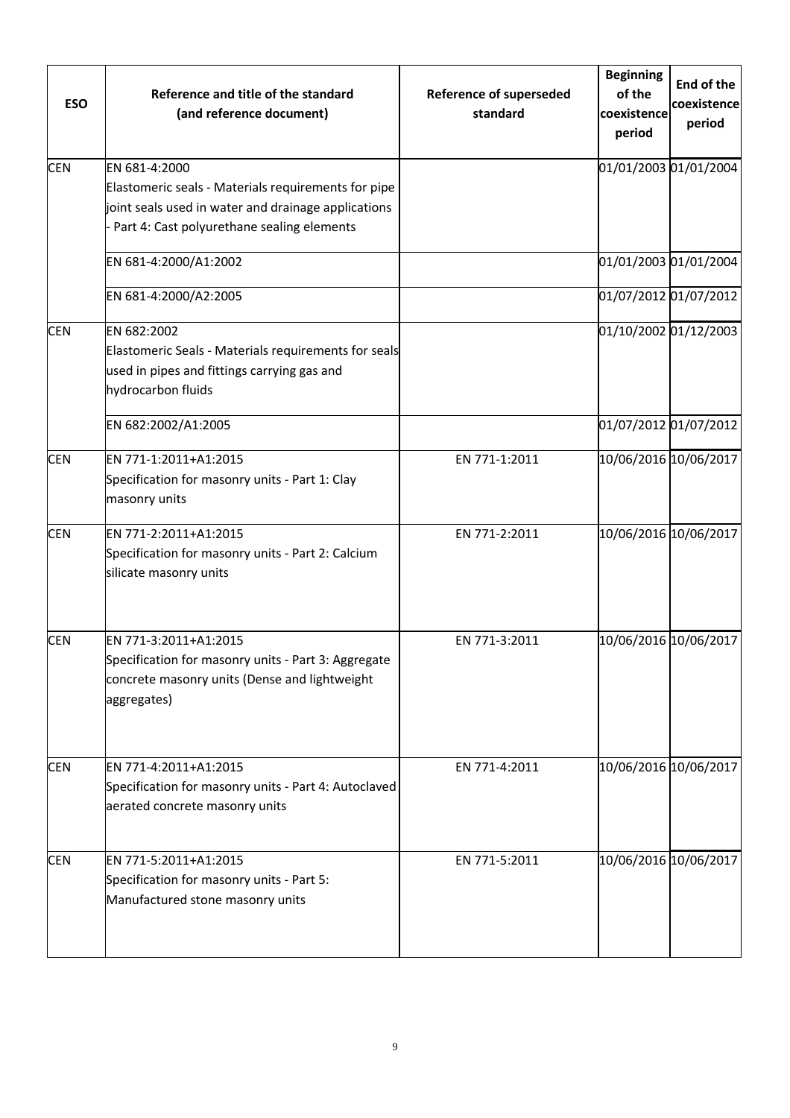| <b>ESO</b> | Reference and title of the standard<br>(and reference document)                                                                                                           | <b>Reference of superseded</b><br>standard | <b>Beginning</b><br>of the<br>coexistence<br>period | End of the<br>coexistence<br>period |
|------------|---------------------------------------------------------------------------------------------------------------------------------------------------------------------------|--------------------------------------------|-----------------------------------------------------|-------------------------------------|
| <b>CEN</b> | EN 681-4:2000<br>Elastomeric seals - Materials requirements for pipe<br>joint seals used in water and drainage applications<br>Part 4: Cast polyurethane sealing elements |                                            |                                                     | 01/01/2003 01/01/2004               |
|            | EN 681-4:2000/A1:2002<br>EN 681-4:2000/A2:2005                                                                                                                            |                                            | 01/01/2003 01/01/2004                               | 01/07/2012 01/07/2012               |
| <b>CEN</b> | EN 682:2002<br>Elastomeric Seals - Materials requirements for seals<br>used in pipes and fittings carrying gas and<br>hydrocarbon fluids                                  |                                            |                                                     | 01/10/2002 01/12/2003               |
|            | EN 682:2002/A1:2005                                                                                                                                                       |                                            |                                                     | 01/07/2012 01/07/2012               |
| <b>CEN</b> | EN 771-1:2011+A1:2015<br>Specification for masonry units - Part 1: Clay<br>masonry units                                                                                  | EN 771-1:2011                              |                                                     | 10/06/2016 10/06/2017               |
| <b>CEN</b> | EN 771-2:2011+A1:2015<br>Specification for masonry units - Part 2: Calcium<br>silicate masonry units                                                                      | EN 771-2:2011                              |                                                     | 10/06/2016 10/06/2017               |
| <b>CEN</b> | EN 771-3:2011+A1:2015<br>Specification for masonry units - Part 3: Aggregate<br>concrete masonry units (Dense and lightweight<br>aggregates)                              | EN 771-3:2011                              |                                                     | 10/06/2016 10/06/2017               |
| <b>CEN</b> | EN 771-4:2011+A1:2015<br>Specification for masonry units - Part 4: Autoclaved<br>aerated concrete masonry units                                                           | EN 771-4:2011                              |                                                     | 10/06/2016 10/06/2017               |
| <b>CEN</b> | EN 771-5:2011+A1:2015<br>Specification for masonry units - Part 5:<br>Manufactured stone masonry units                                                                    | EN 771-5:2011                              |                                                     | 10/06/2016 10/06/2017               |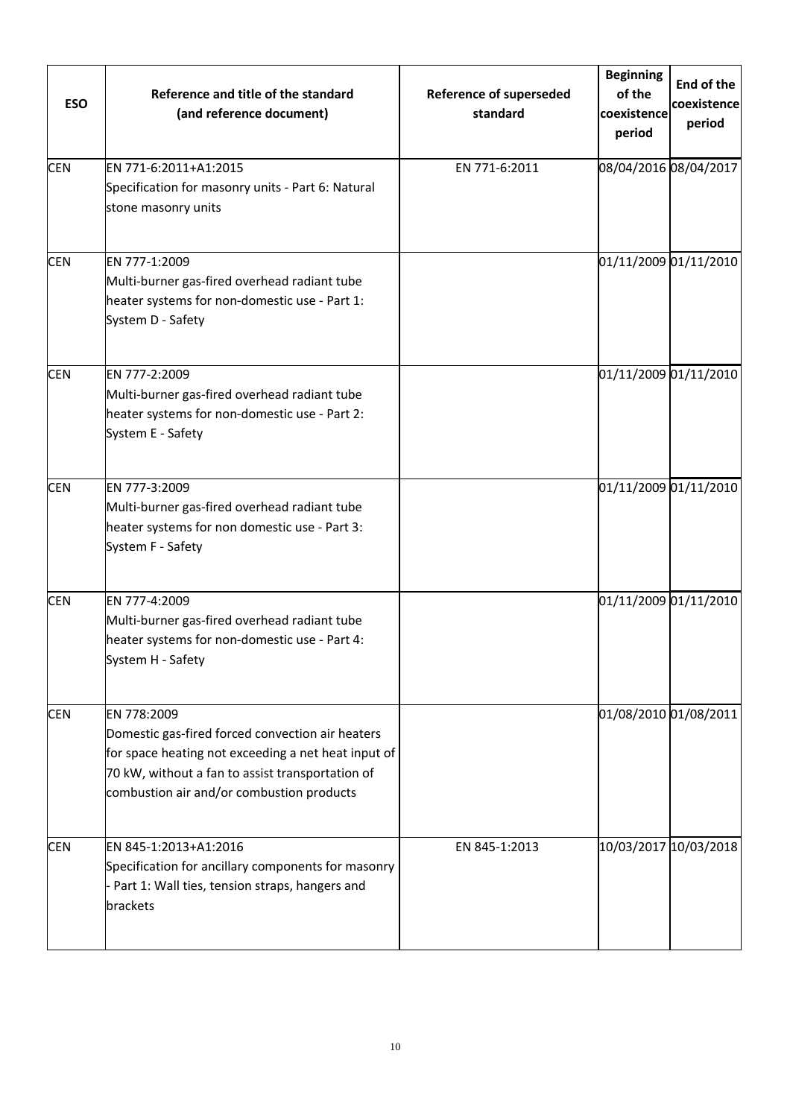| <b>ESO</b> | Reference and title of the standard<br>(and reference document)                                                                                                                                                         | <b>Reference of superseded</b><br>standard | <b>Beginning</b><br>of the<br>coexistence<br>period | End of the<br>coexistence<br>period |
|------------|-------------------------------------------------------------------------------------------------------------------------------------------------------------------------------------------------------------------------|--------------------------------------------|-----------------------------------------------------|-------------------------------------|
| <b>CEN</b> | EN 771-6:2011+A1:2015<br>Specification for masonry units - Part 6: Natural<br>stone masonry units                                                                                                                       | EN 771-6:2011                              |                                                     | 08/04/2016 08/04/2017               |
| <b>CEN</b> | EN 777-1:2009<br>Multi-burner gas-fired overhead radiant tube<br>heater systems for non-domestic use - Part 1:<br>System D - Safety                                                                                     |                                            |                                                     | 01/11/2009 01/11/2010               |
| <b>CEN</b> | EN 777-2:2009<br>Multi-burner gas-fired overhead radiant tube<br>heater systems for non-domestic use - Part 2:<br>System E - Safety                                                                                     |                                            |                                                     | 01/11/2009 01/11/2010               |
| <b>CEN</b> | EN 777-3:2009<br>Multi-burner gas-fired overhead radiant tube<br>heater systems for non domestic use - Part 3:<br>System F - Safety                                                                                     |                                            |                                                     | 01/11/2009 01/11/2010               |
| <b>CEN</b> | EN 777-4:2009<br>Multi-burner gas-fired overhead radiant tube<br>heater systems for non-domestic use - Part 4:<br>System H - Safety                                                                                     |                                            |                                                     | 01/11/2009 01/11/2010               |
| <b>CEN</b> | EN 778:2009<br>Domestic gas-fired forced convection air heaters<br>for space heating not exceeding a net heat input of<br>70 kW, without a fan to assist transportation of<br>combustion air and/or combustion products |                                            |                                                     | 01/08/2010 01/08/2011               |
| <b>CEN</b> | EN 845-1:2013+A1:2016<br>Specification for ancillary components for masonry<br>Part 1: Wall ties, tension straps, hangers and<br>brackets                                                                               | EN 845-1:2013                              |                                                     | 10/03/2017 10/03/2018               |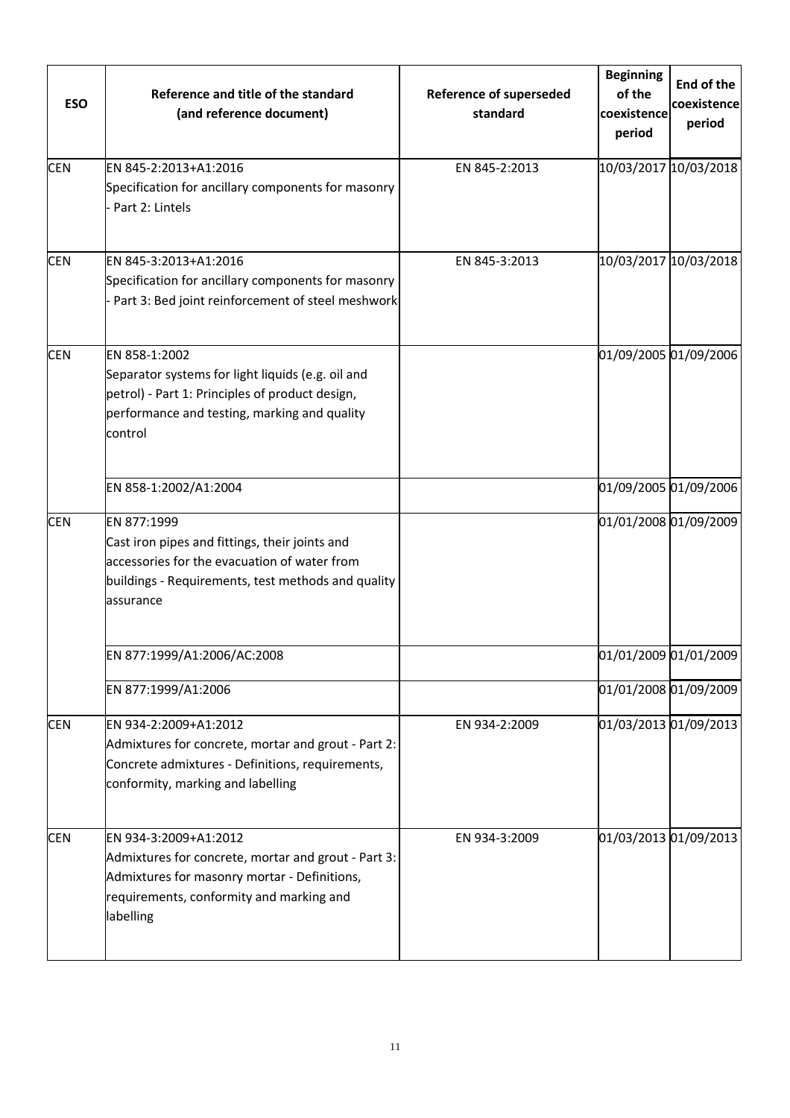| <b>ESO</b> | Reference and title of the standard<br>(and reference document)                                                                                                                       | <b>Reference of superseded</b><br>standard | <b>Beginning</b><br>of the<br>coexistence<br>period | End of the<br>coexistence<br>period |
|------------|---------------------------------------------------------------------------------------------------------------------------------------------------------------------------------------|--------------------------------------------|-----------------------------------------------------|-------------------------------------|
| <b>CEN</b> | EN 845-2:2013+A1:2016<br>Specification for ancillary components for masonry<br>Part 2: Lintels                                                                                        | EN 845-2:2013                              | 10/03/2017 10/03/2018                               |                                     |
| <b>CEN</b> | EN 845-3:2013+A1:2016<br>Specification for ancillary components for masonry<br>Part 3: Bed joint reinforcement of steel meshwork                                                      | EN 845-3:2013                              | 10/03/2017 10/03/2018                               |                                     |
| <b>CEN</b> | EN 858-1:2002<br>Separator systems for light liquids (e.g. oil and<br>petrol) - Part 1: Principles of product design,<br>performance and testing, marking and quality<br>control      |                                            | 01/09/2005 01/09/2006                               |                                     |
|            | EN 858-1:2002/A1:2004                                                                                                                                                                 |                                            | 01/09/2005 01/09/2006                               |                                     |
| <b>CEN</b> | EN 877:1999<br>Cast iron pipes and fittings, their joints and<br>accessories for the evacuation of water from<br>buildings - Requirements, test methods and quality<br>assurance      |                                            |                                                     | 01/01/2008 01/09/2009               |
|            | EN 877:1999/A1:2006/AC:2008                                                                                                                                                           |                                            |                                                     | 01/01/2009 01/01/2009               |
|            | EN 877:1999/A1:2006                                                                                                                                                                   |                                            |                                                     | 01/01/2008 01/09/2009               |
| <b>CEN</b> | EN 934-2:2009+A1:2012<br>Admixtures for concrete, mortar and grout - Part 2:<br>Concrete admixtures - Definitions, requirements,<br>conformity, marking and labelling                 | EN 934-2:2009                              |                                                     | 01/03/2013 01/09/2013               |
| <b>CEN</b> | EN 934-3:2009+A1:2012<br>Admixtures for concrete, mortar and grout - Part 3:<br>Admixtures for masonry mortar - Definitions,<br>requirements, conformity and marking and<br>labelling | EN 934-3:2009                              | 01/03/2013 01/09/2013                               |                                     |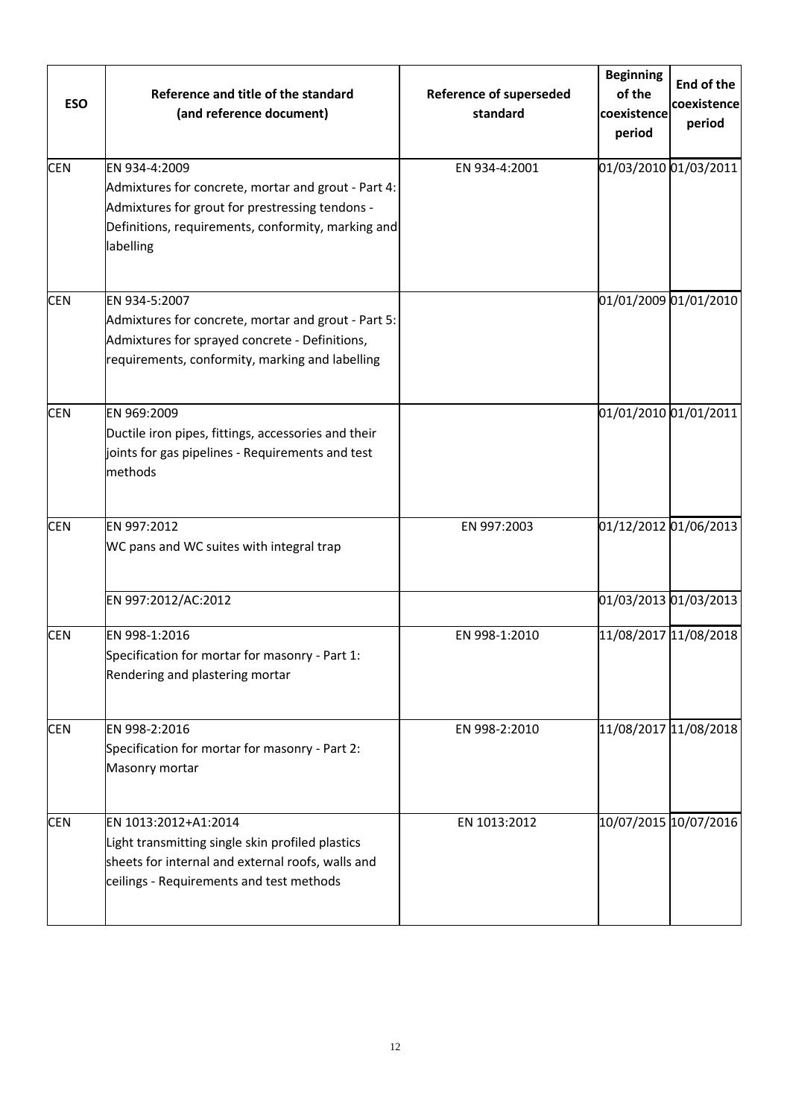| <b>ESO</b> | Reference and title of the standard<br>(and reference document)                                                                                                                            | <b>Reference of superseded</b><br>standard | <b>Beginning</b><br>of the<br>coexistence<br>period | End of the<br>coexistence<br>period |
|------------|--------------------------------------------------------------------------------------------------------------------------------------------------------------------------------------------|--------------------------------------------|-----------------------------------------------------|-------------------------------------|
| <b>CEN</b> | EN 934-4:2009<br>Admixtures for concrete, mortar and grout - Part 4:<br>Admixtures for grout for prestressing tendons -<br>Definitions, requirements, conformity, marking and<br>labelling | EN 934-4:2001                              |                                                     | 01/03/2010 01/03/2011               |
| <b>CEN</b> | EN 934-5:2007<br>Admixtures for concrete, mortar and grout - Part 5:<br>Admixtures for sprayed concrete - Definitions,<br>requirements, conformity, marking and labelling                  |                                            |                                                     | 01/01/2009 01/01/2010               |
| <b>CEN</b> | EN 969:2009<br>Ductile iron pipes, fittings, accessories and their<br>joints for gas pipelines - Requirements and test<br>methods                                                          |                                            |                                                     | 01/01/2010 01/01/2011               |
| <b>CEN</b> | EN 997:2012<br>WC pans and WC suites with integral trap                                                                                                                                    | EN 997:2003                                |                                                     | 01/12/2012 01/06/2013               |
|            | EN 997:2012/AC:2012                                                                                                                                                                        |                                            |                                                     | 01/03/2013 01/03/2013               |
| <b>CEN</b> | EN 998-1:2016<br>Specification for mortar for masonry - Part 1:<br>Rendering and plastering mortar                                                                                         | EN 998-1:2010                              |                                                     | 11/08/2017 11/08/2018               |
| <b>CEN</b> | EN 998-2:2016<br>Specification for mortar for masonry - Part 2:<br>Masonry mortar                                                                                                          | EN 998-2:2010                              |                                                     | 11/08/2017 11/08/2018               |
| <b>CEN</b> | EN 1013:2012+A1:2014<br>Light transmitting single skin profiled plastics<br>sheets for internal and external roofs, walls and<br>ceilings - Requirements and test methods                  | EN 1013:2012                               |                                                     | 10/07/2015 10/07/2016               |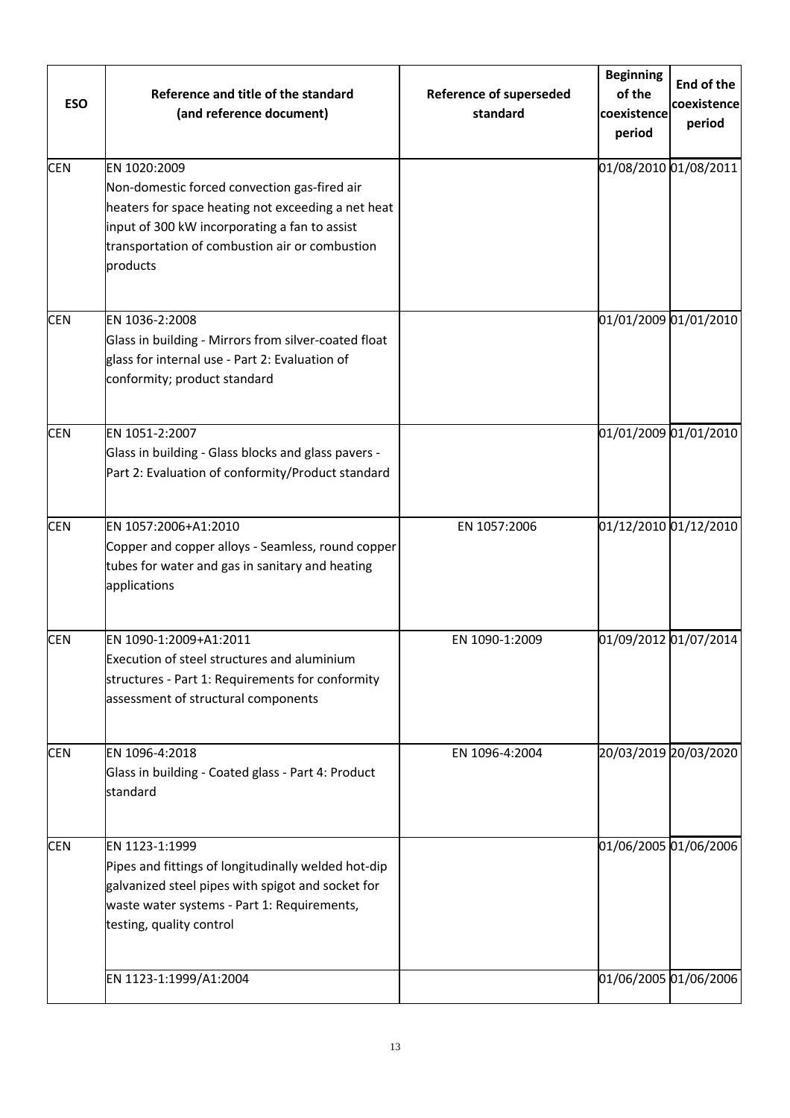| <b>ESO</b> | Reference and title of the standard<br>(and reference document)                                                                                                                                                                   | <b>Reference of superseded</b><br>standard | <b>Beginning</b><br>of the<br>coexistence<br>period | <b>End of the</b><br>coexistence<br>period |
|------------|-----------------------------------------------------------------------------------------------------------------------------------------------------------------------------------------------------------------------------------|--------------------------------------------|-----------------------------------------------------|--------------------------------------------|
| <b>CEN</b> | EN 1020:2009<br>Non-domestic forced convection gas-fired air<br>heaters for space heating not exceeding a net heat<br>input of 300 kW incorporating a fan to assist<br>transportation of combustion air or combustion<br>products |                                            | 01/08/2010 01/08/2011                               |                                            |
| <b>CEN</b> | EN 1036-2:2008<br>Glass in building - Mirrors from silver-coated float<br>glass for internal use - Part 2: Evaluation of<br>conformity; product standard                                                                          |                                            | 01/01/2009 01/01/2010                               |                                            |
| <b>CEN</b> | EN 1051-2:2007<br>Glass in building - Glass blocks and glass pavers -<br>Part 2: Evaluation of conformity/Product standard                                                                                                        |                                            | 01/01/2009 01/01/2010                               |                                            |
| <b>CEN</b> | EN 1057:2006+A1:2010<br>Copper and copper alloys - Seamless, round copper<br>tubes for water and gas in sanitary and heating<br>applications                                                                                      | EN 1057:2006                               | 01/12/2010 01/12/2010                               |                                            |
| <b>CEN</b> | EN 1090-1:2009+A1:2011<br>Execution of steel structures and aluminium<br>structures - Part 1: Requirements for conformity<br>assessment of structural components                                                                  | EN 1090-1:2009                             | 01/09/2012 01/07/2014                               |                                            |
| <b>CEN</b> | EN 1096-4:2018<br>Glass in building - Coated glass - Part 4: Product<br>standard                                                                                                                                                  | EN 1096-4:2004                             | 20/03/2019 20/03/2020                               |                                            |
| <b>CEN</b> | EN 1123-1:1999<br>Pipes and fittings of longitudinally welded hot-dip<br>galvanized steel pipes with spigot and socket for<br>waste water systems - Part 1: Requirements,<br>testing, quality control                             |                                            | 01/06/2005 01/06/2006                               |                                            |
|            | EN 1123-1:1999/A1:2004                                                                                                                                                                                                            |                                            | 01/06/2005 01/06/2006                               |                                            |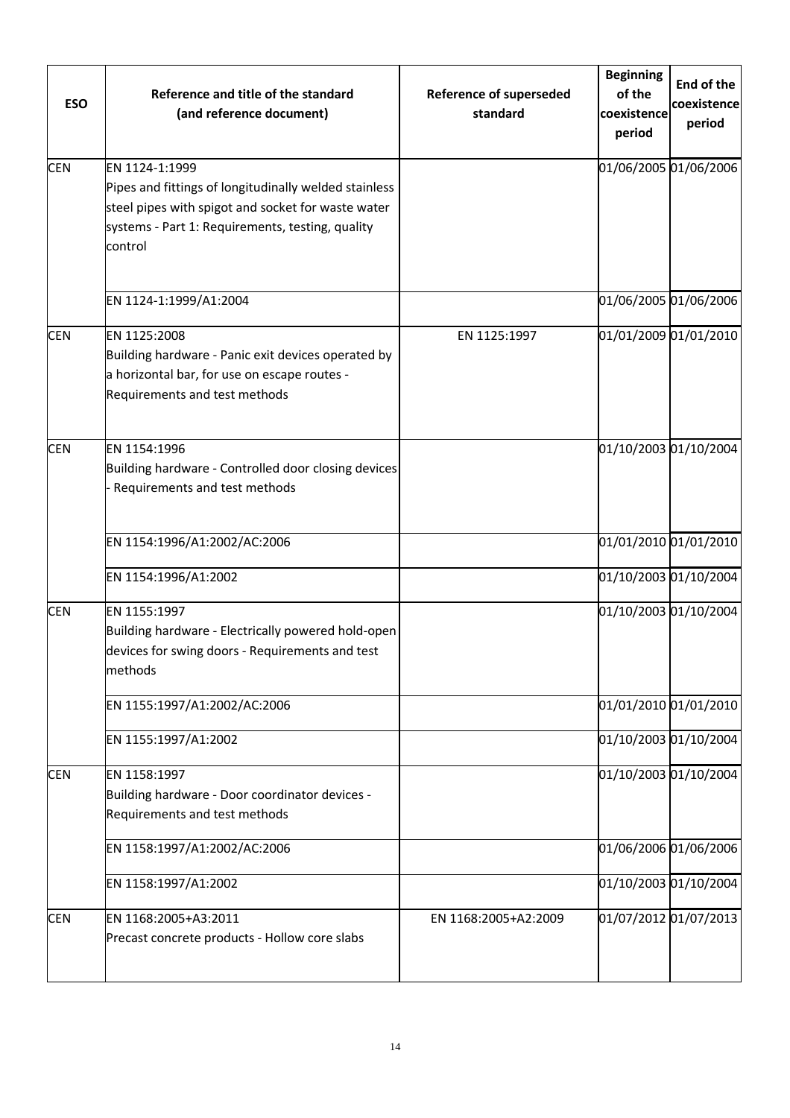| <b>ESO</b> | Reference and title of the standard<br>(and reference document)                                                                                                                              | <b>Reference of superseded</b><br>standard | <b>Beginning</b><br>of the<br>coexistence<br>period | End of the<br>coexistence<br>period |
|------------|----------------------------------------------------------------------------------------------------------------------------------------------------------------------------------------------|--------------------------------------------|-----------------------------------------------------|-------------------------------------|
| <b>CEN</b> | EN 1124-1:1999<br>Pipes and fittings of longitudinally welded stainless<br>steel pipes with spigot and socket for waste water<br>systems - Part 1: Requirements, testing, quality<br>control |                                            | 01/06/2005 01/06/2006                               |                                     |
|            | EN 1124-1:1999/A1:2004                                                                                                                                                                       |                                            | 01/06/2005 01/06/2006                               |                                     |
| <b>CEN</b> | EN 1125:2008<br>Building hardware - Panic exit devices operated by<br>a horizontal bar, for use on escape routes -<br>Requirements and test methods                                          | EN 1125:1997                               | 01/01/2009 01/01/2010                               |                                     |
| <b>CEN</b> | EN 1154:1996<br>Building hardware - Controlled door closing devices<br>Requirements and test methods                                                                                         |                                            | 01/10/2003 01/10/2004                               |                                     |
|            | EN 1154:1996/A1:2002/AC:2006                                                                                                                                                                 |                                            | 01/01/2010 01/01/2010                               |                                     |
|            | EN 1154:1996/A1:2002                                                                                                                                                                         |                                            | 01/10/2003 01/10/2004                               |                                     |
| <b>CEN</b> | EN 1155:1997<br>Building hardware - Electrically powered hold-open<br>devices for swing doors - Requirements and test<br>methods                                                             |                                            | 01/10/2003 01/10/2004                               |                                     |
|            | EN 1155:1997/A1:2002/AC:2006                                                                                                                                                                 |                                            | 01/01/2010 01/01/2010                               |                                     |
|            | EN 1155:1997/A1:2002                                                                                                                                                                         |                                            | 01/10/2003 01/10/2004                               |                                     |
| <b>CEN</b> | EN 1158:1997<br>Building hardware - Door coordinator devices -<br>Requirements and test methods                                                                                              |                                            | 01/10/2003 01/10/2004                               |                                     |
|            | EN 1158:1997/A1:2002/AC:2006                                                                                                                                                                 |                                            | 01/06/2006 01/06/2006                               |                                     |
|            | EN 1158:1997/A1:2002                                                                                                                                                                         |                                            | 01/10/2003 01/10/2004                               |                                     |
| <b>CEN</b> | EN 1168:2005+A3:2011<br>Precast concrete products - Hollow core slabs                                                                                                                        | EN 1168:2005+A2:2009                       | 01/07/2012 01/07/2013                               |                                     |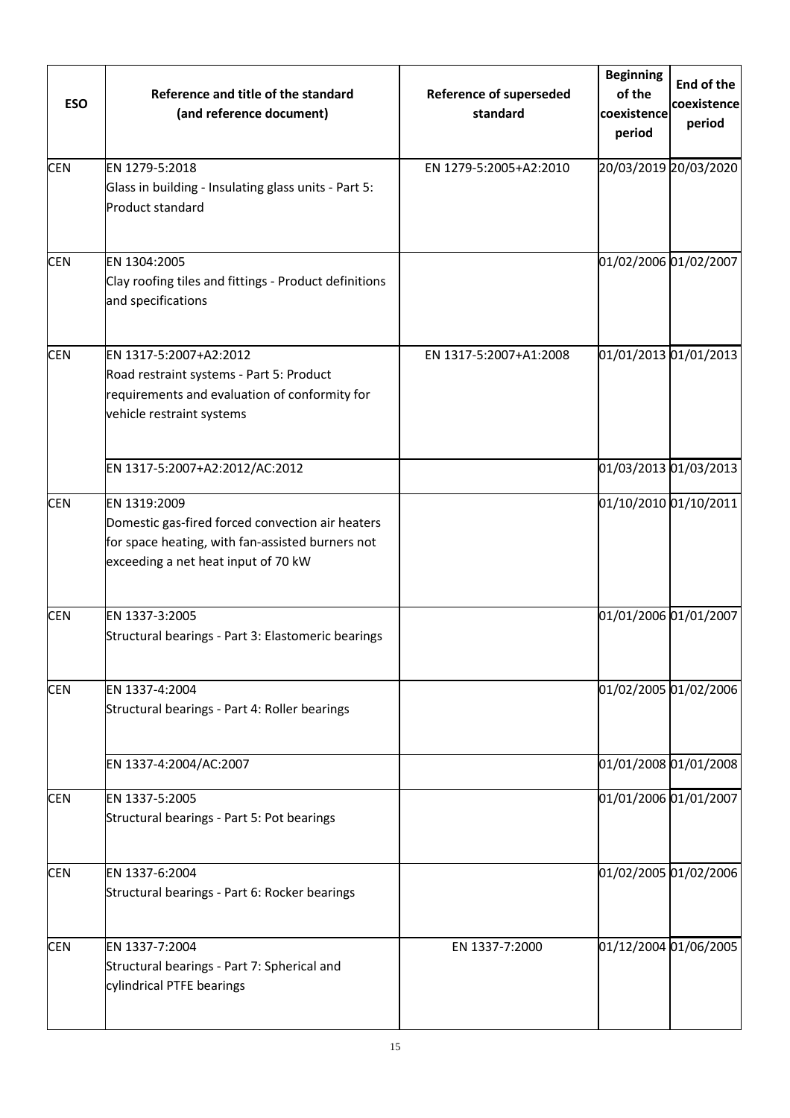| <b>ESO</b> | Reference and title of the standard<br>(and reference document)                                                                                             | <b>Reference of superseded</b><br>standard | <b>Beginning</b><br>of the<br>coexistence<br>period | End of the<br>coexistence<br>period |
|------------|-------------------------------------------------------------------------------------------------------------------------------------------------------------|--------------------------------------------|-----------------------------------------------------|-------------------------------------|
| <b>CEN</b> | EN 1279-5:2018<br>Glass in building - Insulating glass units - Part 5:<br>Product standard                                                                  | EN 1279-5:2005+A2:2010                     |                                                     | 20/03/2019 20/03/2020               |
| <b>CEN</b> | EN 1304:2005<br>Clay roofing tiles and fittings - Product definitions<br>and specifications                                                                 |                                            | 01/02/2006 01/02/2007                               |                                     |
| <b>CEN</b> | EN 1317-5:2007+A2:2012<br>Road restraint systems - Part 5: Product<br>requirements and evaluation of conformity for<br>vehicle restraint systems            | EN 1317-5:2007+A1:2008                     |                                                     | 01/01/2013 01/01/2013               |
|            | EN 1317-5:2007+A2:2012/AC:2012                                                                                                                              |                                            |                                                     | 01/03/2013 01/03/2013               |
| <b>CEN</b> | EN 1319:2009<br>Domestic gas-fired forced convection air heaters<br>for space heating, with fan-assisted burners not<br>exceeding a net heat input of 70 kW |                                            |                                                     | 01/10/2010 01/10/2011               |
| <b>CEN</b> | EN 1337-3:2005<br>Structural bearings - Part 3: Elastomeric bearings                                                                                        |                                            | 01/01/2006 01/01/2007                               |                                     |
| <b>CEN</b> | EN 1337-4:2004<br>Structural bearings - Part 4: Roller bearings                                                                                             |                                            |                                                     | 01/02/2005 01/02/2006               |
|            | EN 1337-4:2004/AC:2007                                                                                                                                      |                                            |                                                     | 01/01/2008 01/01/2008               |
| <b>CEN</b> | EN 1337-5:2005<br>Structural bearings - Part 5: Pot bearings                                                                                                |                                            | 01/01/2006 01/01/2007                               |                                     |
| <b>CEN</b> | EN 1337-6:2004<br>Structural bearings - Part 6: Rocker bearings                                                                                             |                                            |                                                     | 01/02/2005 01/02/2006               |
| <b>CEN</b> | EN 1337-7:2004<br>Structural bearings - Part 7: Spherical and<br>cylindrical PTFE bearings                                                                  | EN 1337-7:2000                             |                                                     | 01/12/2004 01/06/2005               |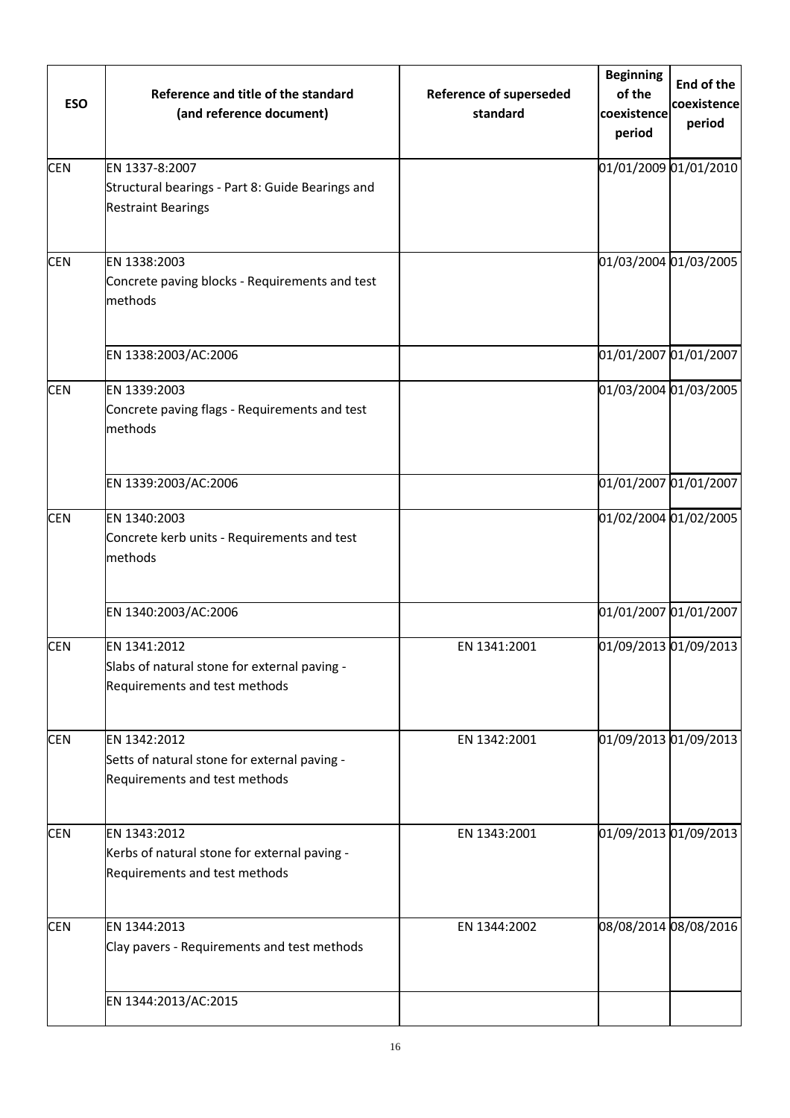| <b>ESO</b> | Reference and title of the standard<br>(and reference document)                                 | <b>Reference of superseded</b><br>standard | <b>Beginning</b><br>of the<br>coexistence<br>period | <b>End of the</b><br>coexistence<br>period |
|------------|-------------------------------------------------------------------------------------------------|--------------------------------------------|-----------------------------------------------------|--------------------------------------------|
| <b>CEN</b> | EN 1337-8:2007<br>Structural bearings - Part 8: Guide Bearings and<br><b>Restraint Bearings</b> |                                            |                                                     | 01/01/2009 01/01/2010                      |
| <b>CEN</b> | EN 1338:2003<br>Concrete paving blocks - Requirements and test<br>methods                       |                                            |                                                     | 01/03/2004 01/03/2005                      |
|            | EN 1338:2003/AC:2006                                                                            |                                            | 01/01/2007 01/01/2007                               |                                            |
| <b>CEN</b> | EN 1339:2003<br>Concrete paving flags - Requirements and test<br>methods                        |                                            |                                                     | 01/03/2004 01/03/2005                      |
|            | EN 1339:2003/AC:2006                                                                            |                                            | 01/01/2007 01/01/2007                               |                                            |
| <b>CEN</b> | EN 1340:2003<br>Concrete kerb units - Requirements and test<br>methods                          |                                            |                                                     | 01/02/2004 01/02/2005                      |
|            | EN 1340:2003/AC:2006                                                                            |                                            |                                                     | 01/01/2007 01/01/2007                      |
| <b>CEN</b> | EN 1341:2012<br>Slabs of natural stone for external paving -<br>Requirements and test methods   | EN 1341:2001                               |                                                     | 01/09/2013 01/09/2013                      |
| <b>CEN</b> | EN 1342:2012<br>Setts of natural stone for external paving -<br>Requirements and test methods   | EN 1342:2001                               |                                                     | 01/09/2013 01/09/2013                      |
| <b>CEN</b> | EN 1343:2012<br>Kerbs of natural stone for external paving -<br>Requirements and test methods   | EN 1343:2001                               |                                                     | 01/09/2013 01/09/2013                      |
| <b>CEN</b> | EN 1344:2013<br>Clay pavers - Requirements and test methods                                     | EN 1344:2002                               |                                                     | 08/08/2014 08/08/2016                      |
|            | EN 1344:2013/AC:2015                                                                            |                                            |                                                     |                                            |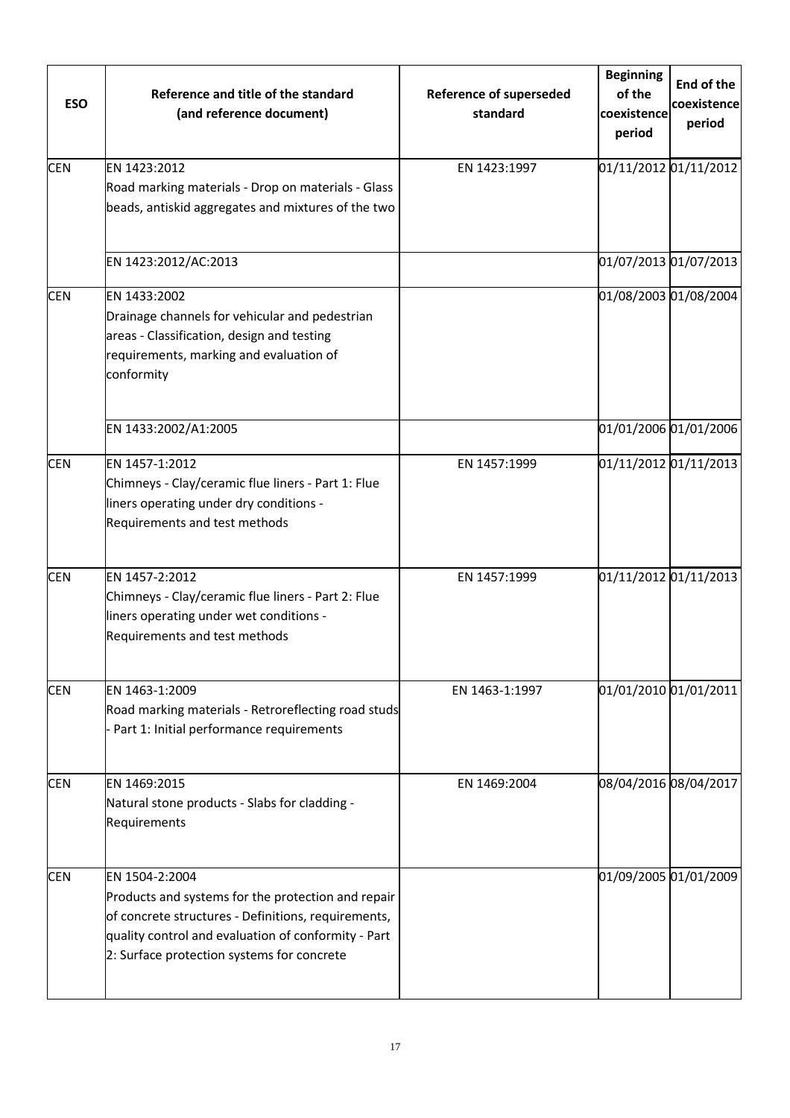| <b>ESO</b> | Reference and title of the standard<br>(and reference document)                                                                                                                                                                  | <b>Reference of superseded</b><br>standard | <b>Beginning</b><br>of the<br>coexistence<br>period | End of the<br>coexistence<br>period |
|------------|----------------------------------------------------------------------------------------------------------------------------------------------------------------------------------------------------------------------------------|--------------------------------------------|-----------------------------------------------------|-------------------------------------|
| <b>CEN</b> | EN 1423:2012<br>Road marking materials - Drop on materials - Glass<br>beads, antiskid aggregates and mixtures of the two                                                                                                         | EN 1423:1997                               |                                                     | 01/11/2012 01/11/2012               |
|            | EN 1423:2012/AC:2013                                                                                                                                                                                                             |                                            |                                                     | 01/07/2013 01/07/2013               |
| <b>CEN</b> | EN 1433:2002<br>Drainage channels for vehicular and pedestrian<br>areas - Classification, design and testing<br>requirements, marking and evaluation of<br>conformity                                                            |                                            |                                                     | 01/08/2003 01/08/2004               |
|            | EN 1433:2002/A1:2005                                                                                                                                                                                                             |                                            |                                                     | 01/01/2006 01/01/2006               |
| <b>CEN</b> | EN 1457-1:2012<br>Chimneys - Clay/ceramic flue liners - Part 1: Flue<br>liners operating under dry conditions -<br>Requirements and test methods                                                                                 | EN 1457:1999                               |                                                     | 01/11/2012 01/11/2013               |
| <b>CEN</b> | EN 1457-2:2012<br>Chimneys - Clay/ceramic flue liners - Part 2: Flue<br>liners operating under wet conditions -<br>Requirements and test methods                                                                                 | EN 1457:1999                               |                                                     | 01/11/2012 01/11/2013               |
| <b>CEN</b> | EN 1463-1:2009<br>Road marking materials - Retroreflecting road studs<br>Part 1: Initial performance requirements                                                                                                                | EN 1463-1:1997                             |                                                     | 01/01/2010 01/01/2011               |
| <b>CEN</b> | EN 1469:2015<br>Natural stone products - Slabs for cladding -<br>Requirements                                                                                                                                                    | EN 1469:2004                               | 08/04/2016 08/04/2017                               |                                     |
| <b>CEN</b> | EN 1504-2:2004<br>Products and systems for the protection and repair<br>of concrete structures - Definitions, requirements,<br>quality control and evaluation of conformity - Part<br>2: Surface protection systems for concrete |                                            |                                                     | 01/09/2005 01/01/2009               |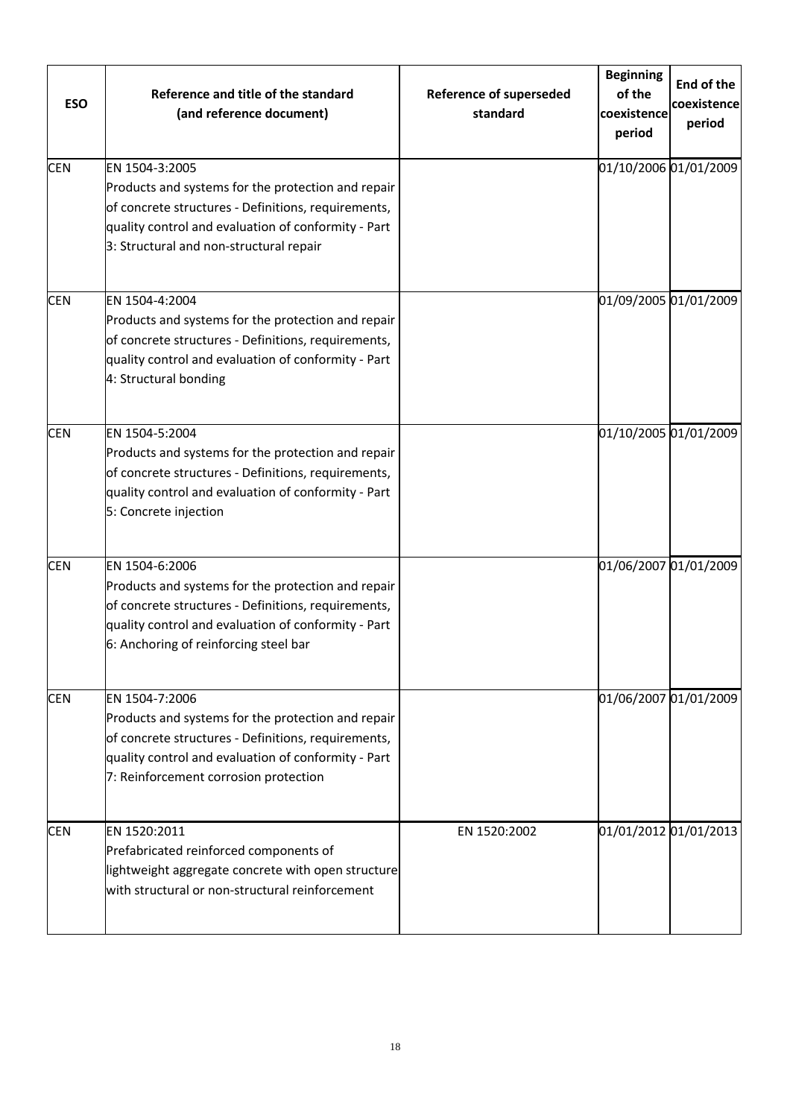| <b>ESO</b> | Reference and title of the standard<br>(and reference document)                                                                                                                                                               | <b>Reference of superseded</b><br>standard | <b>Beginning</b><br>of the<br>coexistence<br>period | End of the<br>coexistence<br>period |
|------------|-------------------------------------------------------------------------------------------------------------------------------------------------------------------------------------------------------------------------------|--------------------------------------------|-----------------------------------------------------|-------------------------------------|
| <b>CEN</b> | EN 1504-3:2005<br>Products and systems for the protection and repair<br>of concrete structures - Definitions, requirements,<br>quality control and evaluation of conformity - Part<br>3: Structural and non-structural repair |                                            | 01/10/2006 01/01/2009                               |                                     |
| <b>CEN</b> | EN 1504-4:2004<br>Products and systems for the protection and repair<br>of concrete structures - Definitions, requirements,<br>quality control and evaluation of conformity - Part<br>4: Structural bonding                   |                                            | 01/09/2005 01/01/2009                               |                                     |
| <b>CEN</b> | EN 1504-5:2004<br>Products and systems for the protection and repair<br>of concrete structures - Definitions, requirements,<br>quality control and evaluation of conformity - Part<br>5: Concrete injection                   |                                            | 01/10/2005 01/01/2009                               |                                     |
| <b>CEN</b> | EN 1504-6:2006<br>Products and systems for the protection and repair<br>of concrete structures - Definitions, requirements,<br>quality control and evaluation of conformity - Part<br>6: Anchoring of reinforcing steel bar   |                                            | 01/06/2007 01/01/2009                               |                                     |
| <b>CEN</b> | EN 1504-7:2006<br>Products and systems for the protection and repair<br>of concrete structures - Definitions, requirements,<br>quality control and evaluation of conformity - Part<br>7: Reinforcement corrosion protection   |                                            | 01/06/2007 01/01/2009                               |                                     |
| <b>CEN</b> | EN 1520:2011<br>Prefabricated reinforced components of<br>lightweight aggregate concrete with open structure<br>with structural or non-structural reinforcement                                                               | EN 1520:2002                               | 01/01/2012 01/01/2013                               |                                     |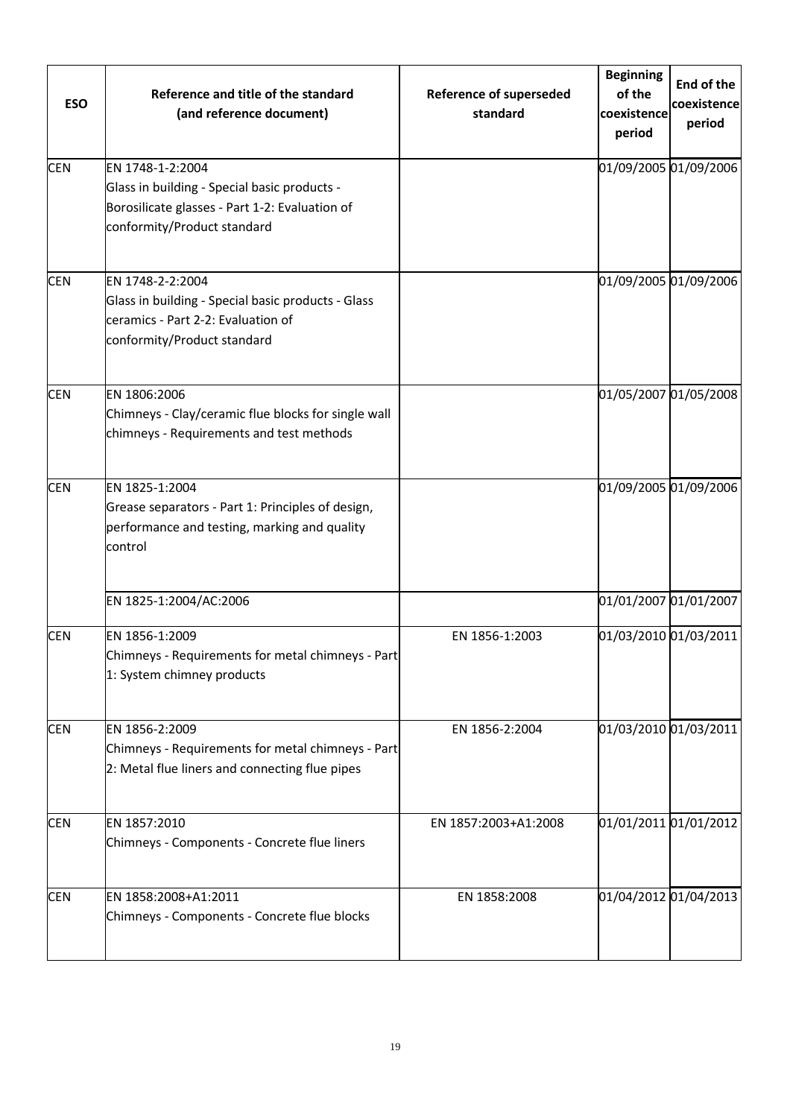| <b>ESO</b> | Reference and title of the standard<br>(and reference document)                                                                                   | <b>Reference of superseded</b><br>standard | <b>Beginning</b><br>of the<br>coexistence<br>period | End of the<br>coexistence<br>period |
|------------|---------------------------------------------------------------------------------------------------------------------------------------------------|--------------------------------------------|-----------------------------------------------------|-------------------------------------|
| <b>CEN</b> | EN 1748-1-2:2004<br>Glass in building - Special basic products -<br>Borosilicate glasses - Part 1-2: Evaluation of<br>conformity/Product standard |                                            |                                                     | 01/09/2005 01/09/2006               |
| <b>CEN</b> | EN 1748-2-2:2004<br>Glass in building - Special basic products - Glass<br>ceramics - Part 2-2: Evaluation of<br>conformity/Product standard       |                                            |                                                     | 01/09/2005 01/09/2006               |
| <b>CEN</b> | EN 1806:2006<br>Chimneys - Clay/ceramic flue blocks for single wall<br>chimneys - Requirements and test methods                                   |                                            |                                                     | 01/05/2007 01/05/2008               |
| <b>CEN</b> | EN 1825-1:2004<br>Grease separators - Part 1: Principles of design,<br>performance and testing, marking and quality<br>control                    |                                            |                                                     | 01/09/2005 01/09/2006               |
|            | EN 1825-1:2004/AC:2006                                                                                                                            |                                            | 01/01/2007 01/01/2007                               |                                     |
| <b>CEN</b> | EN 1856-1:2009<br>Chimneys - Requirements for metal chimneys - Part<br>1: System chimney products                                                 | EN 1856-1:2003                             |                                                     | 01/03/2010 01/03/2011               |
| <b>CEN</b> | EN 1856-2:2009<br>Chimneys - Requirements for metal chimneys - Part<br>2: Metal flue liners and connecting flue pipes                             | EN 1856-2:2004                             |                                                     | 01/03/2010 01/03/2011               |
| <b>CEN</b> | EN 1857:2010<br>Chimneys - Components - Concrete flue liners                                                                                      | EN 1857:2003+A1:2008                       |                                                     | 01/01/2011 01/01/2012               |
| <b>CEN</b> | EN 1858:2008+A1:2011<br>Chimneys - Components - Concrete flue blocks                                                                              | EN 1858:2008                               |                                                     | 01/04/2012 01/04/2013               |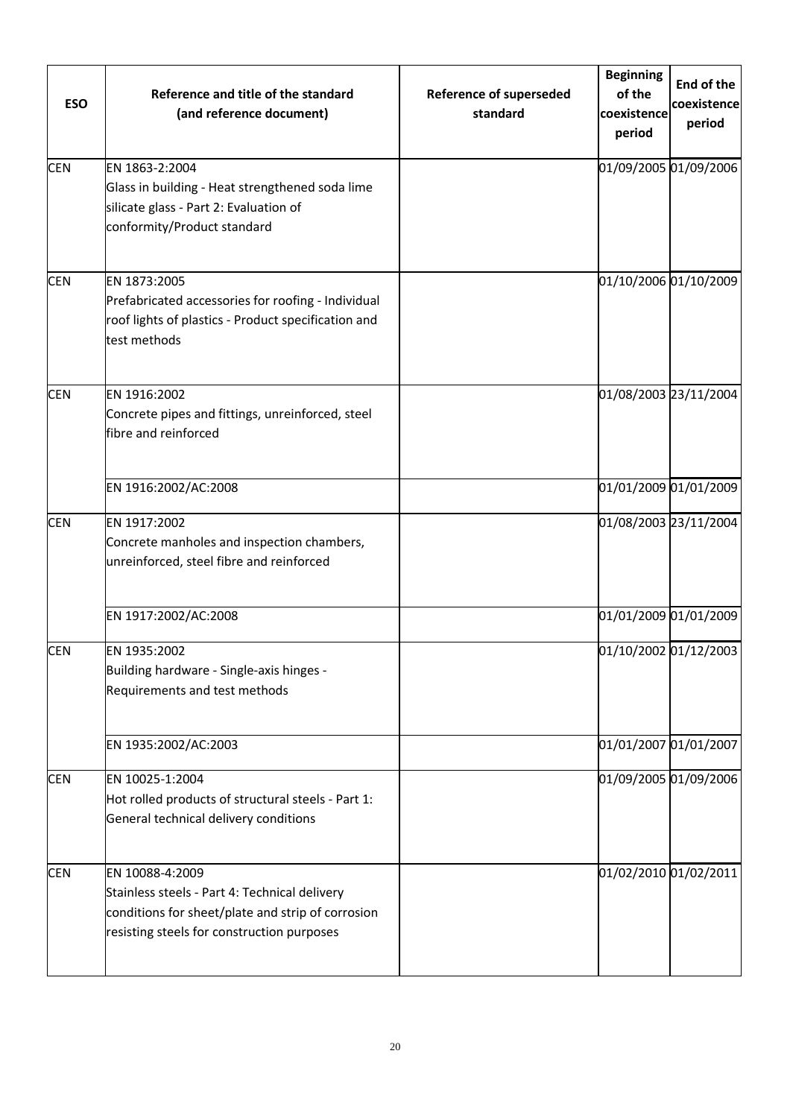| <b>ESO</b><br><b>CEN</b> | Reference and title of the standard<br>(and reference document)<br>EN 1863-2:2004<br>Glass in building - Heat strengthened soda lime<br>silicate glass - Part 2: Evaluation of<br>conformity/Product standard | <b>Reference of superseded</b><br>standard | <b>Beginning</b><br>of the<br>coexistence<br>period | <b>End of the</b><br>coexistence<br>period<br>01/09/2005 01/09/2006 |
|--------------------------|---------------------------------------------------------------------------------------------------------------------------------------------------------------------------------------------------------------|--------------------------------------------|-----------------------------------------------------|---------------------------------------------------------------------|
| <b>CEN</b>               | EN 1873:2005<br>Prefabricated accessories for roofing - Individual<br>roof lights of plastics - Product specification and<br>test methods                                                                     |                                            |                                                     | 01/10/2006 01/10/2009                                               |
| <b>CEN</b>               | EN 1916:2002<br>Concrete pipes and fittings, unreinforced, steel<br>fibre and reinforced                                                                                                                      |                                            |                                                     | 01/08/2003 23/11/2004                                               |
|                          | EN 1916:2002/AC:2008                                                                                                                                                                                          |                                            |                                                     | 01/01/2009 01/01/2009                                               |
| <b>CEN</b>               | EN 1917:2002<br>Concrete manholes and inspection chambers,<br>unreinforced, steel fibre and reinforced                                                                                                        |                                            |                                                     | 01/08/2003 23/11/2004                                               |
|                          | EN 1917:2002/AC:2008                                                                                                                                                                                          |                                            |                                                     | 01/01/2009 01/01/2009                                               |
| <b>CEN</b>               | EN 1935:2002<br>Building hardware - Single-axis hinges -<br>Requirements and test methods                                                                                                                     |                                            |                                                     | 01/10/2002 01/12/2003                                               |
|                          | EN 1935:2002/AC:2003                                                                                                                                                                                          |                                            | 01/01/2007 01/01/2007                               |                                                                     |
| <b>CEN</b>               | EN 10025-1:2004<br>Hot rolled products of structural steels - Part 1:<br>General technical delivery conditions                                                                                                |                                            |                                                     | 01/09/2005 01/09/2006                                               |
| <b>CEN</b>               | EN 10088-4:2009<br>Stainless steels - Part 4: Technical delivery<br>conditions for sheet/plate and strip of corrosion<br>resisting steels for construction purposes                                           |                                            | 01/02/2010 01/02/2011                               |                                                                     |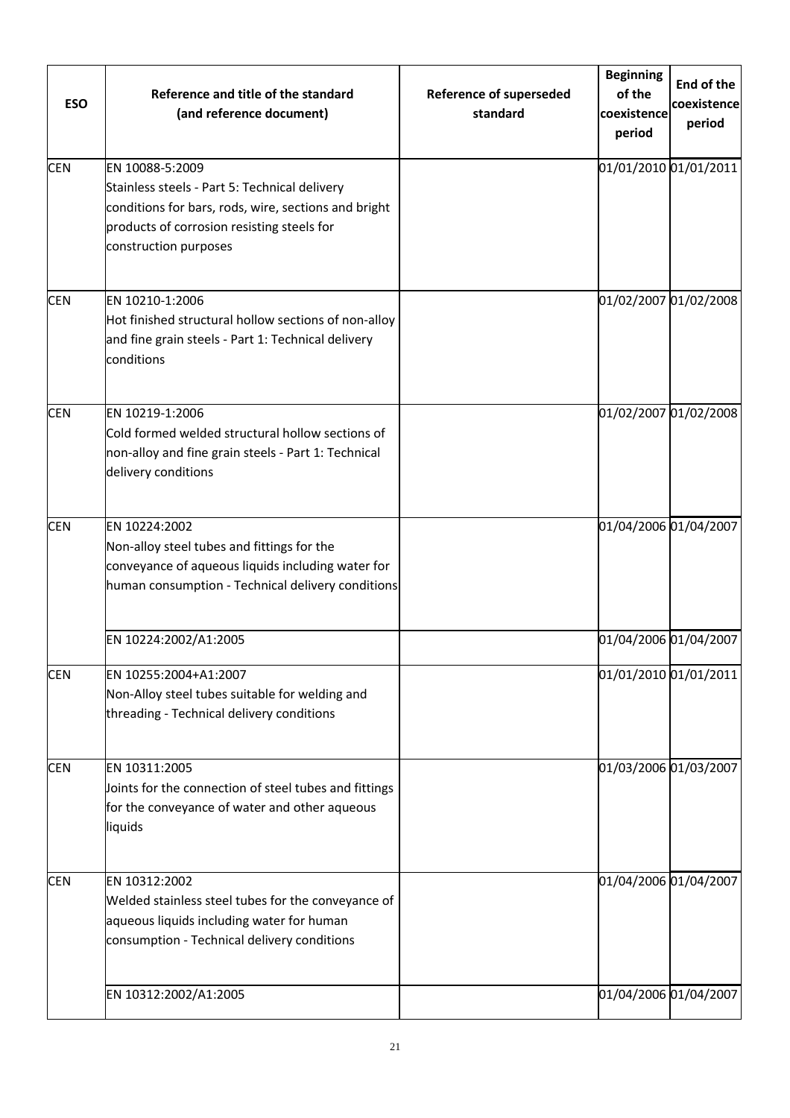| <b>ESO</b> | Reference and title of the standard<br>(and reference document)                                                                                                                                 | <b>Reference of superseded</b><br>standard | <b>Beginning</b><br>of the<br>coexistence<br>period | <b>End of the</b><br>coexistence<br>period |
|------------|-------------------------------------------------------------------------------------------------------------------------------------------------------------------------------------------------|--------------------------------------------|-----------------------------------------------------|--------------------------------------------|
| <b>CEN</b> | EN 10088-5:2009<br>Stainless steels - Part 5: Technical delivery<br>conditions for bars, rods, wire, sections and bright<br>products of corrosion resisting steels for<br>construction purposes |                                            | 01/01/2010 01/01/2011                               |                                            |
| <b>CEN</b> | EN 10210-1:2006<br>Hot finished structural hollow sections of non-alloy<br>and fine grain steels - Part 1: Technical delivery<br>conditions                                                     |                                            | 01/02/2007 01/02/2008                               |                                            |
| <b>CEN</b> | EN 10219-1:2006<br>Cold formed welded structural hollow sections of<br>non-alloy and fine grain steels - Part 1: Technical<br>delivery conditions                                               |                                            | 01/02/2007 01/02/2008                               |                                            |
| <b>CEN</b> | EN 10224:2002<br>Non-alloy steel tubes and fittings for the<br>conveyance of aqueous liquids including water for<br>human consumption - Technical delivery conditions                           |                                            | 01/04/2006 01/04/2007                               |                                            |
|            | EN 10224:2002/A1:2005                                                                                                                                                                           |                                            | 01/04/2006 01/04/2007                               |                                            |
| <b>CEN</b> | EN 10255:2004+A1:2007<br>Non-Alloy steel tubes suitable for welding and<br>threading - Technical delivery conditions                                                                            |                                            |                                                     | 01/01/2010 01/01/2011                      |
| <b>CEN</b> | EN 10311:2005<br>Joints for the connection of steel tubes and fittings<br>for the conveyance of water and other aqueous<br>liquids                                                              |                                            | 01/03/2006 01/03/2007                               |                                            |
| <b>CEN</b> | EN 10312:2002<br>Welded stainless steel tubes for the conveyance of<br>aqueous liquids including water for human<br>consumption - Technical delivery conditions                                 |                                            | 01/04/2006 01/04/2007                               |                                            |
|            | EN 10312:2002/A1:2005                                                                                                                                                                           |                                            | 01/04/2006 01/04/2007                               |                                            |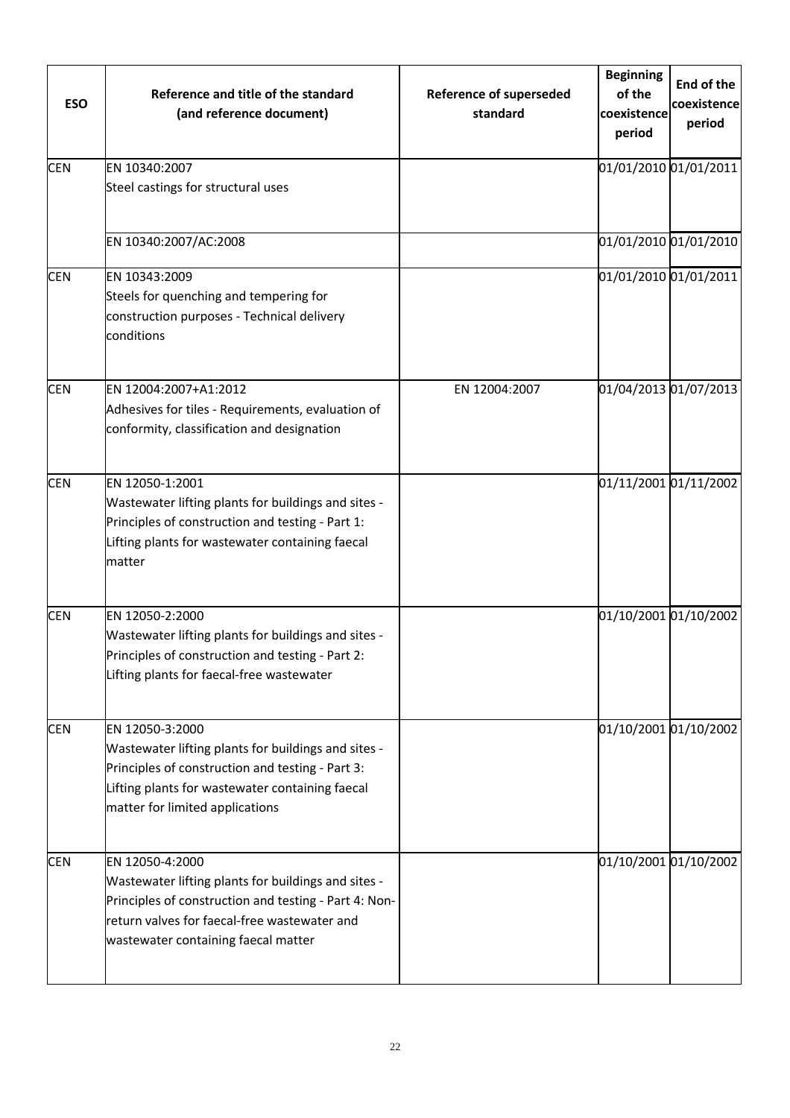| <b>ESO</b> | Reference and title of the standard<br>(and reference document)                                                                                                                                                        | <b>Reference of superseded</b><br>standard | <b>Beginning</b><br>of the<br>coexistence<br>period | <b>End of the</b><br>coexistence<br>period |
|------------|------------------------------------------------------------------------------------------------------------------------------------------------------------------------------------------------------------------------|--------------------------------------------|-----------------------------------------------------|--------------------------------------------|
| <b>CEN</b> | EN 10340:2007<br>Steel castings for structural uses                                                                                                                                                                    |                                            |                                                     | 01/01/2010 01/01/2011                      |
|            | EN 10340:2007/AC:2008                                                                                                                                                                                                  |                                            |                                                     | 01/01/2010 01/01/2010                      |
| <b>CEN</b> | EN 10343:2009<br>Steels for quenching and tempering for<br>construction purposes - Technical delivery<br>conditions                                                                                                    |                                            |                                                     | 01/01/2010 01/01/2011                      |
| <b>CEN</b> | EN 12004:2007+A1:2012<br>Adhesives for tiles - Requirements, evaluation of<br>conformity, classification and designation                                                                                               | EN 12004:2007                              |                                                     | 01/04/2013 01/07/2013                      |
| <b>CEN</b> | EN 12050-1:2001<br>Wastewater lifting plants for buildings and sites -<br>Principles of construction and testing - Part 1:<br>Lifting plants for wastewater containing faecal<br>matter                                |                                            |                                                     | 01/11/2001 01/11/2002                      |
| <b>CEN</b> | EN 12050-2:2000<br>Wastewater lifting plants for buildings and sites -<br>Principles of construction and testing - Part 2:<br>Lifting plants for faecal-free wastewater                                                |                                            |                                                     | 01/10/2001 01/10/2002                      |
| <b>CEN</b> | EN 12050-3:2000<br>Wastewater lifting plants for buildings and sites -<br>Principles of construction and testing - Part 3:<br>Lifting plants for wastewater containing faecal<br>matter for limited applications       |                                            |                                                     | 01/10/2001 01/10/2002                      |
| <b>CEN</b> | EN 12050-4:2000<br>Wastewater lifting plants for buildings and sites -<br>Principles of construction and testing - Part 4: Non-<br>return valves for faecal-free wastewater and<br>wastewater containing faecal matter |                                            |                                                     | 01/10/2001 01/10/2002                      |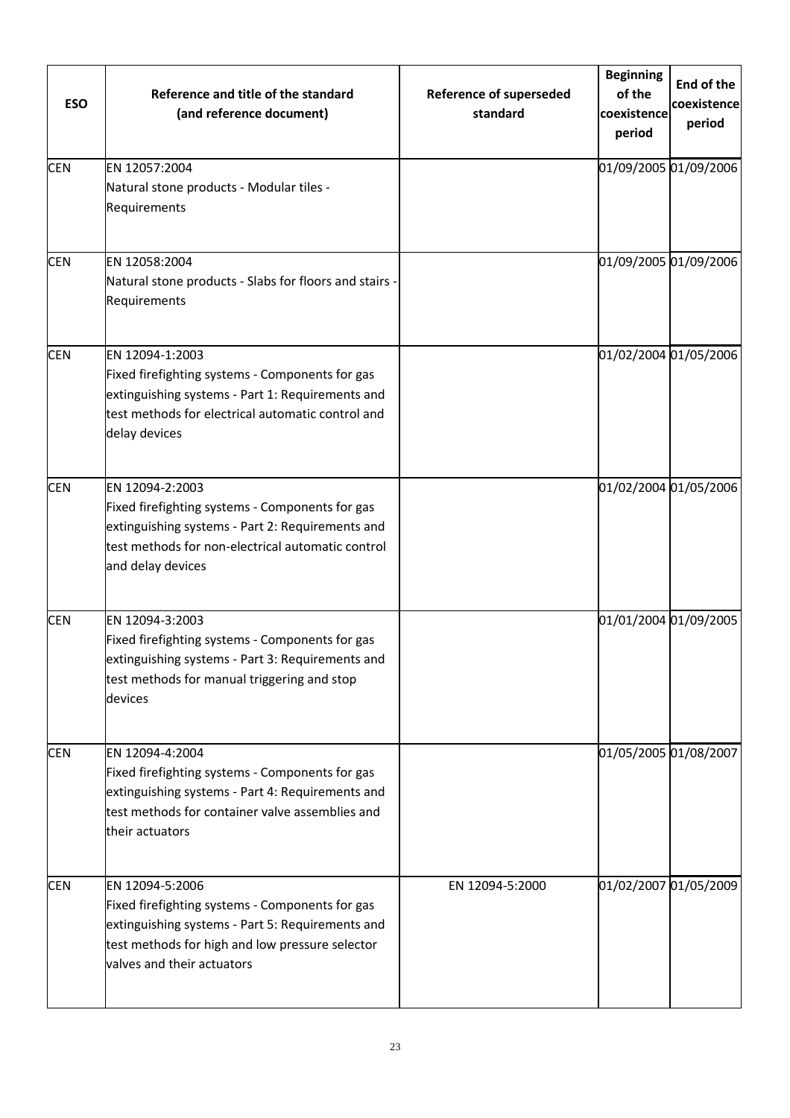| <b>ESO</b> | Reference and title of the standard<br>(and reference document)                                                                                                                                         | <b>Reference of superseded</b><br>standard | <b>Beginning</b><br>of the<br>coexistence<br>period | End of the<br>coexistence<br>period |
|------------|---------------------------------------------------------------------------------------------------------------------------------------------------------------------------------------------------------|--------------------------------------------|-----------------------------------------------------|-------------------------------------|
| <b>CEN</b> | EN 12057:2004<br>Natural stone products - Modular tiles -<br>Requirements                                                                                                                               |                                            |                                                     | 01/09/2005 01/09/2006               |
| <b>CEN</b> | EN 12058:2004<br>Natural stone products - Slabs for floors and stairs<br>Requirements                                                                                                                   |                                            |                                                     | 01/09/2005 01/09/2006               |
| <b>CEN</b> | EN 12094-1:2003<br>Fixed firefighting systems - Components for gas<br>extinguishing systems - Part 1: Requirements and<br>test methods for electrical automatic control and<br>delay devices            |                                            |                                                     | 01/02/2004 01/05/2006               |
| <b>CEN</b> | EN 12094-2:2003<br>Fixed firefighting systems - Components for gas<br>extinguishing systems - Part 2: Requirements and<br>test methods for non-electrical automatic control<br>and delay devices        |                                            |                                                     | 01/02/2004 01/05/2006               |
| <b>CEN</b> | EN 12094-3:2003<br>Fixed firefighting systems - Components for gas<br>extinguishing systems - Part 3: Requirements and<br>test methods for manual triggering and stop<br>devices                        |                                            |                                                     | 01/01/2004 01/09/2005               |
| <b>CEN</b> | EN 12094-4:2004<br>Fixed firefighting systems - Components for gas<br>extinguishing systems - Part 4: Requirements and<br>test methods for container valve assemblies and<br>their actuators            |                                            | 01/05/2005 01/08/2007                               |                                     |
| <b>CEN</b> | EN 12094-5:2006<br>Fixed firefighting systems - Components for gas<br>extinguishing systems - Part 5: Requirements and<br>test methods for high and low pressure selector<br>valves and their actuators | EN 12094-5:2000                            | 01/02/2007 01/05/2009                               |                                     |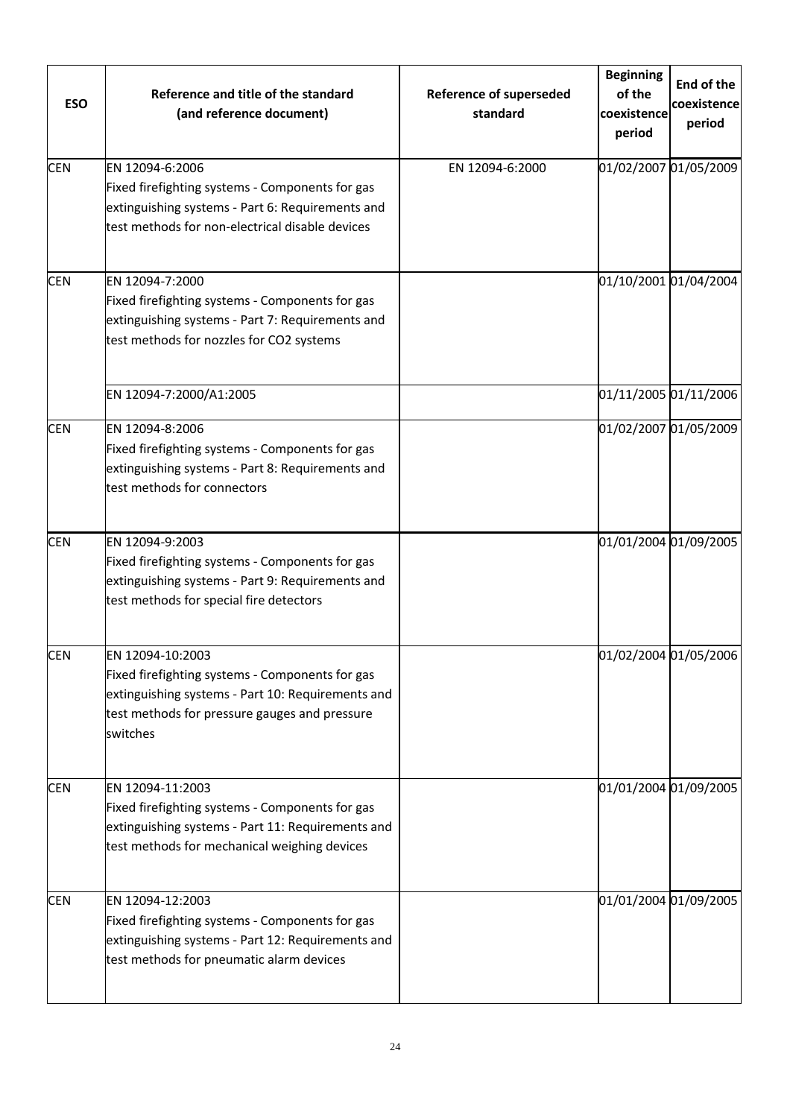| <b>ESO</b> | Reference and title of the standard<br>(and reference document)                                                                                                                        | <b>Reference of superseded</b><br>standard | <b>Beginning</b><br>of the<br>coexistence<br>period | End of the<br>coexistence<br>period |
|------------|----------------------------------------------------------------------------------------------------------------------------------------------------------------------------------------|--------------------------------------------|-----------------------------------------------------|-------------------------------------|
| <b>CEN</b> | EN 12094-6:2006<br>Fixed firefighting systems - Components for gas<br>extinguishing systems - Part 6: Requirements and<br>test methods for non-electrical disable devices              | EN 12094-6:2000                            |                                                     | 01/02/2007 01/05/2009               |
| <b>CEN</b> | EN 12094-7:2000<br>Fixed firefighting systems - Components for gas<br>extinguishing systems - Part 7: Requirements and<br>test methods for nozzles for CO2 systems                     |                                            |                                                     | 01/10/2001 01/04/2004               |
|            | EN 12094-7:2000/A1:2005                                                                                                                                                                |                                            |                                                     | 01/11/2005 01/11/2006               |
| <b>CEN</b> | EN 12094-8:2006<br>Fixed firefighting systems - Components for gas<br>extinguishing systems - Part 8: Requirements and<br>test methods for connectors                                  |                                            |                                                     | 01/02/2007 01/05/2009               |
| <b>CEN</b> | EN 12094-9:2003<br>Fixed firefighting systems - Components for gas<br>extinguishing systems - Part 9: Requirements and<br>test methods for special fire detectors                      |                                            |                                                     | 01/01/2004 01/09/2005               |
| <b>CEN</b> | IEN 12094-10:2003<br>Fixed firefighting systems - Components for gas<br>extinguishing systems - Part 10: Requirements and<br>test methods for pressure gauges and pressure<br>switches |                                            |                                                     | 01/02/2004 01/05/2006               |
| <b>CEN</b> | EN 12094-11:2003<br>Fixed firefighting systems - Components for gas<br>extinguishing systems - Part 11: Requirements and<br>test methods for mechanical weighing devices               |                                            |                                                     | 01/01/2004 01/09/2005               |
| <b>CEN</b> | EN 12094-12:2003<br>Fixed firefighting systems - Components for gas<br>extinguishing systems - Part 12: Requirements and<br>test methods for pneumatic alarm devices                   |                                            |                                                     | 01/01/2004 01/09/2005               |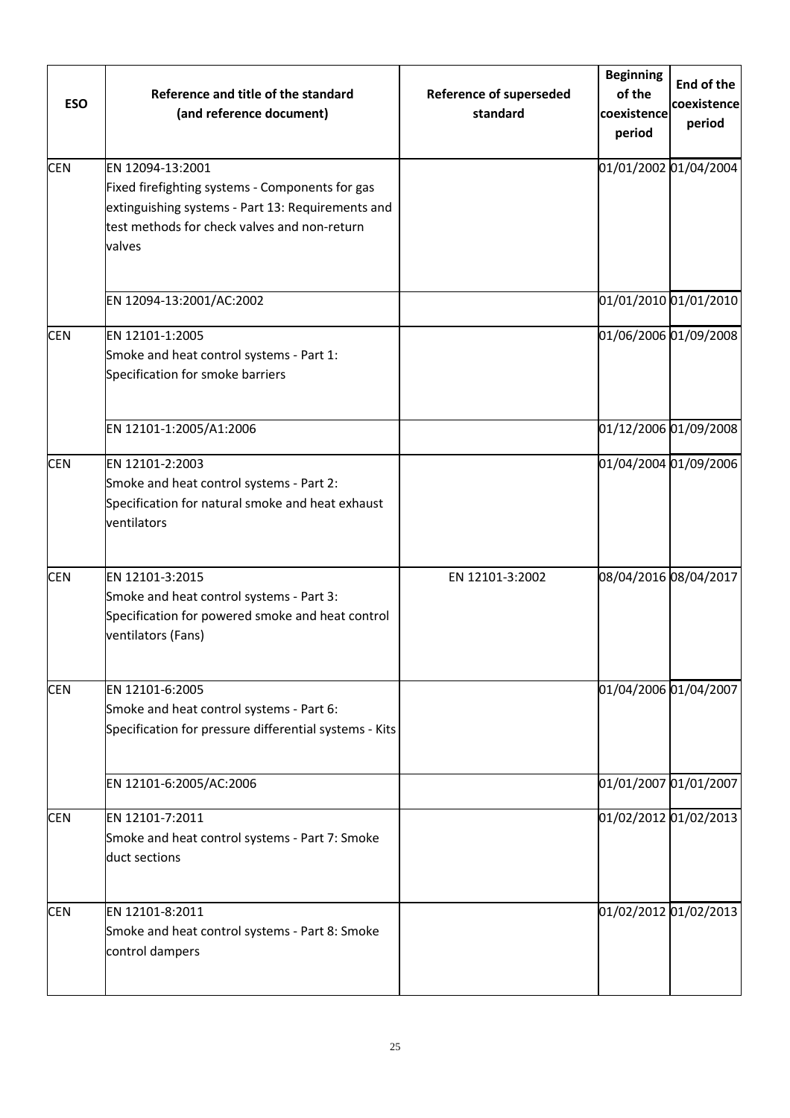| <b>ESO</b> | Reference and title of the standard<br>(and reference document)                                                                                                                    | <b>Reference of superseded</b><br>standard | <b>Beginning</b><br>of the<br>coexistence<br>period | End of the<br>coexistence<br>period |
|------------|------------------------------------------------------------------------------------------------------------------------------------------------------------------------------------|--------------------------------------------|-----------------------------------------------------|-------------------------------------|
| <b>CEN</b> | EN 12094-13:2001<br>Fixed firefighting systems - Components for gas<br>extinguishing systems - Part 13: Requirements and<br>test methods for check valves and non-return<br>valves |                                            |                                                     | 01/01/2002 01/04/2004               |
|            | EN 12094-13:2001/AC:2002                                                                                                                                                           |                                            |                                                     | 01/01/2010 01/01/2010               |
| <b>CEN</b> | EN 12101-1:2005<br>Smoke and heat control systems - Part 1:<br>Specification for smoke barriers                                                                                    |                                            |                                                     | 01/06/2006 01/09/2008               |
|            | EN 12101-1:2005/A1:2006                                                                                                                                                            |                                            |                                                     | 01/12/2006 01/09/2008               |
| <b>CEN</b> | EN 12101-2:2003<br>Smoke and heat control systems - Part 2:<br>Specification for natural smoke and heat exhaust<br>ventilators                                                     |                                            |                                                     | 01/04/2004 01/09/2006               |
| <b>CEN</b> | EN 12101-3:2015<br>Smoke and heat control systems - Part 3:<br>Specification for powered smoke and heat control<br>ventilators (Fans)                                              | EN 12101-3:2002                            | 08/04/2016 08/04/2017                               |                                     |
| <b>CEN</b> | EN 12101-6:2005<br>Smoke and heat control systems - Part 6:<br>Specification for pressure differential systems - Kits                                                              |                                            |                                                     | 01/04/2006 01/04/2007               |
|            | EN 12101-6:2005/AC:2006                                                                                                                                                            |                                            | 01/01/2007 01/01/2007                               |                                     |
| <b>CEN</b> | EN 12101-7:2011<br>Smoke and heat control systems - Part 7: Smoke<br>duct sections                                                                                                 |                                            |                                                     | 01/02/2012 01/02/2013               |
| <b>CEN</b> | EN 12101-8:2011<br>Smoke and heat control systems - Part 8: Smoke<br>control dampers                                                                                               |                                            |                                                     | 01/02/2012 01/02/2013               |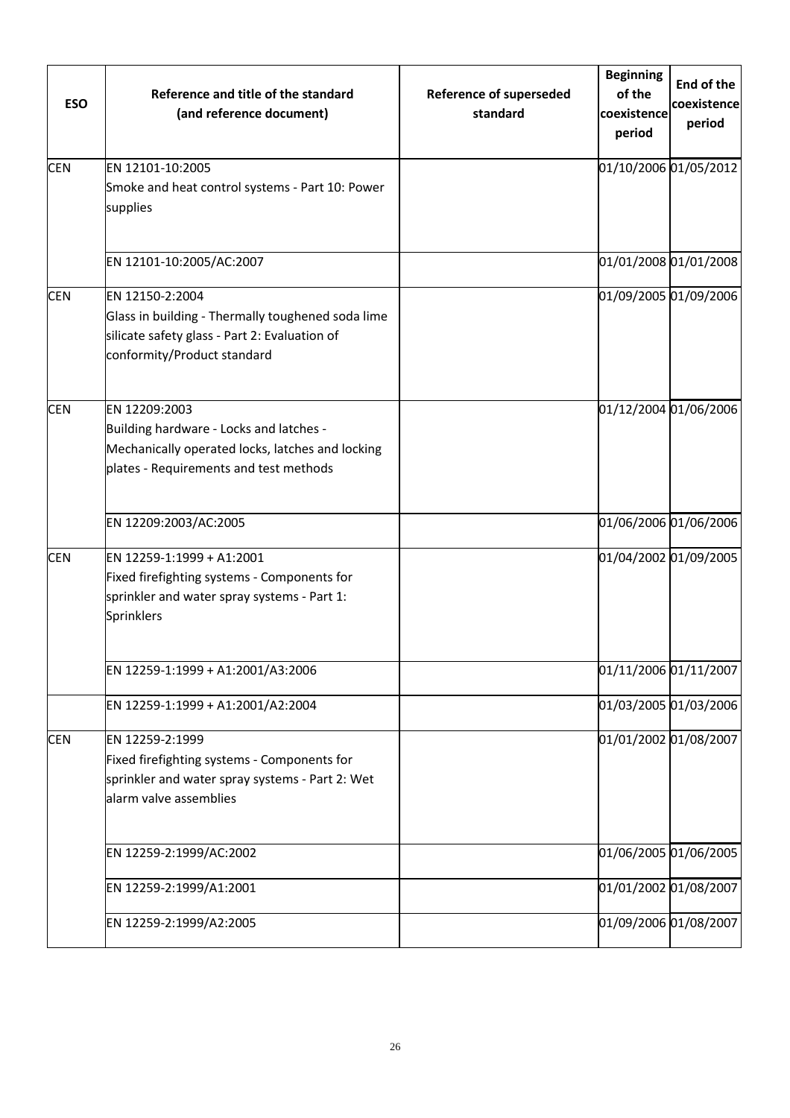| <b>ESO</b> | Reference and title of the standard<br>(and reference document)                                                                                        | <b>Reference of superseded</b><br>standard | <b>Beginning</b><br>of the<br>coexistence<br>period | End of the<br>coexistence<br>period |
|------------|--------------------------------------------------------------------------------------------------------------------------------------------------------|--------------------------------------------|-----------------------------------------------------|-------------------------------------|
| <b>CEN</b> | EN 12101-10:2005<br>Smoke and heat control systems - Part 10: Power<br>supplies                                                                        |                                            |                                                     | 01/10/2006 01/05/2012               |
|            | EN 12101-10:2005/AC:2007                                                                                                                               |                                            |                                                     | 01/01/2008 01/01/2008               |
| <b>CEN</b> | EN 12150-2:2004<br>Glass in building - Thermally toughened soda lime<br>silicate safety glass - Part 2: Evaluation of<br>conformity/Product standard   |                                            |                                                     | 01/09/2005 01/09/2006               |
| <b>CEN</b> | EN 12209:2003<br>Building hardware - Locks and latches -<br>Mechanically operated locks, latches and locking<br>plates - Requirements and test methods |                                            |                                                     | 01/12/2004 01/06/2006               |
|            | EN 12209:2003/AC:2005                                                                                                                                  |                                            |                                                     | 01/06/2006 01/06/2006               |
| <b>CEN</b> | EN 12259-1:1999 + A1:2001<br>Fixed firefighting systems - Components for<br>sprinkler and water spray systems - Part 1:<br>Sprinklers                  |                                            |                                                     | 01/04/2002 01/09/2005               |
|            | EN 12259-1:1999 + A1:2001/A3:2006                                                                                                                      |                                            |                                                     | 01/11/2006 01/11/2007               |
|            | EN 12259-1:1999 + A1:2001/A2:2004                                                                                                                      |                                            |                                                     | 01/03/2005 01/03/2006               |
| <b>CEN</b> | EN 12259-2:1999<br>Fixed firefighting systems - Components for<br>sprinkler and water spray systems - Part 2: Wet<br>alarm valve assemblies            |                                            |                                                     | 01/01/2002 01/08/2007               |
|            | EN 12259-2:1999/AC:2002                                                                                                                                |                                            |                                                     | 01/06/2005 01/06/2005               |
|            | EN 12259-2:1999/A1:2001                                                                                                                                |                                            |                                                     | 01/01/2002 01/08/2007               |
|            | EN 12259-2:1999/A2:2005                                                                                                                                |                                            |                                                     | 01/09/2006 01/08/2007               |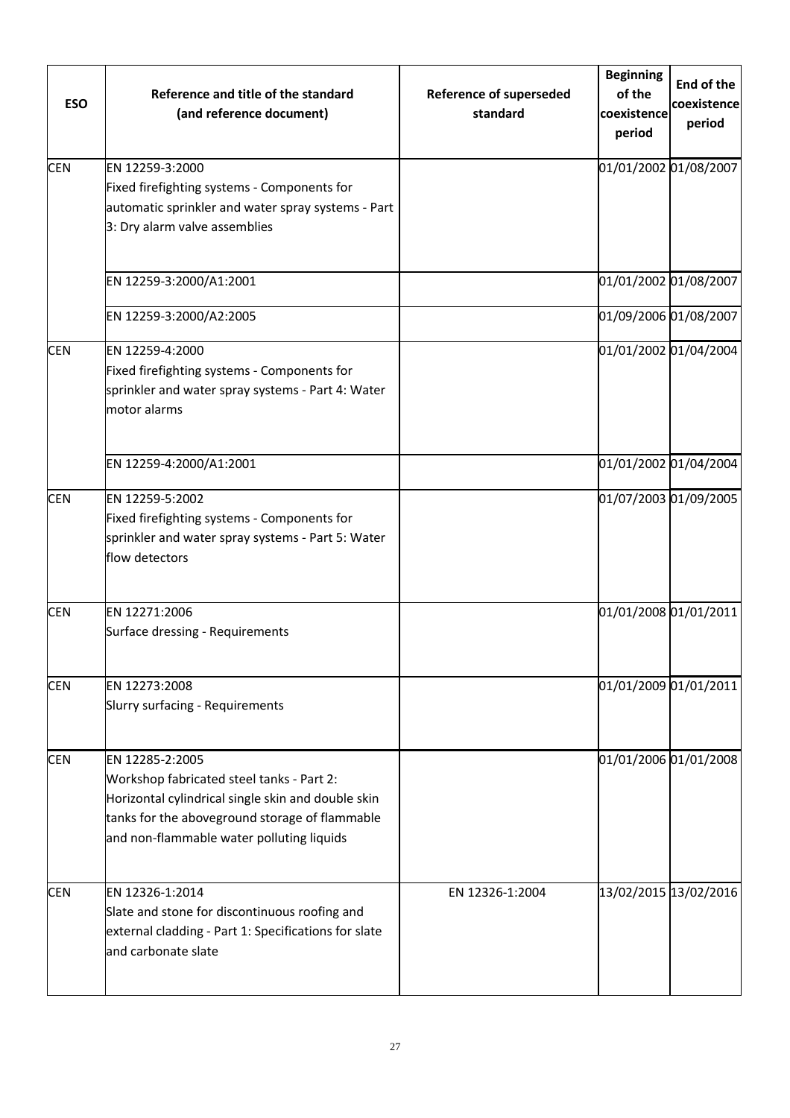| <b>ESO</b> | Reference and title of the standard<br>(and reference document)                                                                                                                                                   | <b>Reference of superseded</b><br>standard | <b>Beginning</b><br>of the<br>coexistence<br>period | End of the<br>coexistence<br>period |
|------------|-------------------------------------------------------------------------------------------------------------------------------------------------------------------------------------------------------------------|--------------------------------------------|-----------------------------------------------------|-------------------------------------|
| <b>CEN</b> | EN 12259-3:2000<br>Fixed firefighting systems - Components for<br>automatic sprinkler and water spray systems - Part<br>3: Dry alarm valve assemblies                                                             |                                            |                                                     | 01/01/2002 01/08/2007               |
|            | EN 12259-3:2000/A1:2001                                                                                                                                                                                           |                                            |                                                     | 01/01/2002 01/08/2007               |
|            | EN 12259-3:2000/A2:2005                                                                                                                                                                                           |                                            |                                                     | 01/09/2006 01/08/2007               |
| <b>CEN</b> | EN 12259-4:2000<br>Fixed firefighting systems - Components for<br>sprinkler and water spray systems - Part 4: Water<br>motor alarms                                                                               |                                            |                                                     | 01/01/2002 01/04/2004               |
|            | EN 12259-4:2000/A1:2001                                                                                                                                                                                           |                                            |                                                     | 01/01/2002 01/04/2004               |
| <b>CEN</b> | EN 12259-5:2002<br>Fixed firefighting systems - Components for<br>sprinkler and water spray systems - Part 5: Water<br>flow detectors                                                                             |                                            |                                                     | 01/07/2003 01/09/2005               |
| <b>CEN</b> | EN 12271:2006<br>Surface dressing - Requirements                                                                                                                                                                  |                                            |                                                     | 01/01/2008 01/01/2011               |
| <b>CEN</b> | EN 12273:2008<br>Slurry surfacing - Requirements                                                                                                                                                                  |                                            |                                                     | 01/01/2009 01/01/2011               |
| <b>CEN</b> | EN 12285-2:2005<br>Workshop fabricated steel tanks - Part 2:<br>Horizontal cylindrical single skin and double skin<br>tanks for the aboveground storage of flammable<br>and non-flammable water polluting liquids |                                            |                                                     | 01/01/2006 01/01/2008               |
| <b>CEN</b> | EN 12326-1:2014<br>Slate and stone for discontinuous roofing and<br>external cladding - Part 1: Specifications for slate<br>and carbonate slate                                                                   | EN 12326-1:2004                            |                                                     | 13/02/2015 13/02/2016               |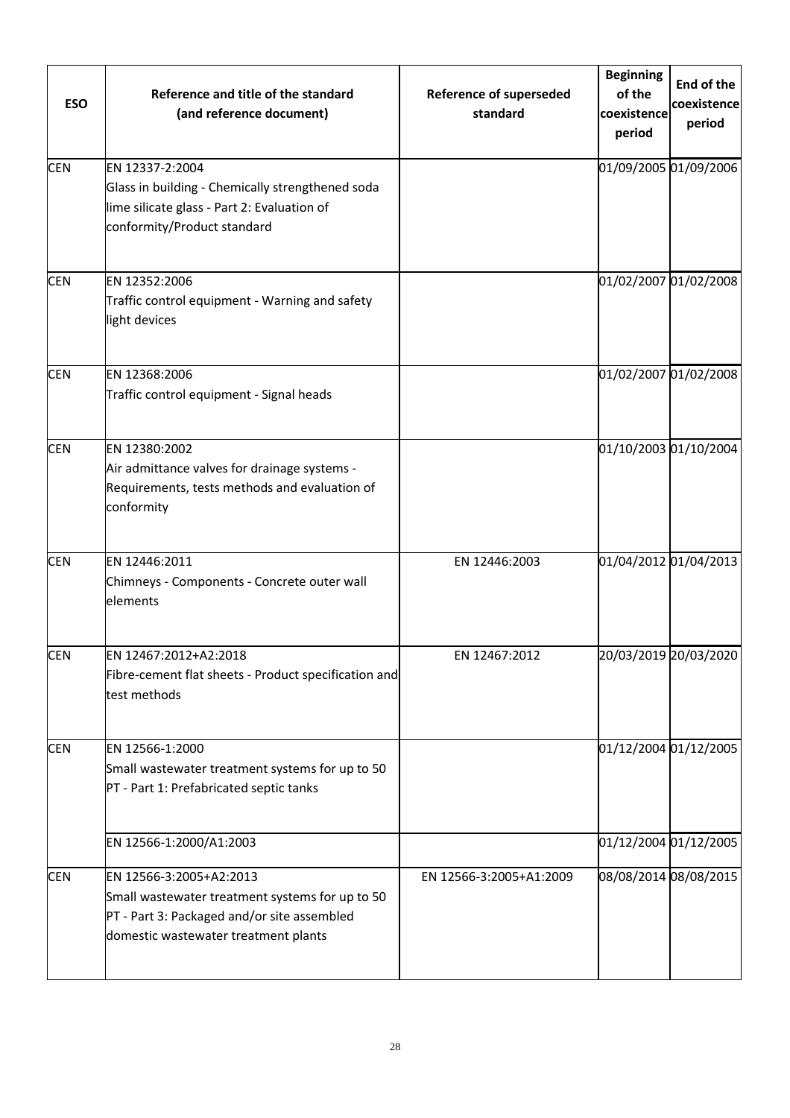| <b>ESO</b> | Reference and title of the standard<br>(and reference document)                                                                                                   | <b>Reference of superseded</b><br>standard | <b>Beginning</b><br>of the<br>coexistence<br>period | End of the<br>coexistence<br>period |
|------------|-------------------------------------------------------------------------------------------------------------------------------------------------------------------|--------------------------------------------|-----------------------------------------------------|-------------------------------------|
| <b>CEN</b> | EN 12337-2:2004<br>Glass in building - Chemically strengthened soda<br>lime silicate glass - Part 2: Evaluation of<br>conformity/Product standard                 |                                            |                                                     | 01/09/2005 01/09/2006               |
| <b>CEN</b> | EN 12352:2006<br>Traffic control equipment - Warning and safety<br>light devices                                                                                  |                                            |                                                     | 01/02/2007 01/02/2008               |
| <b>CEN</b> | EN 12368:2006<br>Traffic control equipment - Signal heads                                                                                                         |                                            |                                                     | 01/02/2007 01/02/2008               |
| <b>CEN</b> | EN 12380:2002<br>Air admittance valves for drainage systems -<br>Requirements, tests methods and evaluation of<br>conformity                                      |                                            | 01/10/2003 01/10/2004                               |                                     |
| <b>CEN</b> | EN 12446:2011<br>Chimneys - Components - Concrete outer wall<br>elements                                                                                          | EN 12446:2003                              |                                                     | 01/04/2012 01/04/2013               |
| <b>CEN</b> | FN 12467:2012+A2:2018<br>Fibre-cement flat sheets - Product specification and<br>test methods                                                                     | FN 12467:2012                              |                                                     | 20/03/2019 20/03/2020               |
| <b>CEN</b> | EN 12566-1:2000<br>Small wastewater treatment systems for up to 50<br>PT - Part 1: Prefabricated septic tanks                                                     |                                            |                                                     | 01/12/2004 01/12/2005               |
|            | EN 12566-1:2000/A1:2003                                                                                                                                           |                                            | 01/12/2004 01/12/2005                               |                                     |
| <b>CEN</b> | EN 12566-3:2005+A2:2013<br>Small wastewater treatment systems for up to 50<br>PT - Part 3: Packaged and/or site assembled<br>domestic wastewater treatment plants | EN 12566-3:2005+A1:2009                    |                                                     | 08/08/2014 08/08/2015               |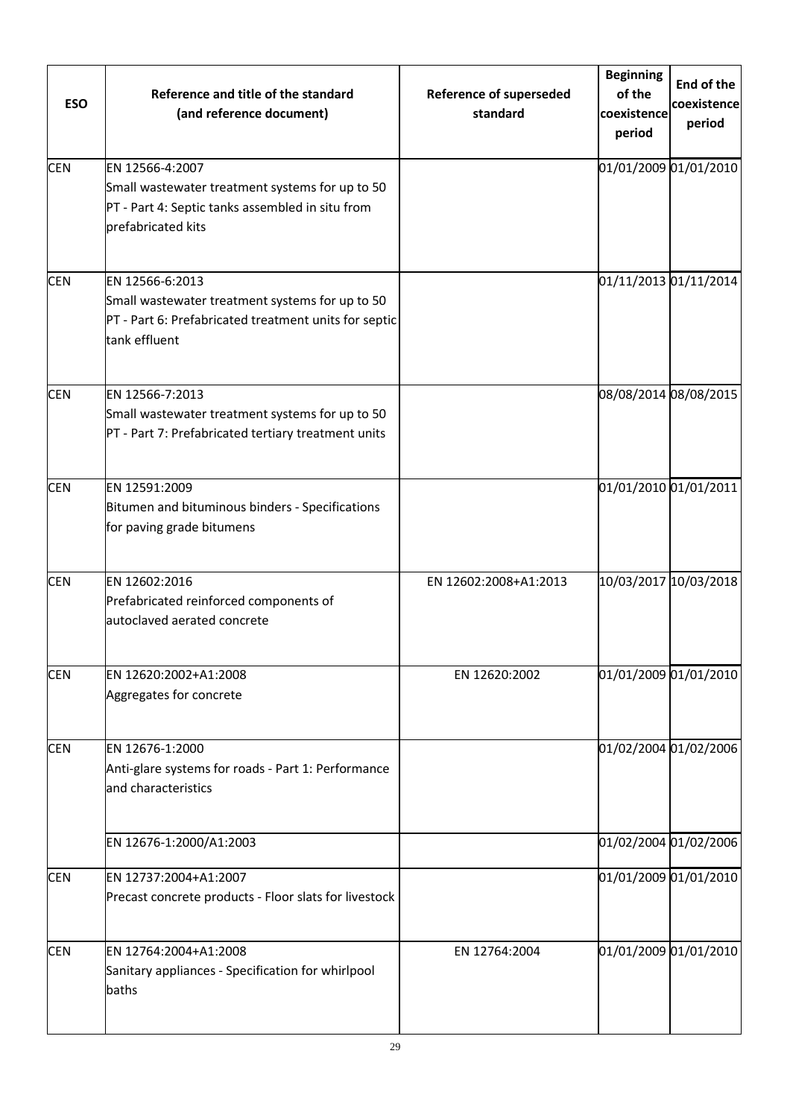| <b>ESO</b> | Reference and title of the standard<br>(and reference document)                                                                              | <b>Reference of superseded</b><br>standard | <b>Beginning</b><br>of the<br>coexistence<br>period | End of the<br>coexistence<br>period |
|------------|----------------------------------------------------------------------------------------------------------------------------------------------|--------------------------------------------|-----------------------------------------------------|-------------------------------------|
| <b>CEN</b> | EN 12566-4:2007<br>Small wastewater treatment systems for up to 50<br>PT - Part 4: Septic tanks assembled in situ from<br>prefabricated kits |                                            | 01/01/2009 01/01/2010                               |                                     |
| <b>CEN</b> | EN 12566-6:2013<br>Small wastewater treatment systems for up to 50<br>PT - Part 6: Prefabricated treatment units for septic<br>tank effluent |                                            | 01/11/2013 01/11/2014                               |                                     |
| <b>CEN</b> | EN 12566-7:2013<br>Small wastewater treatment systems for up to 50<br>PT - Part 7: Prefabricated tertiary treatment units                    |                                            | 08/08/2014 08/08/2015                               |                                     |
| <b>CEN</b> | EN 12591:2009<br>Bitumen and bituminous binders - Specifications<br>for paving grade bitumens                                                |                                            | 01/01/2010 01/01/2011                               |                                     |
| <b>CEN</b> | EN 12602:2016<br>Prefabricated reinforced components of<br>autoclaved aerated concrete                                                       | EN 12602:2008+A1:2013                      |                                                     | 10/03/2017 10/03/2018               |
| <b>CEN</b> | EN 12620:2002+A1:2008<br>Aggregates for concrete                                                                                             | EN 12620:2002                              |                                                     | 01/01/2009 01/01/2010               |
| <b>CEN</b> | EN 12676-1:2000<br>Anti-glare systems for roads - Part 1: Performance<br>and characteristics                                                 |                                            |                                                     | 01/02/2004 01/02/2006               |
|            | EN 12676-1:2000/A1:2003                                                                                                                      |                                            |                                                     | 01/02/2004 01/02/2006               |
| <b>CEN</b> | EN 12737:2004+A1:2007<br>Precast concrete products - Floor slats for livestock                                                               |                                            |                                                     | 01/01/2009 01/01/2010               |
| <b>CEN</b> | EN 12764:2004+A1:2008<br>Sanitary appliances - Specification for whirlpool<br>baths                                                          | EN 12764:2004                              |                                                     | 01/01/2009 01/01/2010               |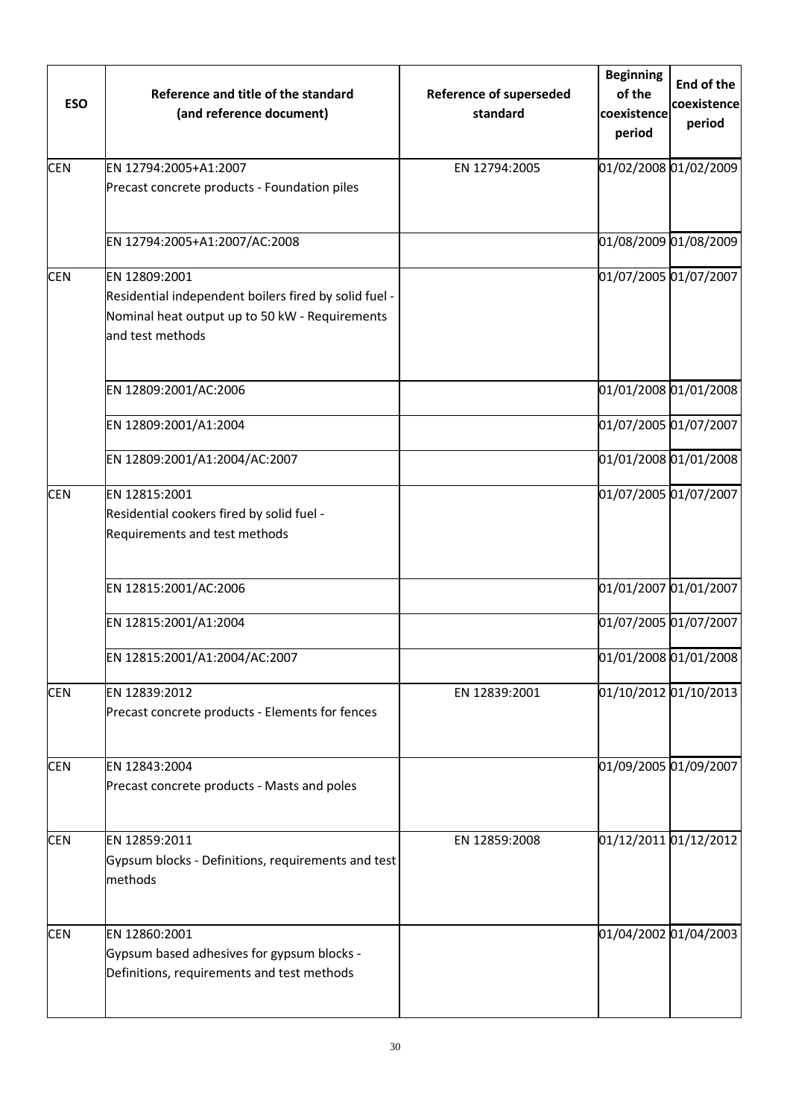| <b>ESO</b> | Reference and title of the standard<br>(and reference document)                                                                              | <b>Reference of superseded</b><br>standard | <b>Beginning</b><br>of the<br>coexistence<br>period | End of the<br>coexistence<br>period |
|------------|----------------------------------------------------------------------------------------------------------------------------------------------|--------------------------------------------|-----------------------------------------------------|-------------------------------------|
| <b>CEN</b> | EN 12794:2005+A1:2007<br>Precast concrete products - Foundation piles                                                                        | EN 12794:2005                              | 01/02/2008 01/02/2009                               |                                     |
|            | EN 12794:2005+A1:2007/AC:2008                                                                                                                |                                            |                                                     | 01/08/2009 01/08/2009               |
| <b>CEN</b> | EN 12809:2001<br>Residential independent boilers fired by solid fuel -<br>Nominal heat output up to 50 kW - Requirements<br>and test methods |                                            | 01/07/2005 01/07/2007                               |                                     |
|            | EN 12809:2001/AC:2006                                                                                                                        |                                            |                                                     | 01/01/2008 01/01/2008               |
|            | EN 12809:2001/A1:2004                                                                                                                        |                                            | 01/07/2005 01/07/2007                               |                                     |
|            | EN 12809:2001/A1:2004/AC:2007                                                                                                                |                                            |                                                     | 01/01/2008 01/01/2008               |
| <b>CEN</b> | EN 12815:2001<br>Residential cookers fired by solid fuel -<br>Requirements and test methods                                                  |                                            | 01/07/2005 01/07/2007                               |                                     |
|            | EN 12815:2001/AC:2006                                                                                                                        |                                            | 01/01/2007 01/01/2007                               |                                     |
|            | EN 12815:2001/A1:2004                                                                                                                        |                                            | 01/07/2005 01/07/2007                               |                                     |
|            | EN 12815:2001/A1:2004/AC:2007                                                                                                                |                                            | 01/01/2008 01/01/2008                               |                                     |
| <b>CEN</b> | EN 12839:2012<br>Precast concrete products - Elements for fences                                                                             | EN 12839:2001                              |                                                     | 01/10/2012 01/10/2013               |
| <b>CEN</b> | EN 12843:2004<br>Precast concrete products - Masts and poles                                                                                 |                                            | 01/09/2005 01/09/2007                               |                                     |
| <b>CEN</b> | EN 12859:2011<br>Gypsum blocks - Definitions, requirements and test<br>methods                                                               | EN 12859:2008                              |                                                     | 01/12/2011 01/12/2012               |
| <b>CEN</b> | EN 12860:2001<br>Gypsum based adhesives for gypsum blocks -<br>Definitions, requirements and test methods                                    |                                            | 01/04/2002 01/04/2003                               |                                     |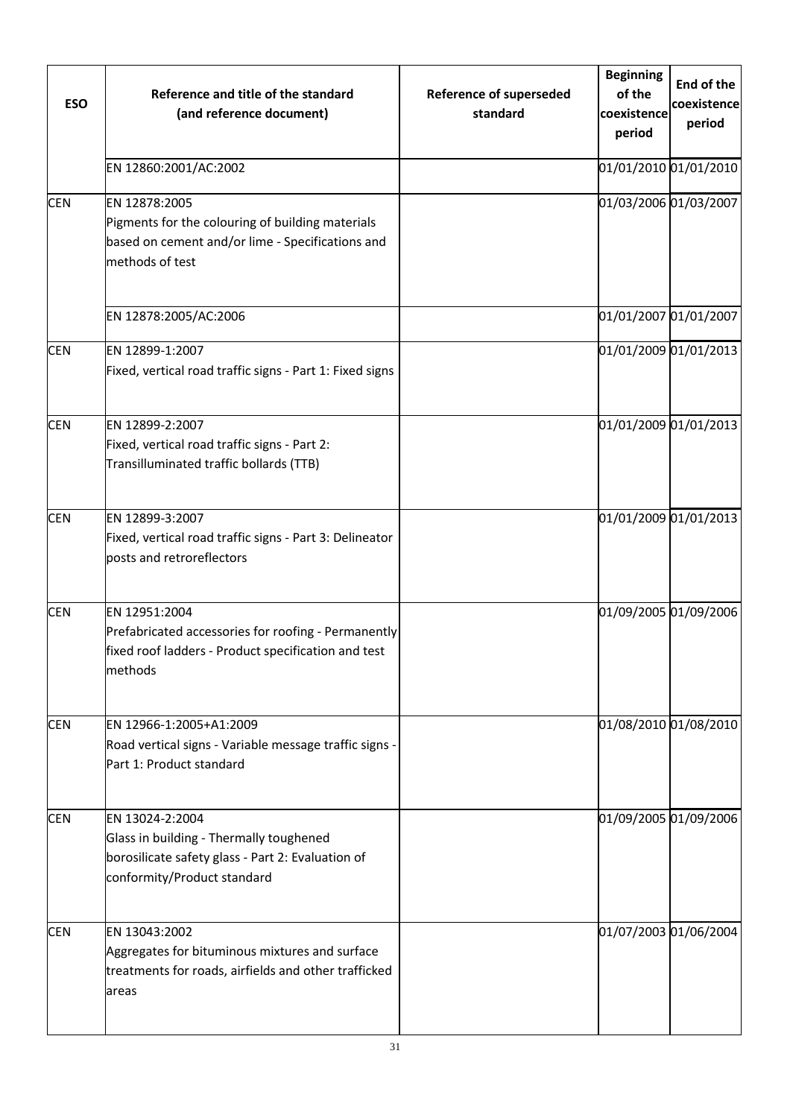| <b>ESO</b> | Reference and title of the standard<br>(and reference document)                                                                                | <b>Reference of superseded</b><br>standard | <b>Beginning</b><br>of the<br>coexistence<br>period | End of the<br>coexistence<br>period |
|------------|------------------------------------------------------------------------------------------------------------------------------------------------|--------------------------------------------|-----------------------------------------------------|-------------------------------------|
|            | EN 12860:2001/AC:2002                                                                                                                          |                                            |                                                     | 01/01/2010 01/01/2010               |
| <b>CEN</b> | EN 12878:2005<br>Pigments for the colouring of building materials<br>based on cement and/or lime - Specifications and<br>methods of test       |                                            |                                                     | 01/03/2006 01/03/2007               |
|            | EN 12878:2005/AC:2006                                                                                                                          |                                            |                                                     | 01/01/2007 01/01/2007               |
| <b>CEN</b> | EN 12899-1:2007<br>Fixed, vertical road traffic signs - Part 1: Fixed signs                                                                    |                                            |                                                     | 01/01/2009 01/01/2013               |
| <b>CEN</b> | EN 12899-2:2007<br>Fixed, vertical road traffic signs - Part 2:<br>Transilluminated traffic bollards (TTB)                                     |                                            |                                                     | 01/01/2009 01/01/2013               |
| <b>CEN</b> | EN 12899-3:2007<br>Fixed, vertical road traffic signs - Part 3: Delineator<br>posts and retroreflectors                                        |                                            |                                                     | 01/01/2009 01/01/2013               |
| <b>CEN</b> | EN 12951:2004<br>Prefabricated accessories for roofing - Permanently<br>fixed roof ladders - Product specification and test<br>methods         |                                            |                                                     | 01/09/2005 01/09/2006               |
| <b>CEN</b> | EN 12966-1:2005+A1:2009<br>Road vertical signs - Variable message traffic signs -<br>Part 1: Product standard                                  |                                            |                                                     | 01/08/2010 01/08/2010               |
| <b>CEN</b> | EN 13024-2:2004<br>Glass in building - Thermally toughened<br>borosilicate safety glass - Part 2: Evaluation of<br>conformity/Product standard |                                            |                                                     | 01/09/2005 01/09/2006               |
| <b>CEN</b> | EN 13043:2002<br>Aggregates for bituminous mixtures and surface<br>treatments for roads, airfields and other trafficked<br>areas               |                                            | 01/07/2003 01/06/2004                               |                                     |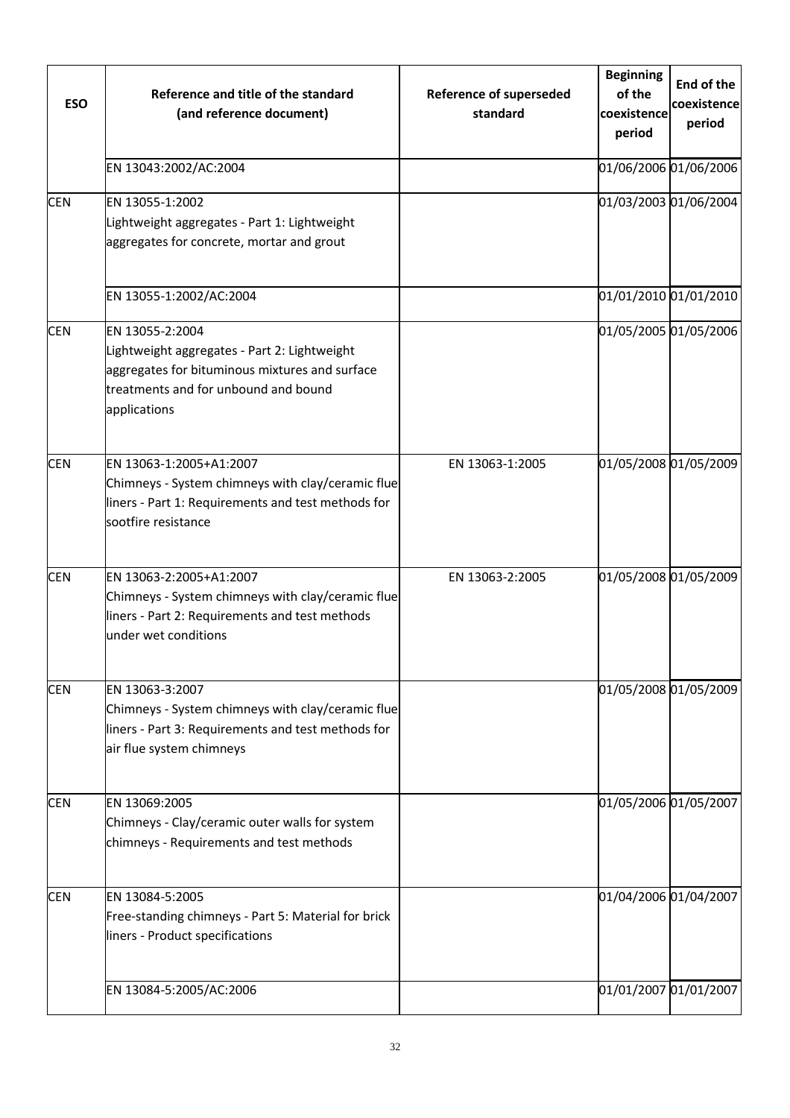| <b>ESO</b> | Reference and title of the standard<br>(and reference document)                                                                                                           | <b>Reference of superseded</b><br>standard | <b>Beginning</b><br>of the<br>coexistence<br>period | End of the<br>coexistence<br>period |
|------------|---------------------------------------------------------------------------------------------------------------------------------------------------------------------------|--------------------------------------------|-----------------------------------------------------|-------------------------------------|
|            | EN 13043:2002/AC:2004                                                                                                                                                     |                                            | 01/06/2006 01/06/2006                               |                                     |
| <b>CEN</b> | EN 13055-1:2002<br>Lightweight aggregates - Part 1: Lightweight<br>aggregates for concrete, mortar and grout                                                              |                                            | 01/03/2003 01/06/2004                               |                                     |
|            | EN 13055-1:2002/AC:2004                                                                                                                                                   |                                            | 01/01/2010 01/01/2010                               |                                     |
| <b>CEN</b> | EN 13055-2:2004<br>Lightweight aggregates - Part 2: Lightweight<br>aggregates for bituminous mixtures and surface<br>treatments and for unbound and bound<br>applications |                                            | 01/05/2005 01/05/2006                               |                                     |
| <b>CEN</b> | EN 13063-1:2005+A1:2007<br>Chimneys - System chimneys with clay/ceramic flue<br>liners - Part 1: Requirements and test methods for<br>sootfire resistance                 | EN 13063-1:2005                            | 01/05/2008 01/05/2009                               |                                     |
| <b>CEN</b> | EN 13063-2:2005+A1:2007<br>Chimneys - System chimneys with clay/ceramic flue<br>liners - Part 2: Requirements and test methods<br>under wet conditions                    | EN 13063-2:2005                            | 01/05/2008 01/05/2009                               |                                     |
| <b>CEN</b> | EN 13063-3:2007<br>Chimneys - System chimneys with clay/ceramic flue<br>liners - Part 3: Requirements and test methods for<br>air flue system chimneys                    |                                            | 01/05/2008 01/05/2009                               |                                     |
| <b>CEN</b> | EN 13069:2005<br>Chimneys - Clay/ceramic outer walls for system<br>chimneys - Requirements and test methods                                                               |                                            | 01/05/2006 01/05/2007                               |                                     |
| <b>CEN</b> | EN 13084-5:2005<br>Free-standing chimneys - Part 5: Material for brick<br>liners - Product specifications                                                                 |                                            | 01/04/2006 01/04/2007                               |                                     |
|            | EN 13084-5:2005/AC:2006                                                                                                                                                   |                                            | 01/01/2007 01/01/2007                               |                                     |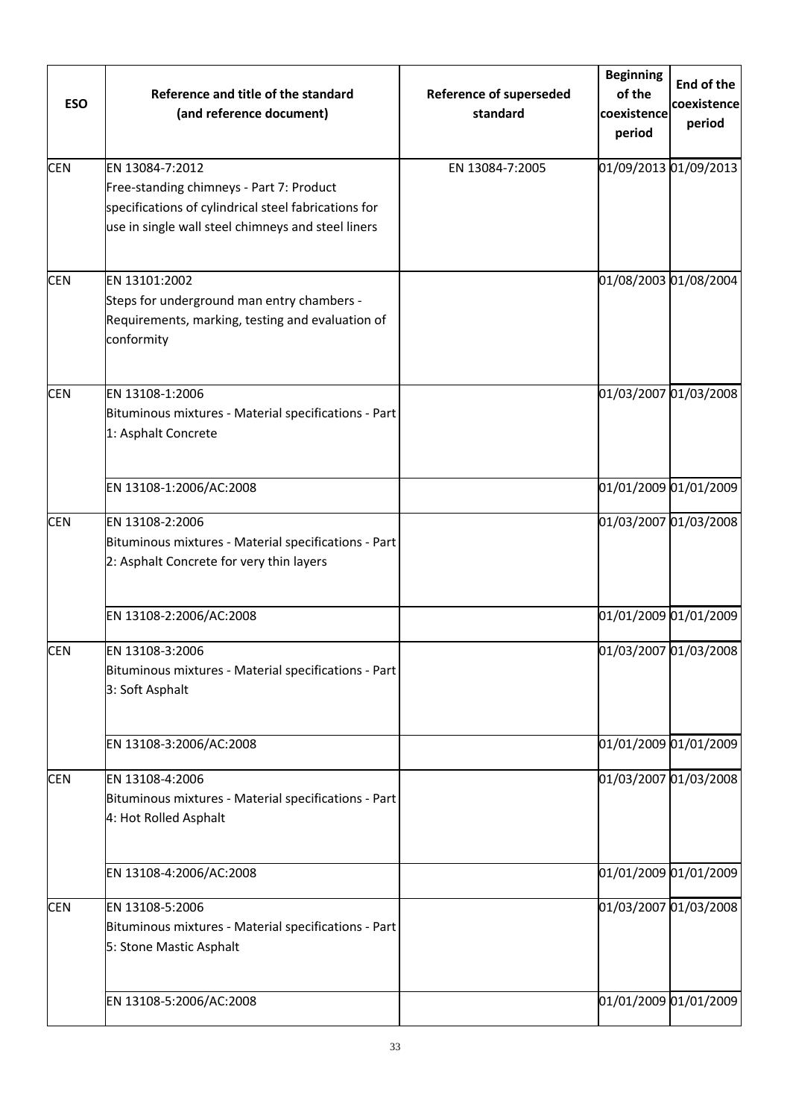| <b>ESO</b> | Reference and title of the standard<br>(and reference document)                                                                                                           | <b>Reference of superseded</b><br>standard | <b>Beginning</b><br>of the<br>coexistence<br>period | End of the<br>coexistence<br>period |
|------------|---------------------------------------------------------------------------------------------------------------------------------------------------------------------------|--------------------------------------------|-----------------------------------------------------|-------------------------------------|
| <b>CEN</b> | EN 13084-7:2012<br>Free-standing chimneys - Part 7: Product<br>specifications of cylindrical steel fabrications for<br>use in single wall steel chimneys and steel liners | EN 13084-7:2005                            |                                                     | 01/09/2013 01/09/2013               |
| <b>CEN</b> | EN 13101:2002<br>Steps for underground man entry chambers -<br>Requirements, marking, testing and evaluation of<br>conformity                                             |                                            |                                                     | 01/08/2003 01/08/2004               |
| <b>CEN</b> | EN 13108-1:2006<br>Bituminous mixtures - Material specifications - Part<br>1: Asphalt Concrete                                                                            |                                            |                                                     | 01/03/2007 01/03/2008               |
|            | EN 13108-1:2006/AC:2008                                                                                                                                                   |                                            |                                                     | 01/01/2009 01/01/2009               |
| <b>CEN</b> | EN 13108-2:2006<br>Bituminous mixtures - Material specifications - Part<br>2: Asphalt Concrete for very thin layers                                                       |                                            |                                                     | 01/03/2007 01/03/2008               |
|            | EN 13108-2:2006/AC:2008                                                                                                                                                   |                                            |                                                     | 01/01/2009 01/01/2009               |
| <b>CEN</b> | EN 13108-3:2006<br>Bituminous mixtures - Material specifications - Part<br>3: Soft Asphalt                                                                                |                                            |                                                     | 01/03/2007 01/03/2008               |
|            | EN 13108-3:2006/AC:2008                                                                                                                                                   |                                            |                                                     | 01/01/2009 01/01/2009               |
| <b>CEN</b> | EN 13108-4:2006<br>Bituminous mixtures - Material specifications - Part<br>4: Hot Rolled Asphalt                                                                          |                                            |                                                     | 01/03/2007 01/03/2008               |
|            | EN 13108-4:2006/AC:2008                                                                                                                                                   |                                            |                                                     | 01/01/2009 01/01/2009               |
| <b>CEN</b> | EN 13108-5:2006<br>Bituminous mixtures - Material specifications - Part<br>5: Stone Mastic Asphalt                                                                        |                                            |                                                     | 01/03/2007 01/03/2008               |
|            | EN 13108-5:2006/AC:2008                                                                                                                                                   |                                            |                                                     | 01/01/2009 01/01/2009               |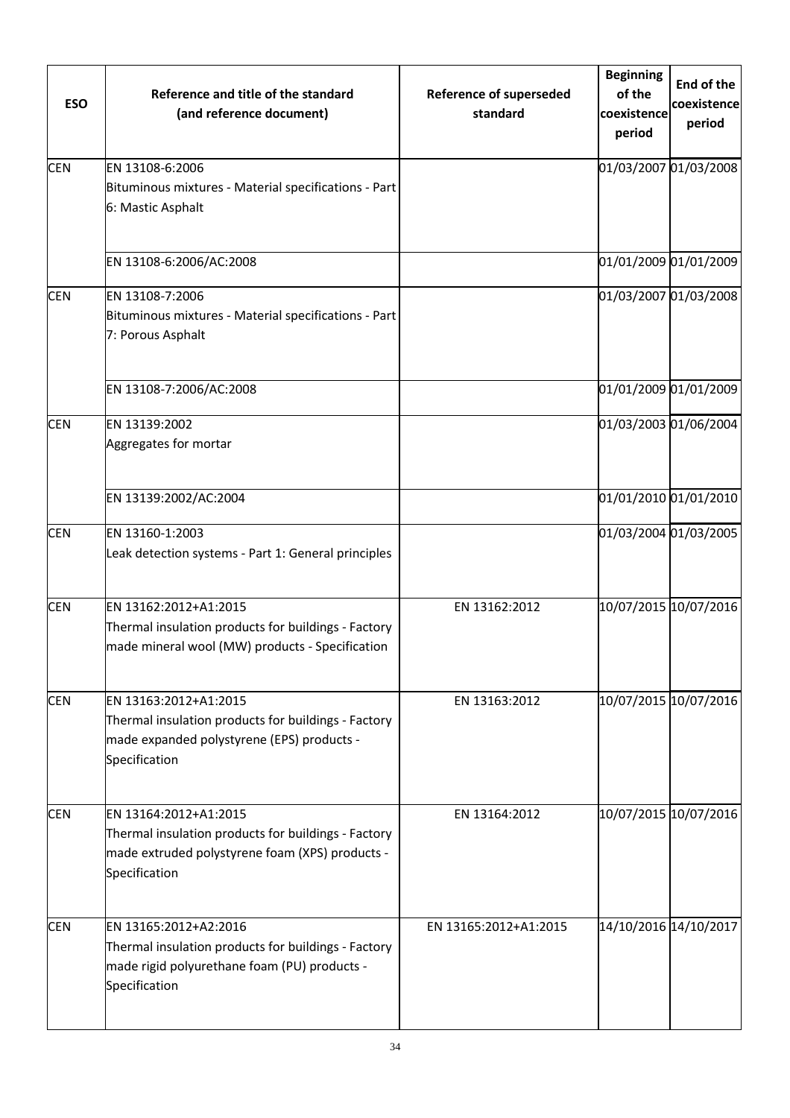| <b>ESO</b> | Reference and title of the standard<br>(and reference document)                                                                                  | <b>Reference of superseded</b><br>standard | <b>Beginning</b><br>of the<br>coexistence<br>period | End of the<br>coexistence<br>period |
|------------|--------------------------------------------------------------------------------------------------------------------------------------------------|--------------------------------------------|-----------------------------------------------------|-------------------------------------|
| <b>CEN</b> | EN 13108-6:2006<br>Bituminous mixtures - Material specifications - Part<br>6: Mastic Asphalt                                                     |                                            |                                                     | 01/03/2007 01/03/2008               |
|            | EN 13108-6:2006/AC:2008                                                                                                                          |                                            |                                                     | 01/01/2009 01/01/2009               |
| <b>CEN</b> | EN 13108-7:2006<br>Bituminous mixtures - Material specifications - Part<br>7: Porous Asphalt                                                     |                                            |                                                     | 01/03/2007 01/03/2008               |
|            | EN 13108-7:2006/AC:2008                                                                                                                          |                                            |                                                     | 01/01/2009 01/01/2009               |
| <b>CEN</b> | EN 13139:2002<br>Aggregates for mortar                                                                                                           |                                            | 01/03/2003 01/06/2004                               |                                     |
|            | EN 13139:2002/AC:2004                                                                                                                            |                                            |                                                     | 01/01/2010 01/01/2010               |
| <b>CEN</b> | EN 13160-1:2003<br>Leak detection systems - Part 1: General principles                                                                           |                                            |                                                     | 01/03/2004 01/03/2005               |
| <b>CEN</b> | EN 13162:2012+A1:2015<br>Thermal insulation products for buildings - Factory<br>made mineral wool (MW) products - Specification                  | EN 13162:2012                              |                                                     | 10/07/2015 10/07/2016               |
| <b>CEN</b> | EN 13163:2012+A1:2015<br>Thermal insulation products for buildings - Factory<br>made expanded polystyrene (EPS) products -<br>Specification      | EN 13163:2012                              |                                                     | 10/07/2015 10/07/2016               |
| <b>CEN</b> | EN 13164:2012+A1:2015<br>Thermal insulation products for buildings - Factory<br>made extruded polystyrene foam (XPS) products -<br>Specification | EN 13164:2012                              |                                                     | 10/07/2015 10/07/2016               |
| <b>CEN</b> | EN 13165:2012+A2:2016<br>Thermal insulation products for buildings - Factory<br>made rigid polyurethane foam (PU) products -<br>Specification    | EN 13165:2012+A1:2015                      | 14/10/2016 14/10/2017                               |                                     |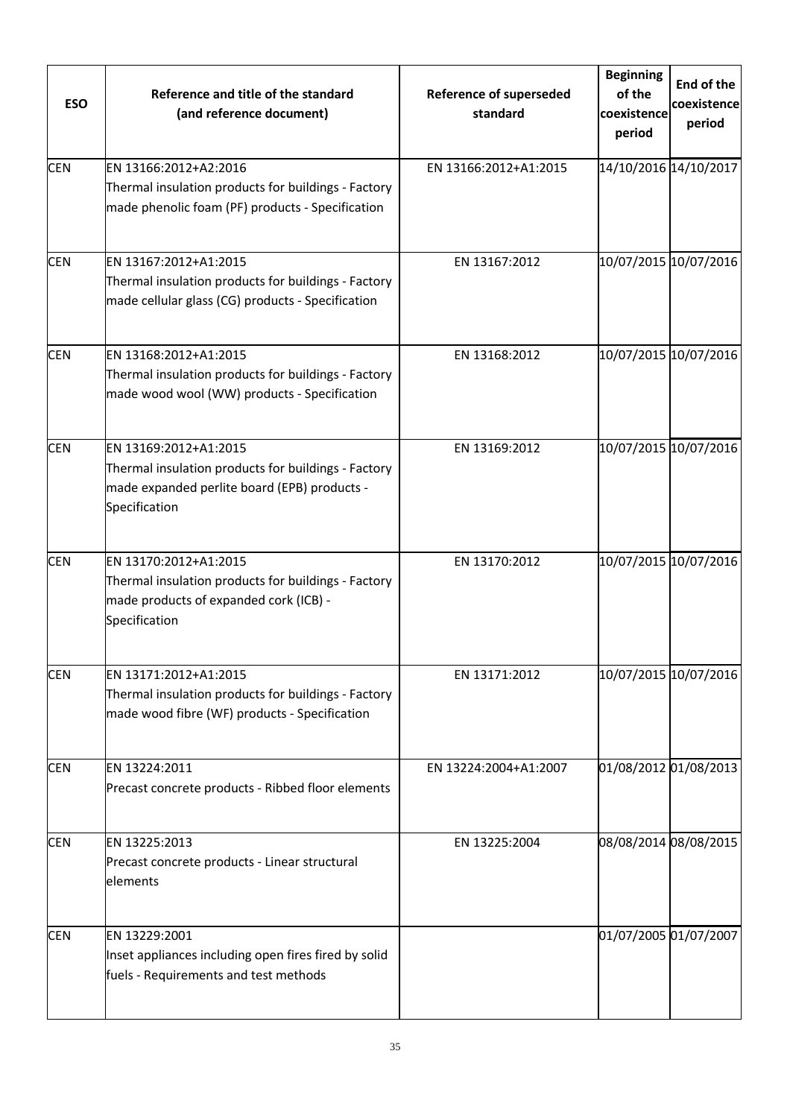| <b>ESO</b> | Reference and title of the standard<br>(and reference document)                                                                               | <b>Reference of superseded</b><br>standard | <b>Beginning</b><br>of the<br>coexistence<br>period | End of the<br>coexistence<br>period |
|------------|-----------------------------------------------------------------------------------------------------------------------------------------------|--------------------------------------------|-----------------------------------------------------|-------------------------------------|
| <b>CEN</b> | EN 13166:2012+A2:2016<br>Thermal insulation products for buildings - Factory<br>made phenolic foam (PF) products - Specification              | EN 13166:2012+A1:2015                      | 14/10/2016 14/10/2017                               |                                     |
| <b>CEN</b> | EN 13167:2012+A1:2015<br>Thermal insulation products for buildings - Factory<br>made cellular glass (CG) products - Specification             | EN 13167:2012                              |                                                     | 10/07/2015 10/07/2016               |
| <b>CEN</b> | EN 13168:2012+A1:2015<br>Thermal insulation products for buildings - Factory<br>made wood wool (WW) products - Specification                  | EN 13168:2012                              |                                                     | 10/07/2015 10/07/2016               |
| <b>CEN</b> | EN 13169:2012+A1:2015<br>Thermal insulation products for buildings - Factory<br>made expanded perlite board (EPB) products -<br>Specification | EN 13169:2012                              |                                                     | 10/07/2015 10/07/2016               |
| <b>CEN</b> | EN 13170:2012+A1:2015<br>Thermal insulation products for buildings - Factory<br>made products of expanded cork (ICB) -<br>Specification       | EN 13170:2012                              |                                                     | 10/07/2015 10/07/2016               |
| <b>CEN</b> | EN 13171:2012+A1:2015<br>Thermal insulation products for buildings - Factory<br>made wood fibre (WF) products - Specification                 | EN 13171:2012                              |                                                     | 10/07/2015 10/07/2016               |
| <b>CEN</b> | EN 13224:2011<br>Precast concrete products - Ribbed floor elements                                                                            | EN 13224:2004+A1:2007                      | 01/08/2012 01/08/2013                               |                                     |
| <b>CEN</b> | EN 13225:2013<br>Precast concrete products - Linear structural<br>elements                                                                    | EN 13225:2004                              |                                                     | 08/08/2014 08/08/2015               |
| <b>CEN</b> | EN 13229:2001<br>Inset appliances including open fires fired by solid<br>fuels - Requirements and test methods                                |                                            | 01/07/2005 01/07/2007                               |                                     |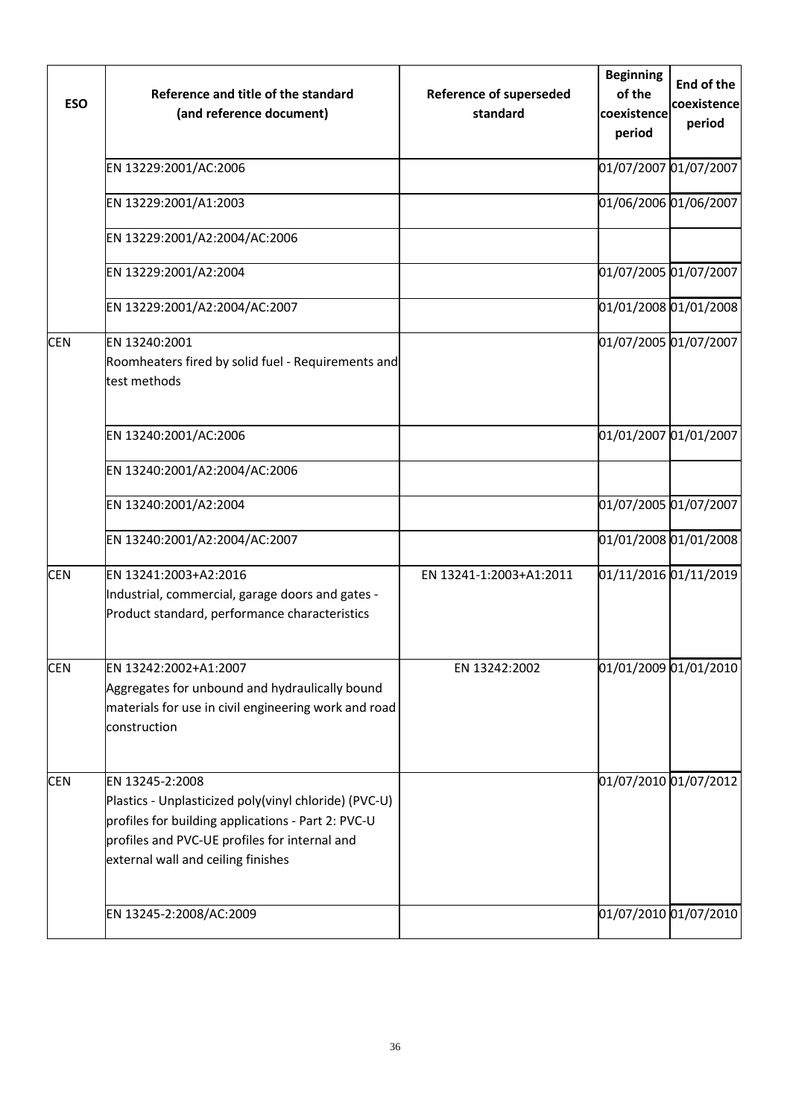| Reference and title of the standard<br>(and reference document)                                                                                                                                                                                  | <b>Reference of superseded</b><br>standard | <b>Beginning</b><br>of the<br>period | End of the<br>coexistence<br>period                                                                                                                                                                                                                                                                                     |
|--------------------------------------------------------------------------------------------------------------------------------------------------------------------------------------------------------------------------------------------------|--------------------------------------------|--------------------------------------|-------------------------------------------------------------------------------------------------------------------------------------------------------------------------------------------------------------------------------------------------------------------------------------------------------------------------|
| EN 13229:2001/AC:2006                                                                                                                                                                                                                            |                                            |                                      |                                                                                                                                                                                                                                                                                                                         |
| EN 13229:2001/A1:2003                                                                                                                                                                                                                            |                                            |                                      |                                                                                                                                                                                                                                                                                                                         |
| EN 13229:2001/A2:2004/AC:2006                                                                                                                                                                                                                    |                                            |                                      |                                                                                                                                                                                                                                                                                                                         |
| EN 13229:2001/A2:2004                                                                                                                                                                                                                            |                                            |                                      |                                                                                                                                                                                                                                                                                                                         |
| EN 13229:2001/A2:2004/AC:2007                                                                                                                                                                                                                    |                                            |                                      |                                                                                                                                                                                                                                                                                                                         |
| EN 13240:2001<br>Roomheaters fired by solid fuel - Requirements and<br>test methods                                                                                                                                                              |                                            |                                      |                                                                                                                                                                                                                                                                                                                         |
| EN 13240:2001/AC:2006                                                                                                                                                                                                                            |                                            |                                      |                                                                                                                                                                                                                                                                                                                         |
| EN 13240:2001/A2:2004/AC:2006                                                                                                                                                                                                                    |                                            |                                      |                                                                                                                                                                                                                                                                                                                         |
| EN 13240:2001/A2:2004                                                                                                                                                                                                                            |                                            |                                      |                                                                                                                                                                                                                                                                                                                         |
| EN 13240:2001/A2:2004/AC:2007                                                                                                                                                                                                                    |                                            |                                      |                                                                                                                                                                                                                                                                                                                         |
| EN 13241:2003+A2:2016<br>Industrial, commercial, garage doors and gates -<br>Product standard, performance characteristics                                                                                                                       | EN 13241-1:2003+A1:2011                    |                                      |                                                                                                                                                                                                                                                                                                                         |
| EN 13242:2002+A1:2007<br>Aggregates for unbound and hydraulically bound<br>materials for use in civil engineering work and road<br>construction                                                                                                  | EN 13242:2002                              |                                      |                                                                                                                                                                                                                                                                                                                         |
| EN 13245-2:2008<br>Plastics - Unplasticized poly(vinyl chloride) (PVC-U)<br>profiles for building applications - Part 2: PVC-U<br>profiles and PVC-UE profiles for internal and<br>external wall and ceiling finishes<br>EN 13245-2:2008/AC:2009 |                                            |                                      |                                                                                                                                                                                                                                                                                                                         |
|                                                                                                                                                                                                                                                  |                                            |                                      | coexistence<br>01/07/2007 01/07/2007<br>01/06/2006 01/06/2007<br>01/07/2005 01/07/2007<br>01/01/2008 01/01/2008<br>01/07/2005 01/07/2007<br>01/01/2007 01/01/2007<br>01/07/2005 01/07/2007<br>01/01/2008 01/01/2008<br>01/11/2016 01/11/2019<br>01/01/2009 01/01/2010<br>01/07/2010 01/07/2012<br>01/07/2010 01/07/2010 |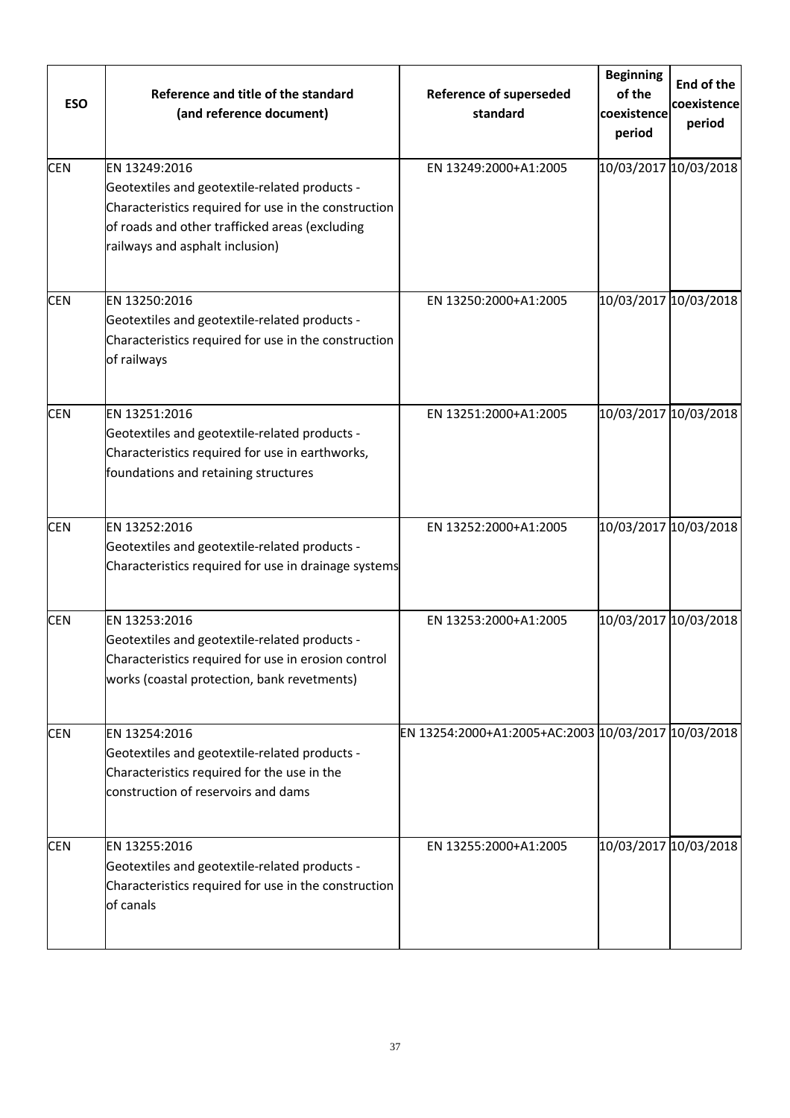| <b>ESO</b> | Reference and title of the standard<br>(and reference document)                                                                                                                                             | <b>Reference of superseded</b><br>standard          | <b>Beginning</b><br>of the<br>coexistence<br>period | End of the<br>coexistence<br>period |
|------------|-------------------------------------------------------------------------------------------------------------------------------------------------------------------------------------------------------------|-----------------------------------------------------|-----------------------------------------------------|-------------------------------------|
| <b>CEN</b> | EN 13249:2016<br>Geotextiles and geotextile-related products -<br>Characteristics required for use in the construction<br>of roads and other trafficked areas (excluding<br>railways and asphalt inclusion) | EN 13249:2000+A1:2005                               |                                                     | 10/03/2017 10/03/2018               |
| <b>CEN</b> | EN 13250:2016<br>Geotextiles and geotextile-related products -<br>Characteristics required for use in the construction<br>of railways                                                                       | EN 13250:2000+A1:2005                               |                                                     | 10/03/2017 10/03/2018               |
| <b>CEN</b> | EN 13251:2016<br>Geotextiles and geotextile-related products -<br>Characteristics required for use in earthworks,<br>foundations and retaining structures                                                   | EN 13251:2000+A1:2005                               |                                                     | 10/03/2017 10/03/2018               |
| <b>CEN</b> | EN 13252:2016<br>Geotextiles and geotextile-related products -<br>Characteristics required for use in drainage systems                                                                                      | EN 13252:2000+A1:2005                               |                                                     | 10/03/2017 10/03/2018               |
| <b>CEN</b> | EN 13253:2016<br>Geotextiles and geotextile-related products -<br>Characteristics required for use in erosion control<br>works (coastal protection, bank revetments)                                        | EN 13253:2000+A1:2005                               |                                                     | 10/03/2017 10/03/2018               |
| <b>CEN</b> | EN 13254:2016<br>Geotextiles and geotextile-related products -<br>Characteristics required for the use in the<br>construction of reservoirs and dams                                                        | EN 13254:2000+A1:2005+AC:2003 10/03/2017 10/03/2018 |                                                     |                                     |
| <b>CEN</b> | EN 13255:2016<br>Geotextiles and geotextile-related products -<br>Characteristics required for use in the construction<br>of canals                                                                         | EN 13255:2000+A1:2005                               |                                                     | 10/03/2017 10/03/2018               |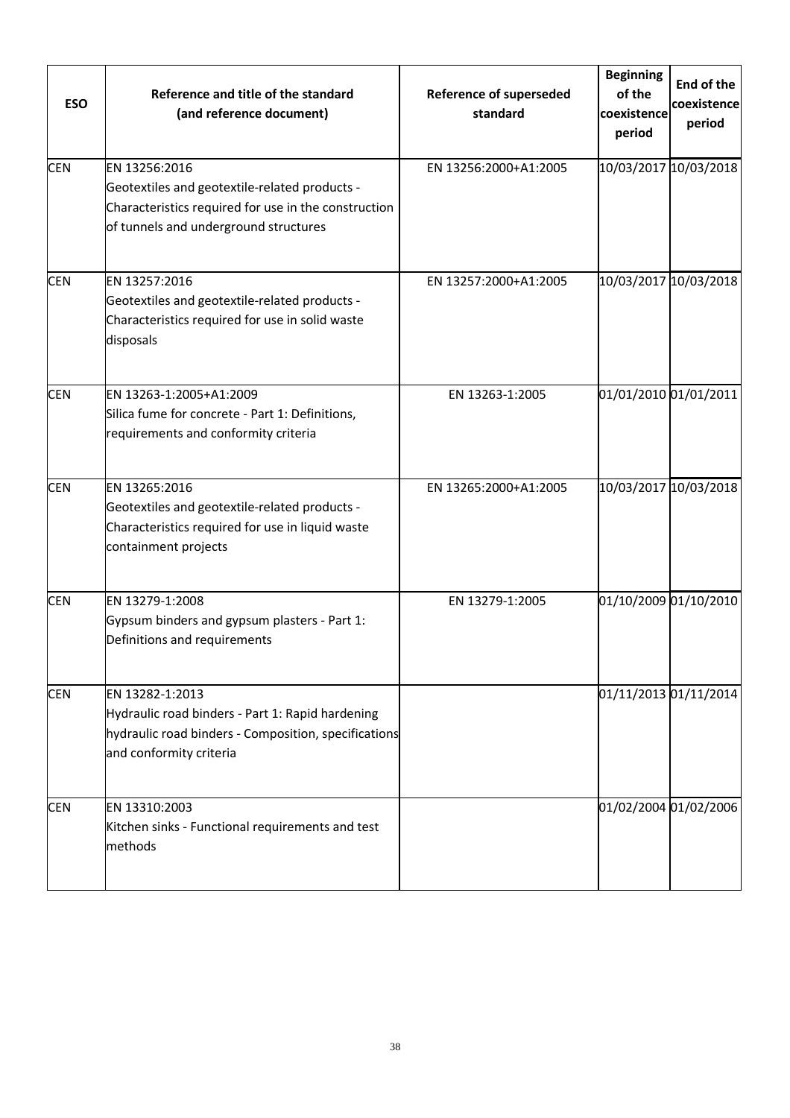| <b>ESO</b> | Reference and title of the standard<br>(and reference document)                                                                                                 | <b>Reference of superseded</b><br>standard | <b>Beginning</b><br>of the<br>coexistence<br>period | <b>End of the</b><br>coexistence<br>period |
|------------|-----------------------------------------------------------------------------------------------------------------------------------------------------------------|--------------------------------------------|-----------------------------------------------------|--------------------------------------------|
| <b>CEN</b> | EN 13256:2016<br>Geotextiles and geotextile-related products -<br>Characteristics required for use in the construction<br>of tunnels and underground structures | EN 13256:2000+A1:2005                      |                                                     | 10/03/2017 10/03/2018                      |
| <b>CEN</b> | EN 13257:2016<br>Geotextiles and geotextile-related products -<br>Characteristics required for use in solid waste<br>disposals                                  | EN 13257:2000+A1:2005                      |                                                     | 10/03/2017 10/03/2018                      |
| <b>CEN</b> | EN 13263-1:2005+A1:2009<br>Silica fume for concrete - Part 1: Definitions,<br>requirements and conformity criteria                                              | EN 13263-1:2005                            |                                                     | 01/01/2010 01/01/2011                      |
| <b>CEN</b> | EN 13265:2016<br>Geotextiles and geotextile-related products -<br>Characteristics required for use in liquid waste<br>containment projects                      | EN 13265:2000+A1:2005                      |                                                     | 10/03/2017 10/03/2018                      |
| <b>CEN</b> | EN 13279-1:2008<br>Gypsum binders and gypsum plasters - Part 1:<br>Definitions and requirements                                                                 | EN 13279-1:2005                            | 01/10/2009 01/10/2010                               |                                            |
| <b>CEN</b> | EN 13282-1:2013<br>Hydraulic road binders - Part 1: Rapid hardening<br>hydraulic road binders - Composition, specifications<br>and conformity criteria          |                                            | 01/11/2013 01/11/2014                               |                                            |
| <b>CEN</b> | EN 13310:2003<br>Kitchen sinks - Functional requirements and test<br>methods                                                                                    |                                            | 01/02/2004 01/02/2006                               |                                            |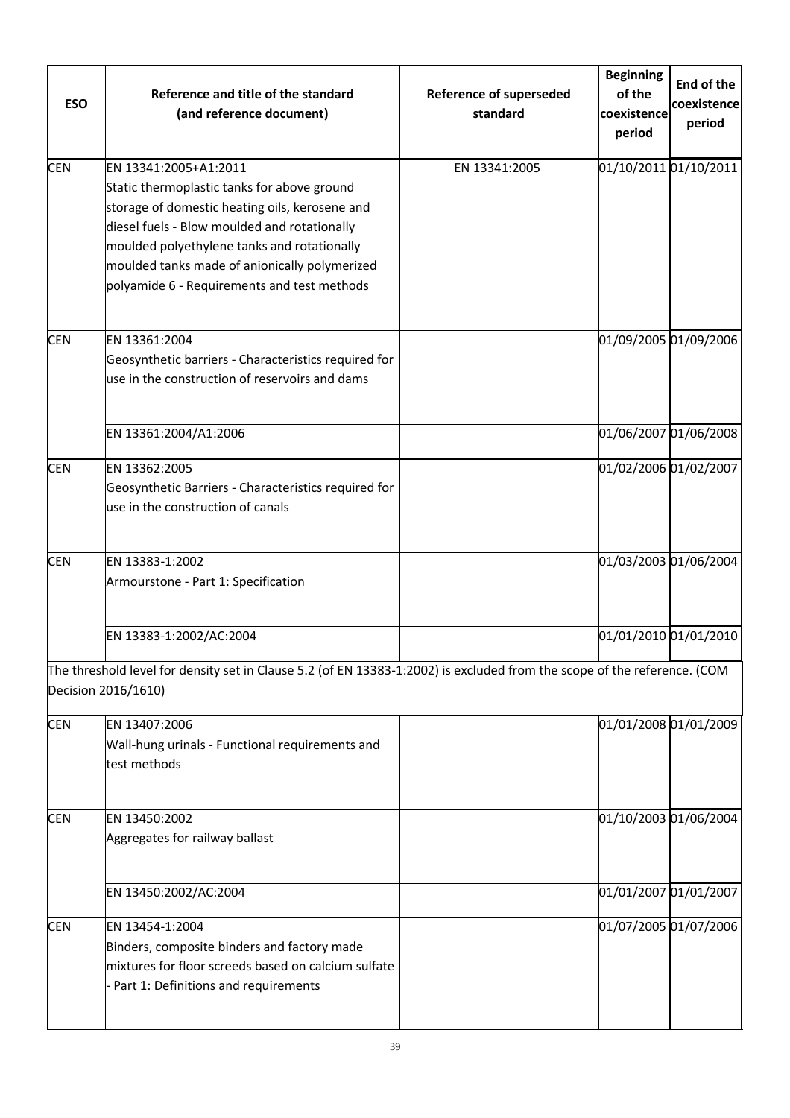| <b>ESO</b> | Reference and title of the standard<br>(and reference document)                                                                                                                                                                                                                                                       | <b>Reference of superseded</b><br>standard | <b>Beginning</b><br>of the<br>coexistence<br>period | End of the<br>coexistence<br>period |
|------------|-----------------------------------------------------------------------------------------------------------------------------------------------------------------------------------------------------------------------------------------------------------------------------------------------------------------------|--------------------------------------------|-----------------------------------------------------|-------------------------------------|
| <b>CEN</b> | EN 13341:2005+A1:2011<br>Static thermoplastic tanks for above ground<br>storage of domestic heating oils, kerosene and<br>diesel fuels - Blow moulded and rotationally<br>moulded polyethylene tanks and rotationally<br>moulded tanks made of anionically polymerized<br>polyamide 6 - Requirements and test methods | EN 13341:2005                              | 01/10/2011 01/10/2011                               |                                     |
| <b>CEN</b> | EN 13361:2004<br>Geosynthetic barriers - Characteristics required for<br>use in the construction of reservoirs and dams                                                                                                                                                                                               |                                            | 01/09/2005 01/09/2006                               |                                     |
|            | EN 13361:2004/A1:2006                                                                                                                                                                                                                                                                                                 |                                            | 01/06/2007 01/06/2008                               |                                     |
| <b>CEN</b> | EN 13362:2005<br>Geosynthetic Barriers - Characteristics required for<br>use in the construction of canals                                                                                                                                                                                                            |                                            | 01/02/2006 01/02/2007                               |                                     |
| <b>CEN</b> | EN 13383-1:2002<br>Armourstone - Part 1: Specification                                                                                                                                                                                                                                                                |                                            | 01/03/2003 01/06/2004                               |                                     |
|            | EN 13383-1:2002/AC:2004                                                                                                                                                                                                                                                                                               |                                            | 01/01/2010 01/01/2010                               |                                     |
|            | The threshold level for density set in Clause 5.2 (of EN 13383-1:2002) is excluded from the scope of the reference. (COM<br>Decision 2016/1610)                                                                                                                                                                       |                                            |                                                     |                                     |
| <b>CEN</b> | EN 13407:2006<br>Wall-hung urinals - Functional requirements and<br>test methods                                                                                                                                                                                                                                      |                                            |                                                     | 01/01/2008 01/01/2009               |
| <b>CEN</b> | EN 13450:2002<br>Aggregates for railway ballast                                                                                                                                                                                                                                                                       |                                            | 01/10/2003 01/06/2004                               |                                     |
|            | EN 13450:2002/AC:2004                                                                                                                                                                                                                                                                                                 |                                            | 01/01/2007 01/01/2007                               |                                     |
| <b>CEN</b> | EN 13454-1:2004<br>Binders, composite binders and factory made<br>mixtures for floor screeds based on calcium sulfate<br>Part 1: Definitions and requirements                                                                                                                                                         |                                            | 01/07/2005 01/07/2006                               |                                     |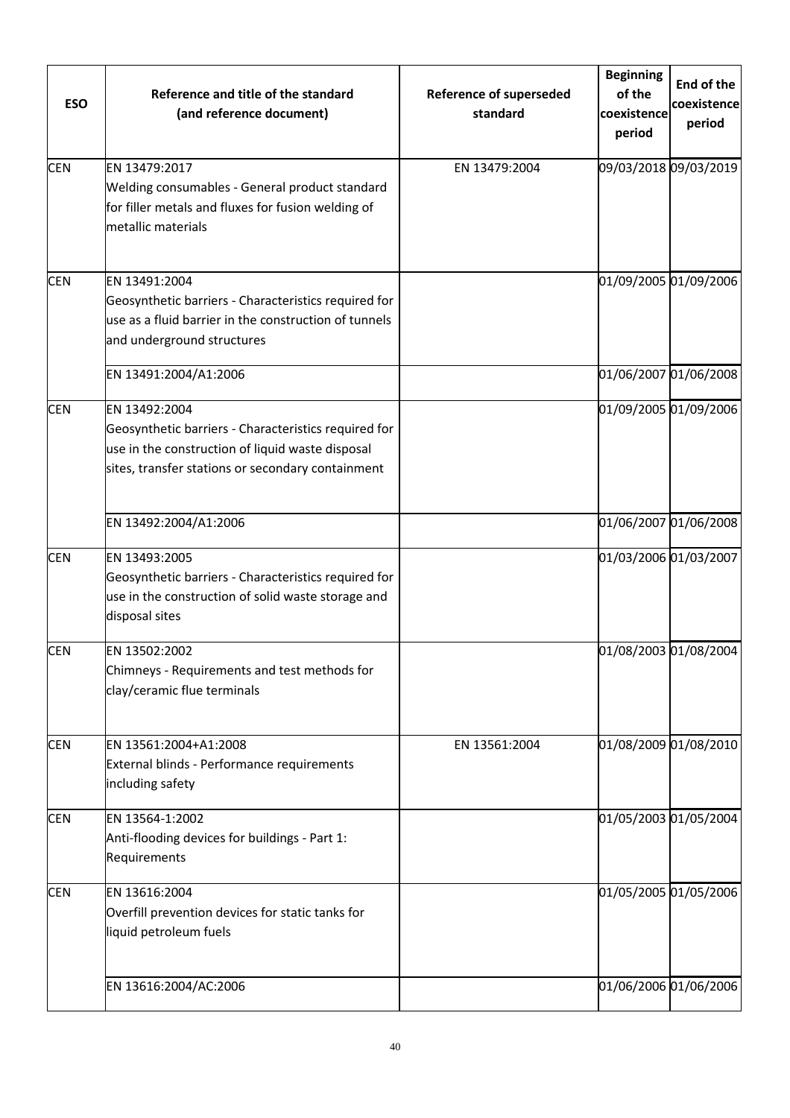| <b>ESO</b> | Reference and title of the standard<br>(and reference document)                                                                                                                | <b>Reference of superseded</b><br>standard | <b>Beginning</b><br>of the<br>coexistence<br>period | End of the<br>coexistence<br>period |
|------------|--------------------------------------------------------------------------------------------------------------------------------------------------------------------------------|--------------------------------------------|-----------------------------------------------------|-------------------------------------|
| <b>CEN</b> | EN 13479:2017<br>Welding consumables - General product standard<br>for filler metals and fluxes for fusion welding of<br>metallic materials                                    | EN 13479:2004                              |                                                     | 09/03/2018 09/03/2019               |
| <b>CEN</b> | EN 13491:2004<br>Geosynthetic barriers - Characteristics required for<br>use as a fluid barrier in the construction of tunnels<br>and underground structures                   |                                            | 01/09/2005 01/09/2006                               |                                     |
|            | EN 13491:2004/A1:2006                                                                                                                                                          |                                            |                                                     | 01/06/2007 01/06/2008               |
| <b>CEN</b> | EN 13492:2004<br>Geosynthetic barriers - Characteristics required for<br>use in the construction of liquid waste disposal<br>sites, transfer stations or secondary containment |                                            |                                                     | 01/09/2005 01/09/2006               |
|            | EN 13492:2004/A1:2006                                                                                                                                                          |                                            |                                                     | 01/06/2007 01/06/2008               |
| <b>CEN</b> | EN 13493:2005<br>Geosynthetic barriers - Characteristics required for<br>use in the construction of solid waste storage and<br>disposal sites                                  |                                            |                                                     | 01/03/2006 01/03/2007               |
| <b>CEN</b> | EN 13502:2002<br>Chimneys - Requirements and test methods for<br>clay/ceramic flue terminals                                                                                   |                                            |                                                     | 01/08/2003 01/08/2004               |
| <b>CEN</b> | EN 13561:2004+A1:2008<br>External blinds - Performance requirements<br>including safety                                                                                        | EN 13561:2004                              | 01/08/2009 01/08/2010                               |                                     |
| <b>CEN</b> | EN 13564-1:2002<br>Anti-flooding devices for buildings - Part 1:<br>Requirements                                                                                               |                                            | 01/05/2003 01/05/2004                               |                                     |
| <b>CEN</b> | EN 13616:2004<br>Overfill prevention devices for static tanks for<br>liquid petroleum fuels                                                                                    |                                            |                                                     | 01/05/2005 01/05/2006               |
|            | EN 13616:2004/AC:2006                                                                                                                                                          |                                            |                                                     | 01/06/2006 01/06/2006               |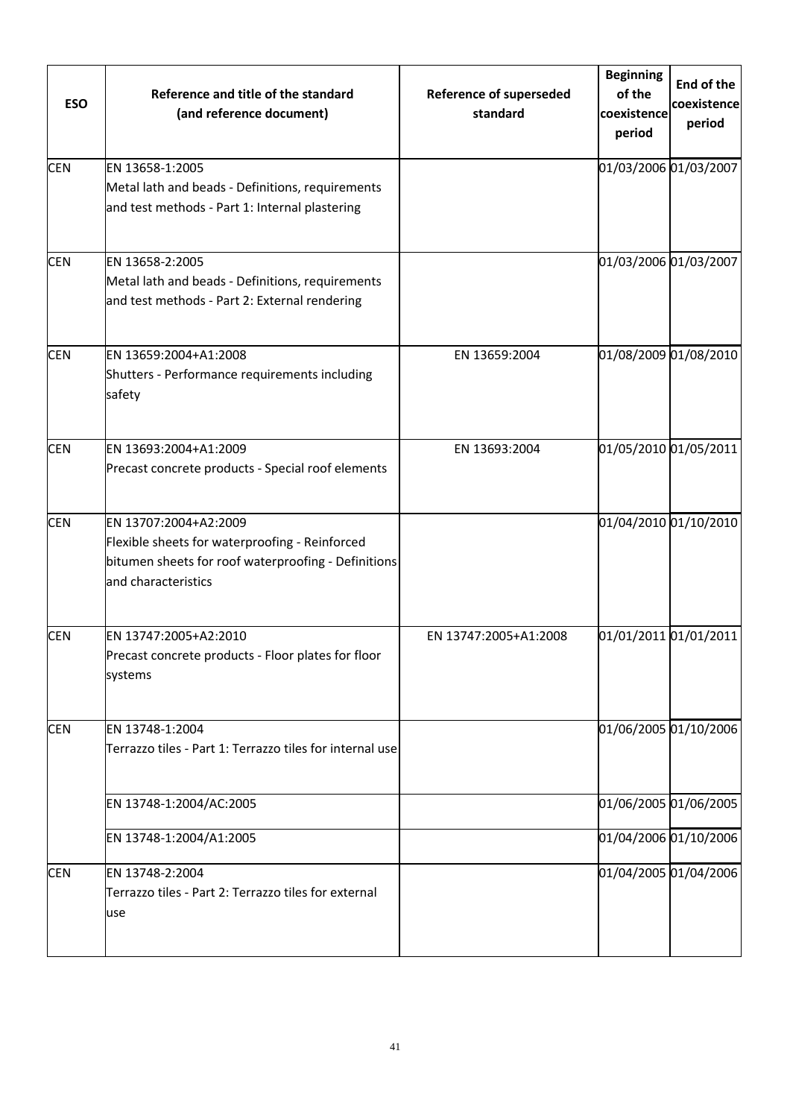| <b>ESO</b> | Reference and title of the standard<br>(and reference document)                                                                                       | <b>Reference of superseded</b><br>standard | <b>Beginning</b><br>of the<br>coexistence<br>period | End of the<br>coexistence<br>period |
|------------|-------------------------------------------------------------------------------------------------------------------------------------------------------|--------------------------------------------|-----------------------------------------------------|-------------------------------------|
| <b>CEN</b> | EN 13658-1:2005<br>Metal lath and beads - Definitions, requirements<br>and test methods - Part 1: Internal plastering                                 |                                            | 01/03/2006 01/03/2007                               |                                     |
| <b>CEN</b> | EN 13658-2:2005<br>Metal lath and beads - Definitions, requirements<br>and test methods - Part 2: External rendering                                  |                                            | 01/03/2006 01/03/2007                               |                                     |
| <b>CEN</b> | EN 13659:2004+A1:2008<br>Shutters - Performance requirements including<br>safety                                                                      | EN 13659:2004                              |                                                     | 01/08/2009 01/08/2010               |
| <b>CEN</b> | EN 13693:2004+A1:2009<br>Precast concrete products - Special roof elements                                                                            | EN 13693:2004                              | 01/05/2010 01/05/2011                               |                                     |
| <b>CEN</b> | EN 13707:2004+A2:2009<br>Flexible sheets for waterproofing - Reinforced<br>bitumen sheets for roof waterproofing - Definitions<br>and characteristics |                                            |                                                     | 01/04/2010 01/10/2010               |
| <b>CEN</b> | EN 13747:2005+A2:2010<br>Precast concrete products - Floor plates for floor<br>systems                                                                | EN 13747:2005+A1:2008                      |                                                     | 01/01/2011 01/01/2011               |
| <b>CEN</b> | EN 13748-1:2004<br>Terrazzo tiles - Part 1: Terrazzo tiles for internal use                                                                           |                                            | 01/06/2005 01/10/2006                               |                                     |
|            | EN 13748-1:2004/AC:2005                                                                                                                               |                                            |                                                     | 01/06/2005 01/06/2005               |
|            | EN 13748-1:2004/A1:2005                                                                                                                               |                                            | 01/04/2006 01/10/2006                               |                                     |
| <b>CEN</b> | EN 13748-2:2004<br>Terrazzo tiles - Part 2: Terrazzo tiles for external<br>use                                                                        |                                            |                                                     | 01/04/2005 01/04/2006               |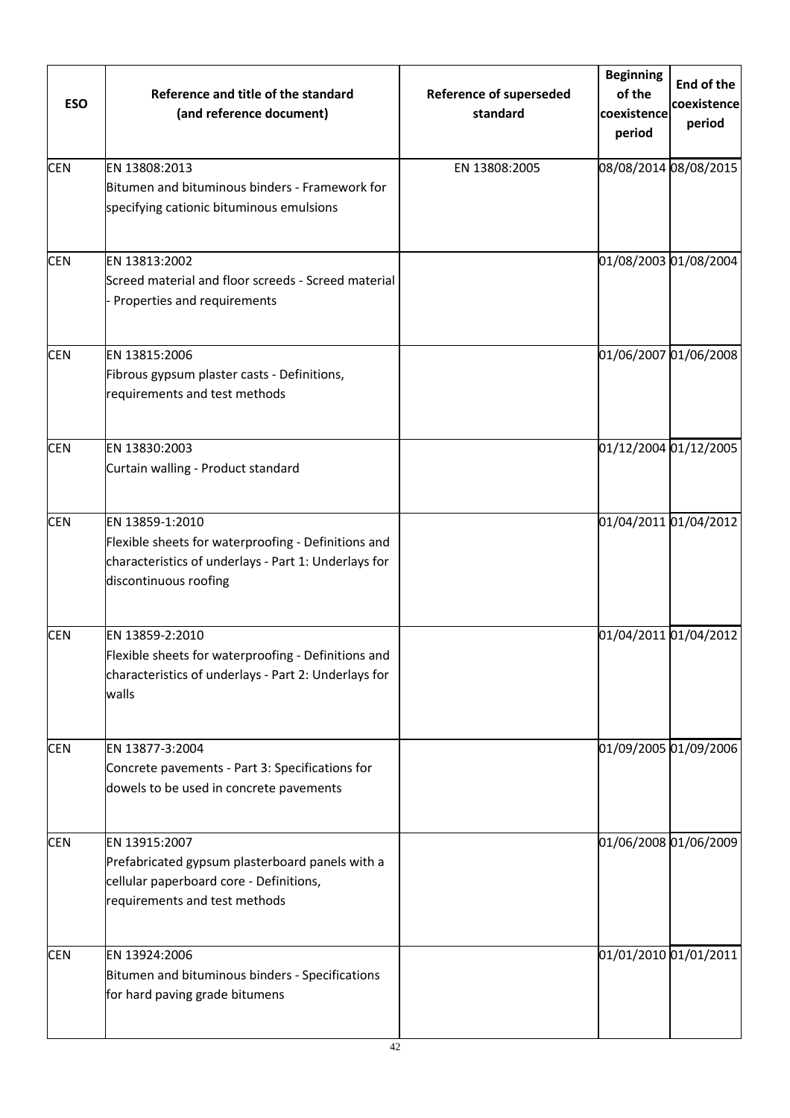| <b>ESO</b> | Reference and title of the standard<br>(and reference document)                                                                                         | <b>Reference of superseded</b><br>standard | <b>Beginning</b><br>of the<br>coexistence<br>period | End of the<br>coexistence<br>period |
|------------|---------------------------------------------------------------------------------------------------------------------------------------------------------|--------------------------------------------|-----------------------------------------------------|-------------------------------------|
| <b>CEN</b> | EN 13808:2013<br>Bitumen and bituminous binders - Framework for<br>specifying cationic bituminous emulsions                                             | EN 13808:2005                              | 08/08/2014 08/08/2015                               |                                     |
| <b>CEN</b> | EN 13813:2002<br>Screed material and floor screeds - Screed material<br>Properties and requirements                                                     |                                            | 01/08/2003 01/08/2004                               |                                     |
| <b>CEN</b> | EN 13815:2006<br>Fibrous gypsum plaster casts - Definitions,<br>requirements and test methods                                                           |                                            | 01/06/2007 01/06/2008                               |                                     |
| <b>CEN</b> | EN 13830:2003<br>Curtain walling - Product standard                                                                                                     |                                            | 01/12/2004 01/12/2005                               |                                     |
| <b>CEN</b> | EN 13859-1:2010<br>Flexible sheets for waterproofing - Definitions and<br>characteristics of underlays - Part 1: Underlays for<br>discontinuous roofing |                                            | 01/04/2011 01/04/2012                               |                                     |
| <b>CEN</b> | EN 13859-2:2010<br>Flexible sheets for waterproofing - Definitions and<br>characteristics of underlays - Part 2: Underlays for<br>walls                 |                                            | 01/04/2011 01/04/2012                               |                                     |
| <b>CEN</b> | EN 13877-3:2004<br>Concrete pavements - Part 3: Specifications for<br>dowels to be used in concrete pavements                                           |                                            | 01/09/2005 01/09/2006                               |                                     |
| <b>CEN</b> | EN 13915:2007<br>Prefabricated gypsum plasterboard panels with a<br>cellular paperboard core - Definitions,<br>requirements and test methods            |                                            | 01/06/2008 01/06/2009                               |                                     |
| <b>CEN</b> | EN 13924:2006<br>Bitumen and bituminous binders - Specifications<br>for hard paving grade bitumens                                                      |                                            | 01/01/2010 01/01/2011                               |                                     |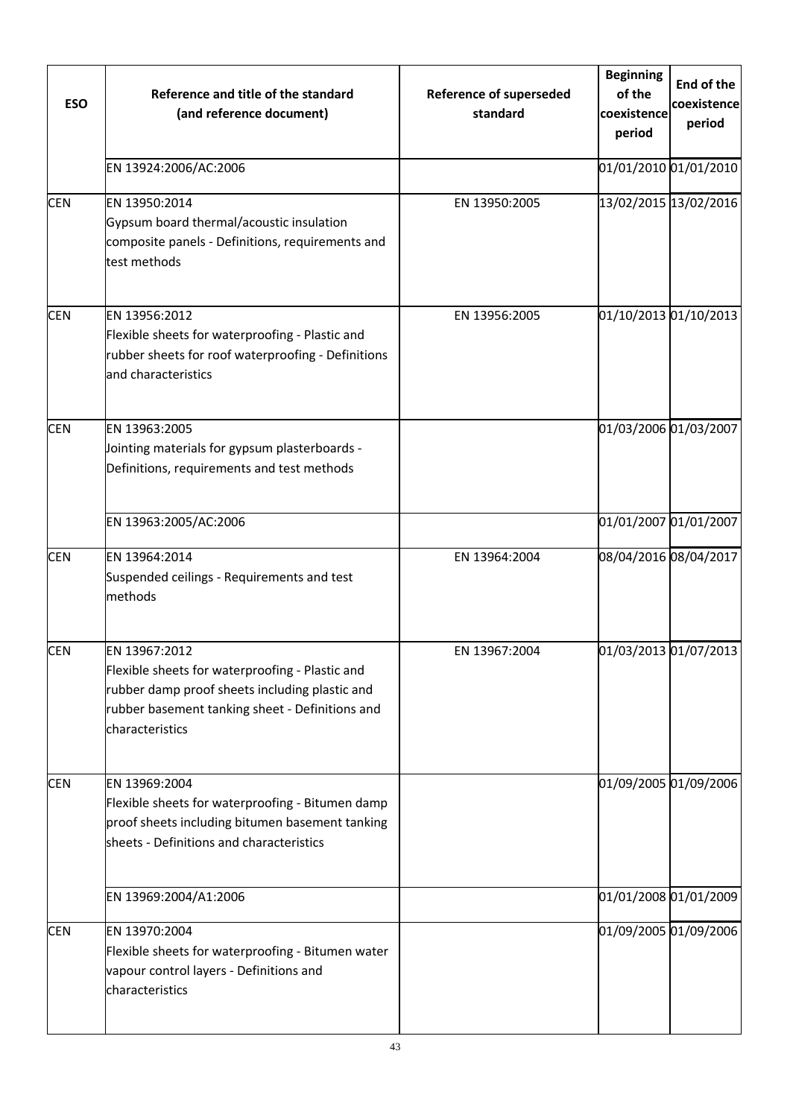| <b>ESO</b> | Reference and title of the standard<br>(and reference document)                                                                                                                          | <b>Reference of superseded</b><br>standard | <b>Beginning</b><br>of the<br>coexistence<br>period | End of the<br>coexistence<br>period |
|------------|------------------------------------------------------------------------------------------------------------------------------------------------------------------------------------------|--------------------------------------------|-----------------------------------------------------|-------------------------------------|
|            | EN 13924:2006/AC:2006                                                                                                                                                                    |                                            | 01/01/2010 01/01/2010                               |                                     |
| <b>CEN</b> | EN 13950:2014<br>Gypsum board thermal/acoustic insulation<br>composite panels - Definitions, requirements and<br>test methods                                                            | EN 13950:2005                              | 13/02/2015 13/02/2016                               |                                     |
| <b>CEN</b> | EN 13956:2012<br>Flexible sheets for waterproofing - Plastic and<br>rubber sheets for roof waterproofing - Definitions<br>and characteristics                                            | EN 13956:2005                              | 01/10/2013 01/10/2013                               |                                     |
| <b>CEN</b> | EN 13963:2005<br>Jointing materials for gypsum plasterboards -<br>Definitions, requirements and test methods                                                                             |                                            | 01/03/2006 01/03/2007                               |                                     |
|            | EN 13963:2005/AC:2006                                                                                                                                                                    |                                            | 01/01/2007 01/01/2007                               |                                     |
| <b>CEN</b> | EN 13964:2014<br>Suspended ceilings - Requirements and test<br>methods                                                                                                                   | EN 13964:2004                              | 08/04/2016 08/04/2017                               |                                     |
| <b>CEN</b> | EN 13967:2012<br>Flexible sheets for waterproofing - Plastic and<br>rubber damp proof sheets including plastic and<br>rubber basement tanking sheet - Definitions and<br>characteristics | EN 13967:2004                              | 01/03/2013 01/07/2013                               |                                     |
| <b>CEN</b> | EN 13969:2004<br>Flexible sheets for waterproofing - Bitumen damp<br>proof sheets including bitumen basement tanking<br>sheets - Definitions and characteristics                         |                                            | 01/09/2005 01/09/2006                               |                                     |
|            | EN 13969:2004/A1:2006                                                                                                                                                                    |                                            | 01/01/2008 01/01/2009                               |                                     |
| <b>CEN</b> | EN 13970:2004<br>Flexible sheets for waterproofing - Bitumen water<br>vapour control layers - Definitions and<br>characteristics                                                         |                                            | 01/09/2005 01/09/2006                               |                                     |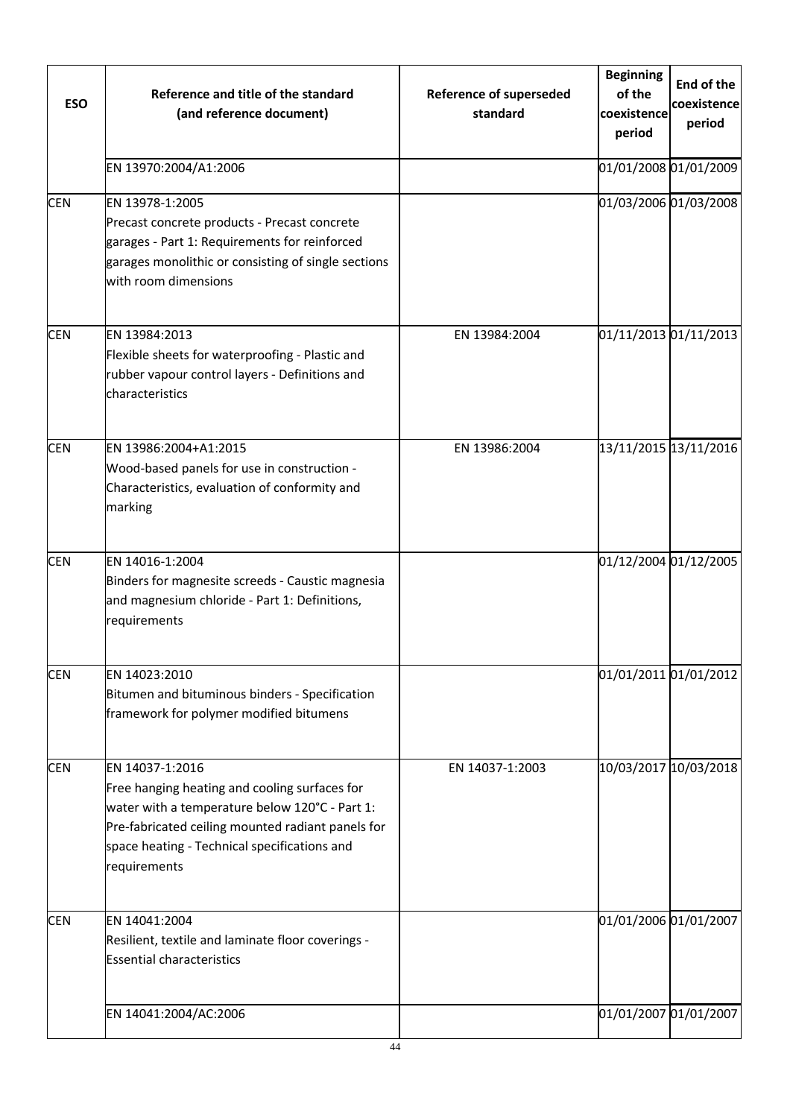| <b>ESO</b> | Reference and title of the standard<br>(and reference document)                                                                                                                                                                         | <b>Reference of superseded</b><br>standard | <b>Beginning</b><br>of the<br>coexistence<br>period | End of the<br>coexistence<br>period |
|------------|-----------------------------------------------------------------------------------------------------------------------------------------------------------------------------------------------------------------------------------------|--------------------------------------------|-----------------------------------------------------|-------------------------------------|
|            | EN 13970:2004/A1:2006                                                                                                                                                                                                                   |                                            | 01/01/2008 01/01/2009                               |                                     |
| <b>CEN</b> | EN 13978-1:2005<br>Precast concrete products - Precast concrete<br>garages - Part 1: Requirements for reinforced<br>garages monolithic or consisting of single sections<br>with room dimensions                                         |                                            | 01/03/2006 01/03/2008                               |                                     |
| <b>CEN</b> | EN 13984:2013<br>Flexible sheets for waterproofing - Plastic and<br>rubber vapour control layers - Definitions and<br>characteristics                                                                                                   | EN 13984:2004                              | 01/11/2013 01/11/2013                               |                                     |
| <b>CEN</b> | EN 13986:2004+A1:2015<br>Wood-based panels for use in construction -<br>Characteristics, evaluation of conformity and<br>marking                                                                                                        | EN 13986:2004                              | 13/11/2015 13/11/2016                               |                                     |
| <b>CEN</b> | EN 14016-1:2004<br>Binders for magnesite screeds - Caustic magnesia<br>and magnesium chloride - Part 1: Definitions,<br>requirements                                                                                                    |                                            | 01/12/2004 01/12/2005                               |                                     |
| <b>CEN</b> | EN 14023:2010<br>Bitumen and bituminous binders - Specification<br>framework for polymer modified bitumens                                                                                                                              |                                            | 01/01/2011 01/01/2012                               |                                     |
| <b>CEN</b> | EN 14037-1:2016<br>Free hanging heating and cooling surfaces for<br>water with a temperature below 120°C - Part 1:<br>Pre-fabricated ceiling mounted radiant panels for<br>space heating - Technical specifications and<br>requirements | EN 14037-1:2003                            | 10/03/2017 10/03/2018                               |                                     |
| <b>CEN</b> | EN 14041:2004<br>Resilient, textile and laminate floor coverings -<br><b>Essential characteristics</b>                                                                                                                                  |                                            | 01/01/2006 01/01/2007                               |                                     |
|            | EN 14041:2004/AC:2006                                                                                                                                                                                                                   |                                            | 01/01/2007 01/01/2007                               |                                     |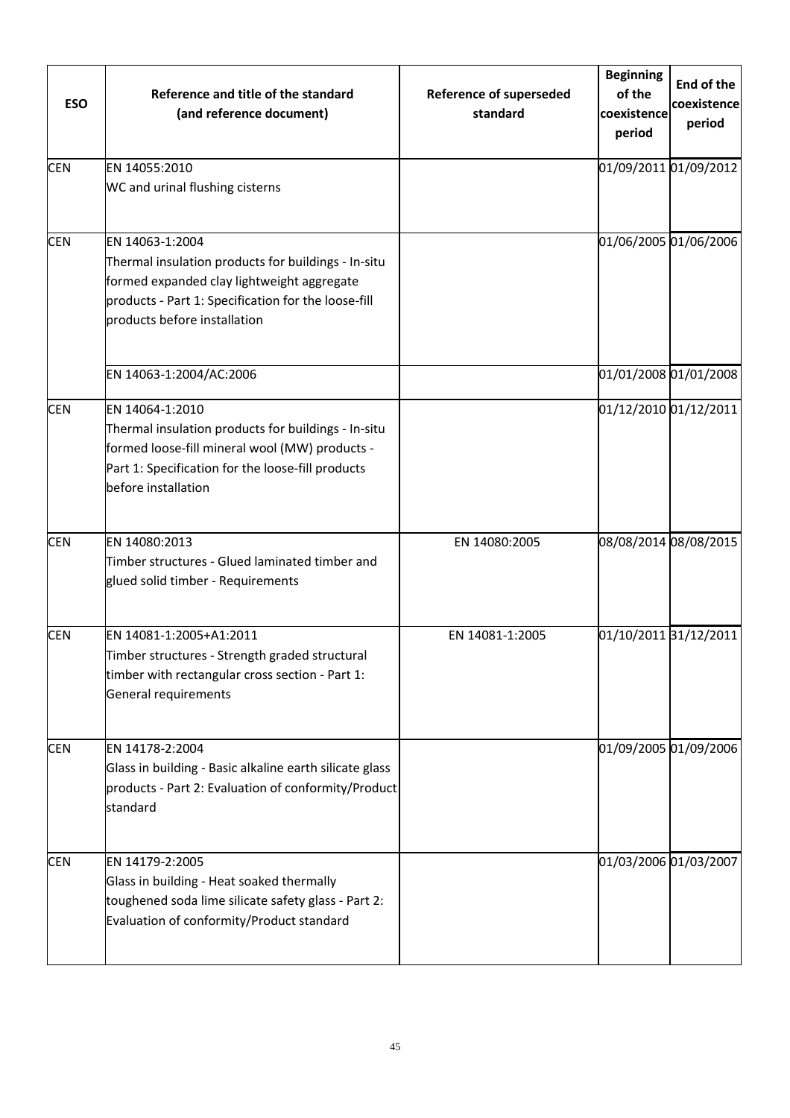| <b>ESO</b> | Reference and title of the standard<br>(and reference document)                                                                                                                                             | <b>Reference of superseded</b><br>standard | <b>Beginning</b><br>of the<br>coexistence<br>period | End of the<br>coexistence<br>period |
|------------|-------------------------------------------------------------------------------------------------------------------------------------------------------------------------------------------------------------|--------------------------------------------|-----------------------------------------------------|-------------------------------------|
| <b>CEN</b> | EN 14055:2010<br>WC and urinal flushing cisterns                                                                                                                                                            |                                            |                                                     | 01/09/2011 01/09/2012               |
| <b>CEN</b> | EN 14063-1:2004<br>Thermal insulation products for buildings - In-situ<br>formed expanded clay lightweight aggregate<br>products - Part 1: Specification for the loose-fill<br>products before installation |                                            |                                                     | 01/06/2005 01/06/2006               |
|            | EN 14063-1:2004/AC:2006                                                                                                                                                                                     |                                            |                                                     | 01/01/2008 01/01/2008               |
| <b>CEN</b> | EN 14064-1:2010<br>Thermal insulation products for buildings - In-situ<br>formed loose-fill mineral wool (MW) products -<br>Part 1: Specification for the loose-fill products<br>before installation        |                                            |                                                     | 01/12/2010 01/12/2011               |
| <b>CEN</b> | EN 14080:2013<br>Timber structures - Glued laminated timber and<br>glued solid timber - Requirements                                                                                                        | EN 14080:2005                              |                                                     | 08/08/2014 08/08/2015               |
| <b>CEN</b> | EN 14081-1:2005+A1:2011<br>Timber structures - Strength graded structural<br>timber with rectangular cross section - Part 1:<br>General requirements                                                        | EN 14081-1:2005                            |                                                     | 01/10/2011 31/12/2011               |
| <b>CEN</b> | EN 14178-2:2004<br>Glass in building - Basic alkaline earth silicate glass<br>products - Part 2: Evaluation of conformity/Product<br>standard                                                               |                                            |                                                     | 01/09/2005 01/09/2006               |
| <b>CEN</b> | EN 14179-2:2005<br>Glass in building - Heat soaked thermally<br>toughened soda lime silicate safety glass - Part 2:<br>Evaluation of conformity/Product standard                                            |                                            |                                                     | 01/03/2006 01/03/2007               |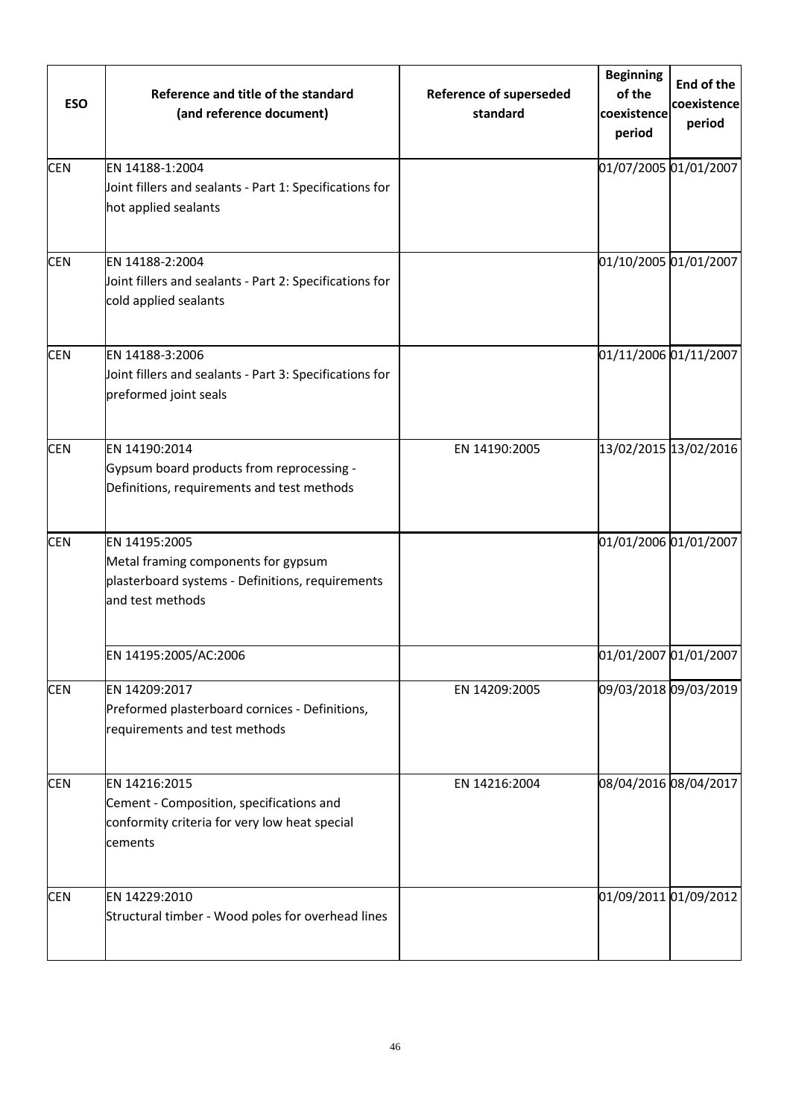| <b>ESO</b> | Reference and title of the standard<br>(and reference document)                                                              | <b>Reference of superseded</b><br>standard | <b>Beginning</b><br>of the<br>coexistence<br>period | End of the<br>coexistence<br>period |
|------------|------------------------------------------------------------------------------------------------------------------------------|--------------------------------------------|-----------------------------------------------------|-------------------------------------|
| <b>CEN</b> | EN 14188-1:2004<br>Joint fillers and sealants - Part 1: Specifications for<br>hot applied sealants                           |                                            |                                                     | 01/07/2005 01/01/2007               |
| <b>CEN</b> | EN 14188-2:2004<br>Joint fillers and sealants - Part 2: Specifications for<br>cold applied sealants                          |                                            | 01/10/2005 01/01/2007                               |                                     |
| <b>CEN</b> | EN 14188-3:2006<br>Joint fillers and sealants - Part 3: Specifications for<br>preformed joint seals                          |                                            | 01/11/2006 01/11/2007                               |                                     |
| <b>CEN</b> | EN 14190:2014<br>Gypsum board products from reprocessing -<br>Definitions, requirements and test methods                     | EN 14190:2005                              |                                                     | 13/02/2015 13/02/2016               |
| <b>CEN</b> | EN 14195:2005<br>Metal framing components for gypsum<br>plasterboard systems - Definitions, requirements<br>and test methods |                                            | 01/01/2006 01/01/2007                               |                                     |
|            | EN 14195:2005/AC:2006                                                                                                        |                                            |                                                     | 01/01/2007 01/01/2007               |
| <b>CEN</b> | EN 14209:2017<br>Preformed plasterboard cornices - Definitions,<br>requirements and test methods                             | EN 14209:2005                              |                                                     | 09/03/2018 09/03/2019               |
| <b>CEN</b> | EN 14216:2015<br>Cement - Composition, specifications and<br>conformity criteria for very low heat special<br>cements        | EN 14216:2004                              |                                                     | 08/04/2016 08/04/2017               |
| <b>CEN</b> | EN 14229:2010<br>Structural timber - Wood poles for overhead lines                                                           |                                            |                                                     | 01/09/2011 01/09/2012               |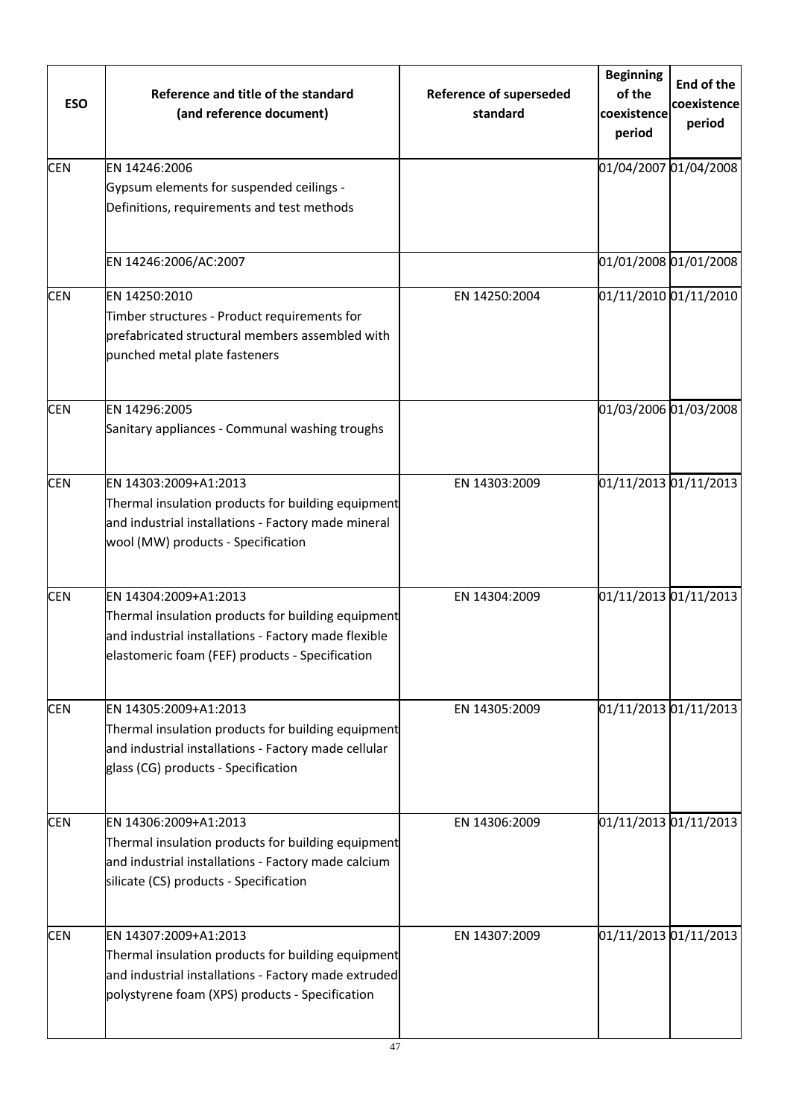| <b>ESO</b> | Reference and title of the standard<br>(and reference document)                                                                                                                        | <b>Reference of superseded</b><br>standard | <b>Beginning</b><br>of the<br>coexistence<br>period | <b>End of the</b><br>coexistence<br>period |
|------------|----------------------------------------------------------------------------------------------------------------------------------------------------------------------------------------|--------------------------------------------|-----------------------------------------------------|--------------------------------------------|
| <b>CEN</b> | EN 14246:2006<br>Gypsum elements for suspended ceilings -<br>Definitions, requirements and test methods                                                                                |                                            | 01/04/2007 01/04/2008                               |                                            |
|            | EN 14246:2006/AC:2007                                                                                                                                                                  |                                            |                                                     | 01/01/2008 01/01/2008                      |
| <b>CEN</b> | EN 14250:2010<br>Timber structures - Product requirements for<br>prefabricated structural members assembled with<br>punched metal plate fasteners                                      | EN 14250:2004                              |                                                     | 01/11/2010 01/11/2010                      |
| <b>CEN</b> | EN 14296:2005<br>Sanitary appliances - Communal washing troughs                                                                                                                        |                                            |                                                     | 01/03/2006 01/03/2008                      |
| <b>CEN</b> | EN 14303:2009+A1:2013<br>Thermal insulation products for building equipment<br>and industrial installations - Factory made mineral<br>wool (MW) products - Specification               | EN 14303:2009                              | 01/11/2013 01/11/2013                               |                                            |
| <b>CEN</b> | EN 14304:2009+A1:2013<br>Thermal insulation products for building equipment<br>and industrial installations - Factory made flexible<br>elastomeric foam (FEF) products - Specification | EN 14304:2009                              |                                                     | 01/11/2013 01/11/2013                      |
| <b>CEN</b> | EN 14305:2009+A1:2013<br>Thermal insulation products for building equipment<br>and industrial installations - Factory made cellular<br>glass (CG) products - Specification             | EN 14305:2009                              |                                                     | 01/11/2013 01/11/2013                      |
| <b>CEN</b> | EN 14306:2009+A1:2013<br>Thermal insulation products for building equipment<br>and industrial installations - Factory made calcium<br>silicate (CS) products - Specification           | EN 14306:2009                              | 01/11/2013 01/11/2013                               |                                            |
| <b>CEN</b> | EN 14307:2009+A1:2013<br>Thermal insulation products for building equipment<br>and industrial installations - Factory made extruded<br>polystyrene foam (XPS) products - Specification | EN 14307:2009                              | 01/11/2013 01/11/2013                               |                                            |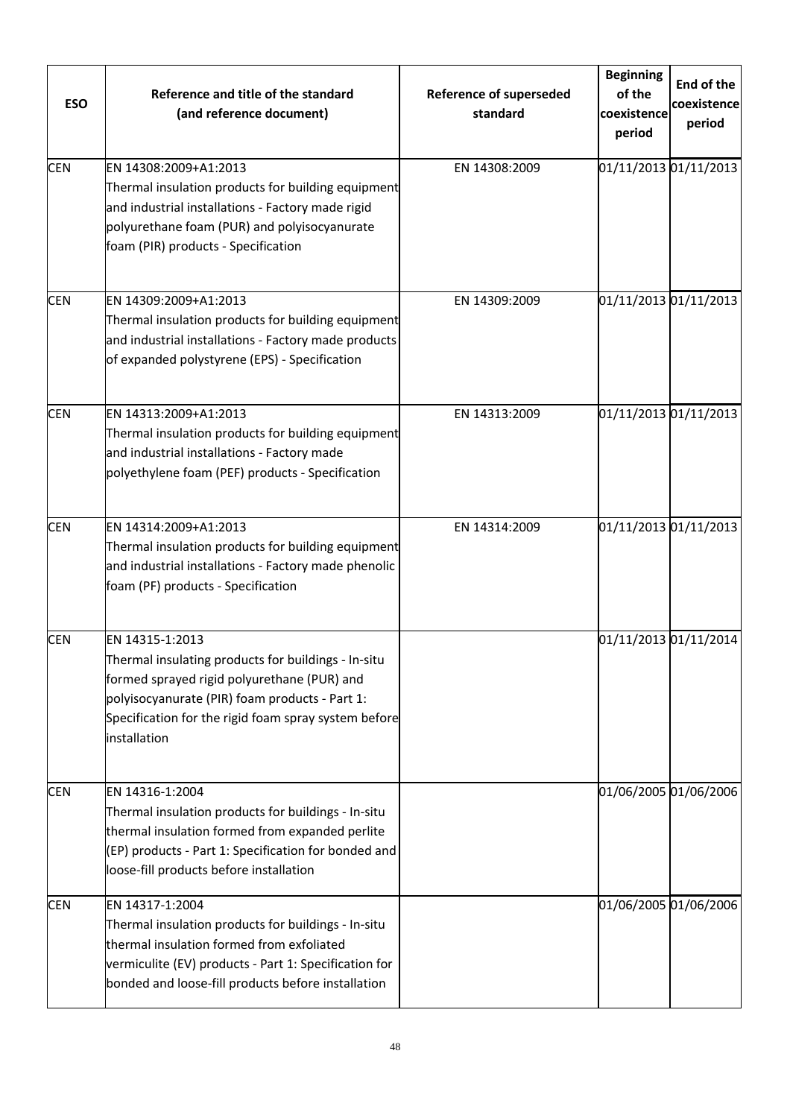| <b>ESO</b> | Reference and title of the standard<br>(and reference document)                                                                                                                                                                                 | <b>Reference of superseded</b><br>standard | <b>Beginning</b><br>of the<br>coexistence<br>period | End of the<br>coexistence<br>period |
|------------|-------------------------------------------------------------------------------------------------------------------------------------------------------------------------------------------------------------------------------------------------|--------------------------------------------|-----------------------------------------------------|-------------------------------------|
| <b>CEN</b> | EN 14308:2009+A1:2013<br>Thermal insulation products for building equipment<br>and industrial installations - Factory made rigid<br>polyurethane foam (PUR) and polyisocyanurate<br>foam (PIR) products - Specification                         | EN 14308:2009                              |                                                     | 01/11/2013 01/11/2013               |
| <b>CEN</b> | EN 14309:2009+A1:2013<br>Thermal insulation products for building equipment<br>and industrial installations - Factory made products<br>of expanded polystyrene (EPS) - Specification                                                            | EN 14309:2009                              |                                                     | 01/11/2013 01/11/2013               |
| <b>CEN</b> | EN 14313:2009+A1:2013<br>Thermal insulation products for building equipment<br>and industrial installations - Factory made<br>polyethylene foam (PEF) products - Specification                                                                  | EN 14313:2009                              |                                                     | 01/11/2013 01/11/2013               |
| <b>CEN</b> | EN 14314:2009+A1:2013<br>Thermal insulation products for building equipment<br>and industrial installations - Factory made phenolic<br>foam (PF) products - Specification                                                                       | EN 14314:2009                              |                                                     | 01/11/2013 01/11/2013               |
| <b>CEN</b> | EN 14315-1:2013<br>Thermal insulating products for buildings - In-situ<br>formed sprayed rigid polyurethane (PUR) and<br>polyisocyanurate (PIR) foam products - Part 1:<br>Specification for the rigid foam spray system before<br>installation |                                            |                                                     | 01/11/2013 01/11/2014               |
| <b>CEN</b> | EN 14316-1:2004<br>Thermal insulation products for buildings - In-situ<br>thermal insulation formed from expanded perlite<br>(EP) products - Part 1: Specification for bonded and<br>loose-fill products before installation                    |                                            |                                                     | 01/06/2005 01/06/2006               |
| <b>CEN</b> | EN 14317-1:2004<br>Thermal insulation products for buildings - In-situ<br>thermal insulation formed from exfoliated<br>vermiculite (EV) products - Part 1: Specification for<br>bonded and loose-fill products before installation              |                                            |                                                     | 01/06/2005 01/06/2006               |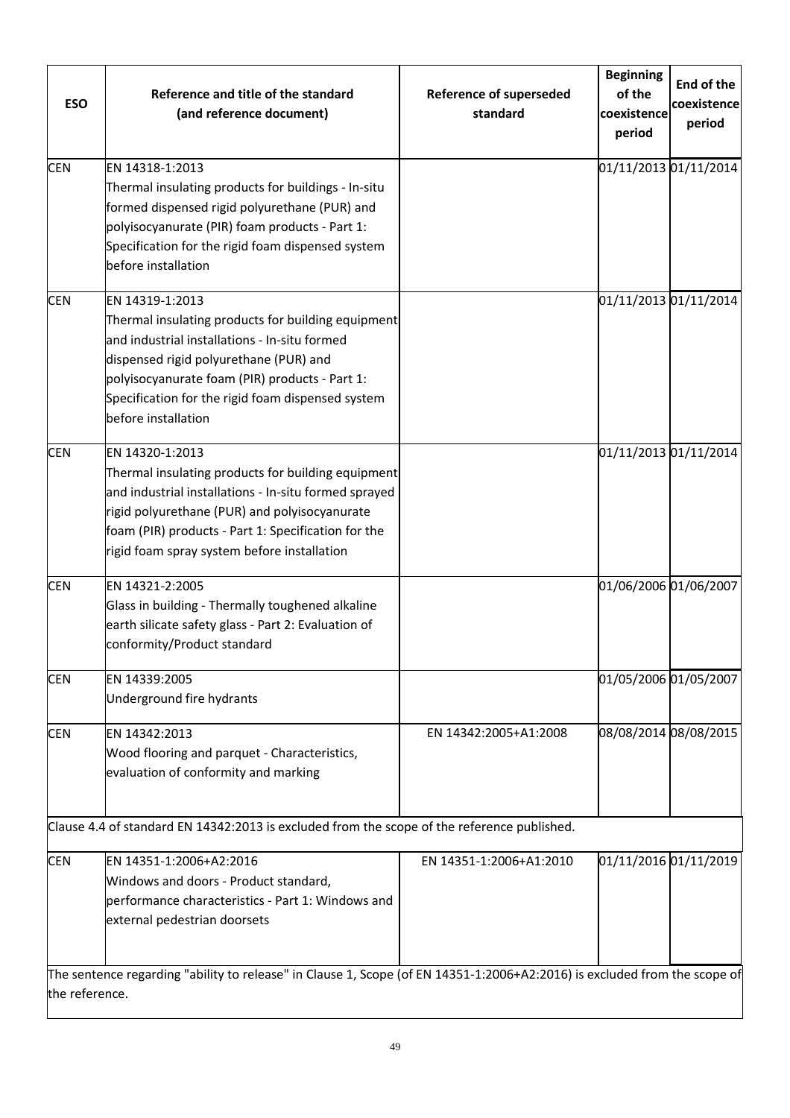| <b>ESO</b>     | Reference and title of the standard<br>(and reference document)                                                                                                                                                                                                                                | <b>Reference of superseded</b><br>standard | <b>Beginning</b><br>of the<br>coexistence<br>period | End of the<br>coexistence<br>period |
|----------------|------------------------------------------------------------------------------------------------------------------------------------------------------------------------------------------------------------------------------------------------------------------------------------------------|--------------------------------------------|-----------------------------------------------------|-------------------------------------|
| <b>CEN</b>     | EN 14318-1:2013<br>Thermal insulating products for buildings - In-situ<br>formed dispensed rigid polyurethane (PUR) and<br>polyisocyanurate (PIR) foam products - Part 1:<br>Specification for the rigid foam dispensed system<br>before installation                                          |                                            | 01/11/2013 01/11/2014                               |                                     |
| <b>CEN</b>     | EN 14319-1:2013<br>Thermal insulating products for building equipment<br>and industrial installations - In-situ formed<br>dispensed rigid polyurethane (PUR) and<br>polyisocyanurate foam (PIR) products - Part 1:<br>Specification for the rigid foam dispensed system<br>before installation |                                            | 01/11/2013 01/11/2014                               |                                     |
| <b>CEN</b>     | EN 14320-1:2013<br>Thermal insulating products for building equipment<br>and industrial installations - In-situ formed sprayed<br>rigid polyurethane (PUR) and polyisocyanurate<br>foam (PIR) products - Part 1: Specification for the<br>rigid foam spray system before installation          |                                            | 01/11/2013 01/11/2014                               |                                     |
| <b>CEN</b>     | EN 14321-2:2005<br>Glass in building - Thermally toughened alkaline<br>earth silicate safety glass - Part 2: Evaluation of<br>conformity/Product standard                                                                                                                                      |                                            | 01/06/2006 01/06/2007                               |                                     |
| <b>CEN</b>     | EN 14339:2005<br>Underground fire hydrants                                                                                                                                                                                                                                                     |                                            | 01/05/2006 01/05/2007                               |                                     |
| <b>CEN</b>     | EN 14342:2013<br>Wood flooring and parquet - Characteristics,<br>evaluation of conformity and marking                                                                                                                                                                                          | EN 14342:2005+A1:2008                      | 08/08/2014 08/08/2015                               |                                     |
|                | Clause 4.4 of standard EN 14342:2013 is excluded from the scope of the reference published.                                                                                                                                                                                                    |                                            |                                                     |                                     |
| <b>CEN</b>     | EN 14351-1:2006+A2:2016<br>Windows and doors - Product standard,<br>performance characteristics - Part 1: Windows and<br>external pedestrian doorsets                                                                                                                                          | EN 14351-1:2006+A1:2010                    | 01/11/2016 01/11/2019                               |                                     |
| the reference. | The sentence regarding "ability to release" in Clause 1, Scope (of EN 14351-1:2006+A2:2016) is excluded from the scope of                                                                                                                                                                      |                                            |                                                     |                                     |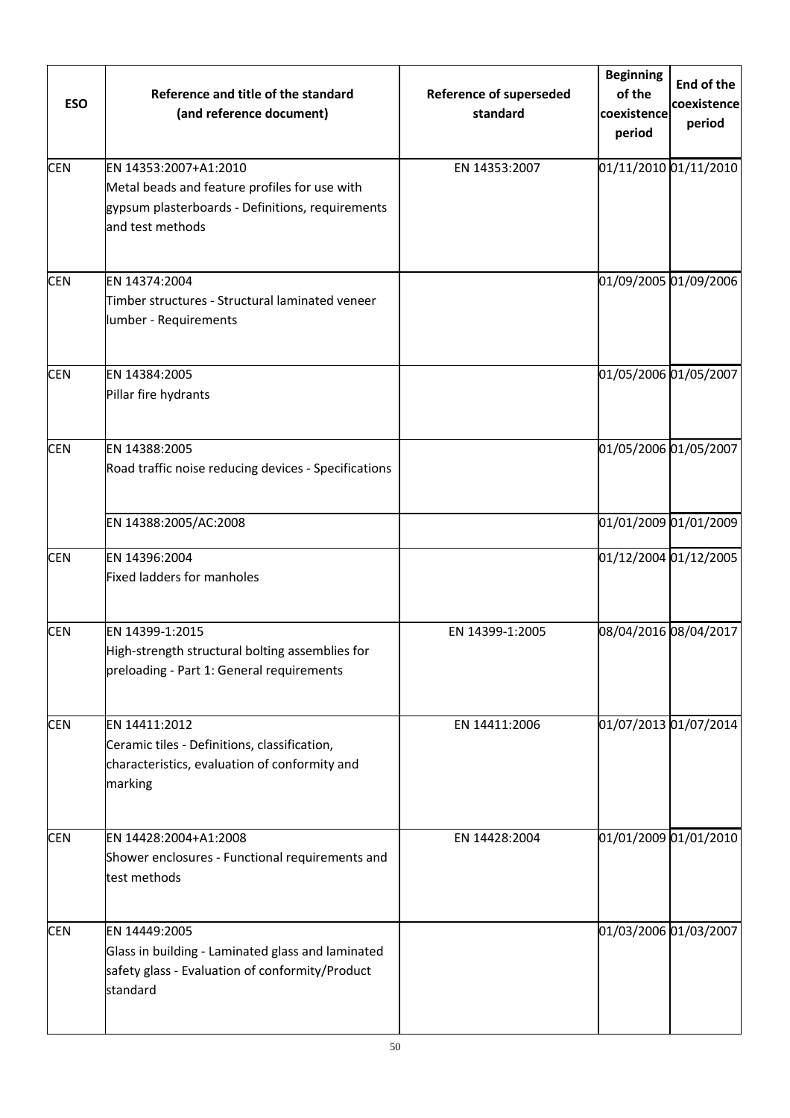| <b>ESO</b> | Reference and title of the standard<br>(and reference document)                                                                                | <b>Reference of superseded</b><br>standard | <b>Beginning</b><br>of the<br>coexistence<br>period | End of the<br>coexistence<br>period |
|------------|------------------------------------------------------------------------------------------------------------------------------------------------|--------------------------------------------|-----------------------------------------------------|-------------------------------------|
| <b>CEN</b> | EN 14353:2007+A1:2010<br>Metal beads and feature profiles for use with<br>gypsum plasterboards - Definitions, requirements<br>and test methods | EN 14353:2007                              | 01/11/2010 01/11/2010                               |                                     |
| <b>CEN</b> | EN 14374:2004<br>Timber structures - Structural laminated veneer<br>lumber - Requirements                                                      |                                            | 01/09/2005 01/09/2006                               |                                     |
| <b>CEN</b> | EN 14384:2005<br>Pillar fire hydrants                                                                                                          |                                            | 01/05/2006 01/05/2007                               |                                     |
| <b>CEN</b> | EN 14388:2005<br>Road traffic noise reducing devices - Specifications                                                                          |                                            | 01/05/2006 01/05/2007                               |                                     |
|            | EN 14388:2005/AC:2008                                                                                                                          |                                            | 01/01/2009 01/01/2009                               |                                     |
| <b>CEN</b> | EN 14396:2004<br><b>Fixed ladders for manholes</b>                                                                                             |                                            | 01/12/2004 01/12/2005                               |                                     |
| <b>CEN</b> | EN 14399-1:2015<br>High-strength structural bolting assemblies for<br>preloading - Part 1: General requirements                                | EN 14399-1:2005                            | 08/04/2016 08/04/2017                               |                                     |
| <b>CEN</b> | EN 14411:2012<br>Ceramic tiles - Definitions, classification,<br>characteristics, evaluation of conformity and<br>marking                      | EN 14411:2006                              | 01/07/2013 01/07/2014                               |                                     |
| <b>CEN</b> | EN 14428:2004+A1:2008<br>Shower enclosures - Functional requirements and<br>test methods                                                       | EN 14428:2004                              | 01/01/2009 01/01/2010                               |                                     |
| <b>CEN</b> | EN 14449:2005<br>Glass in building - Laminated glass and laminated<br>safety glass - Evaluation of conformity/Product<br>standard              |                                            | 01/03/2006 01/03/2007                               |                                     |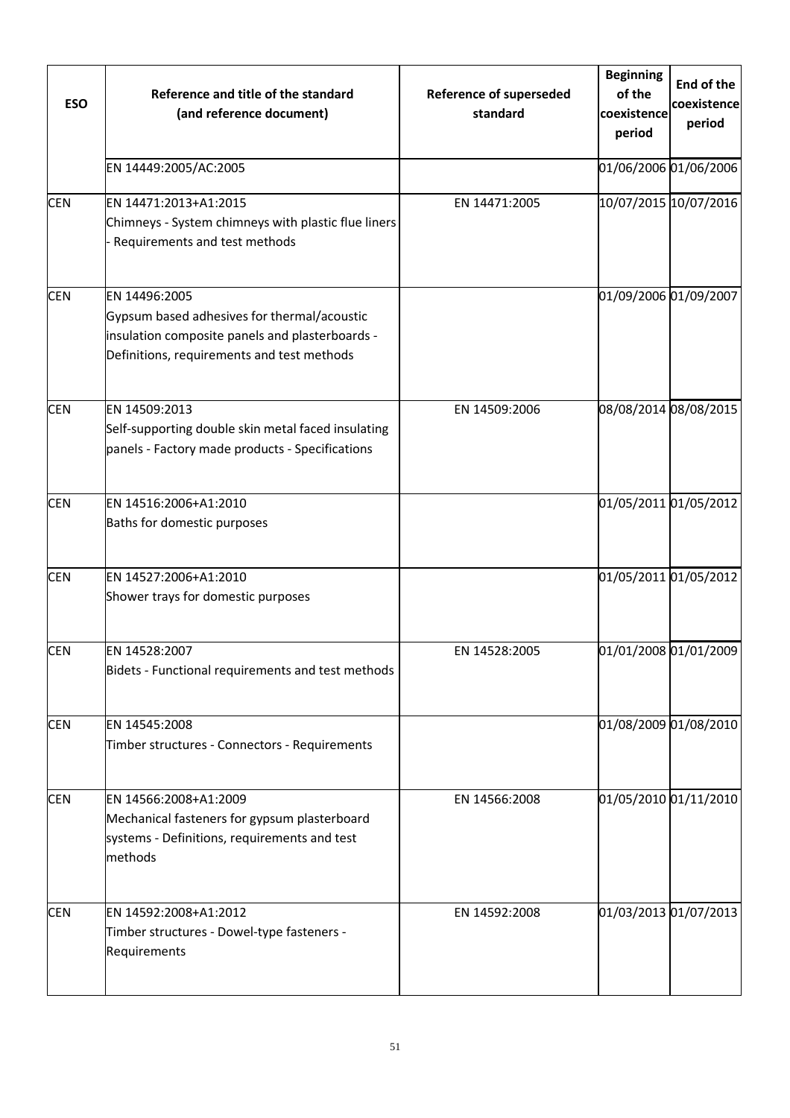| <b>ESO</b> | Reference and title of the standard<br>(and reference document)                                                                                               | <b>Reference of superseded</b><br>standard | <b>Beginning</b><br>of the<br>coexistence<br>period | End of the<br>coexistence<br>period |
|------------|---------------------------------------------------------------------------------------------------------------------------------------------------------------|--------------------------------------------|-----------------------------------------------------|-------------------------------------|
|            | EN 14449:2005/AC:2005                                                                                                                                         |                                            |                                                     | 01/06/2006 01/06/2006               |
| <b>CEN</b> | EN 14471:2013+A1:2015<br>Chimneys - System chimneys with plastic flue liners<br>Requirements and test methods                                                 | EN 14471:2005                              |                                                     | 10/07/2015 10/07/2016               |
| <b>CEN</b> | EN 14496:2005<br>Gypsum based adhesives for thermal/acoustic<br>insulation composite panels and plasterboards -<br>Definitions, requirements and test methods |                                            |                                                     | 01/09/2006 01/09/2007               |
| <b>CEN</b> | EN 14509:2013<br>Self-supporting double skin metal faced insulating<br>panels - Factory made products - Specifications                                        | EN 14509:2006                              |                                                     | 08/08/2014 08/08/2015               |
| <b>CEN</b> | EN 14516:2006+A1:2010<br>Baths for domestic purposes                                                                                                          |                                            |                                                     | 01/05/2011 01/05/2012               |
| <b>CEN</b> | EN 14527:2006+A1:2010<br>Shower trays for domestic purposes                                                                                                   |                                            |                                                     | 01/05/2011 01/05/2012               |
| <b>CEN</b> | EN 14528:2007<br>Bidets - Functional requirements and test methods                                                                                            | EN 14528:2005                              |                                                     | 01/01/2008 01/01/2009               |
| <b>CEN</b> | EN 14545:2008<br>Timber structures - Connectors - Requirements                                                                                                |                                            |                                                     | 01/08/2009 01/08/2010               |
| <b>CEN</b> | EN 14566:2008+A1:2009<br>Mechanical fasteners for gypsum plasterboard<br>systems - Definitions, requirements and test<br>methods                              | EN 14566:2008                              |                                                     | 01/05/2010 01/11/2010               |
| <b>CEN</b> | EN 14592:2008+A1:2012<br>Timber structures - Dowel-type fasteners -<br>Requirements                                                                           | EN 14592:2008                              |                                                     | 01/03/2013 01/07/2013               |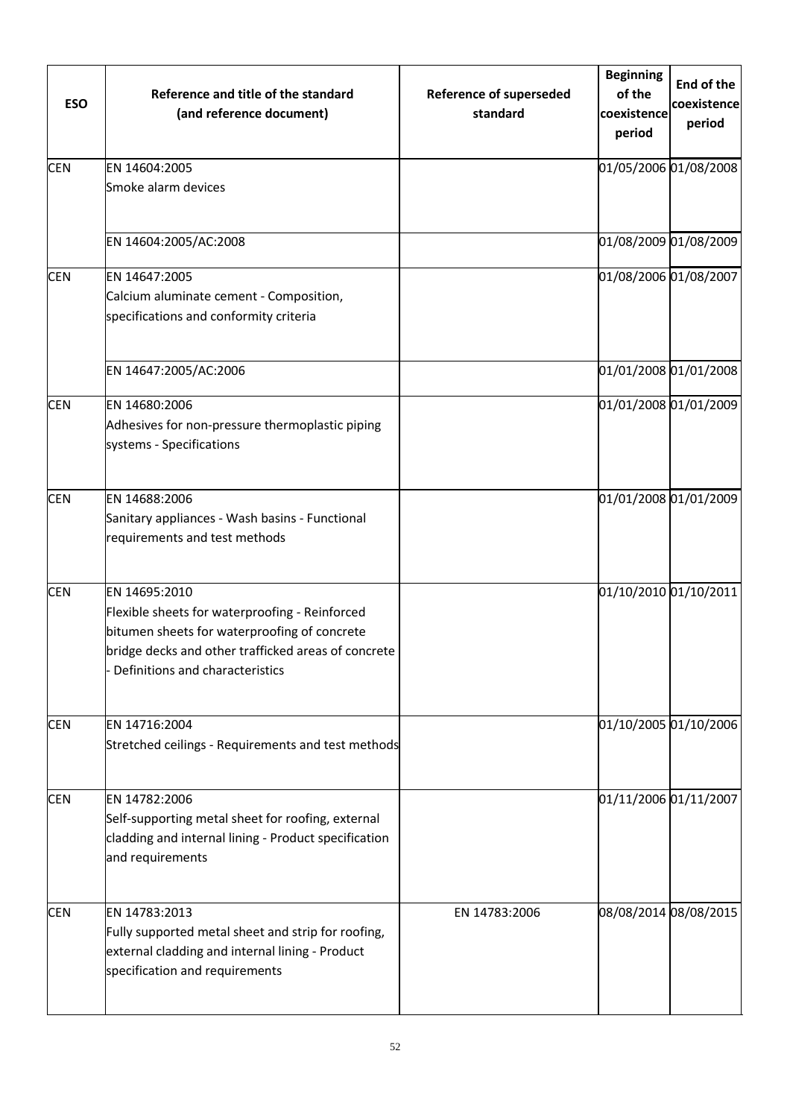| <b>ESO</b> | Reference and title of the standard<br>(and reference document)                                                                                                                                           | <b>Reference of superseded</b><br>standard | <b>Beginning</b><br>of the<br>coexistence<br>period | End of the<br>coexistence<br>period |
|------------|-----------------------------------------------------------------------------------------------------------------------------------------------------------------------------------------------------------|--------------------------------------------|-----------------------------------------------------|-------------------------------------|
| <b>CEN</b> | EN 14604:2005<br>Smoke alarm devices                                                                                                                                                                      |                                            |                                                     | 01/05/2006 01/08/2008               |
|            | EN 14604:2005/AC:2008                                                                                                                                                                                     |                                            |                                                     | 01/08/2009 01/08/2009               |
| <b>CEN</b> | EN 14647:2005<br>Calcium aluminate cement - Composition,<br>specifications and conformity criteria                                                                                                        |                                            |                                                     | 01/08/2006 01/08/2007               |
|            | EN 14647:2005/AC:2006                                                                                                                                                                                     |                                            |                                                     | 01/01/2008 01/01/2008               |
| <b>CEN</b> | EN 14680:2006<br>Adhesives for non-pressure thermoplastic piping<br>systems - Specifications                                                                                                              |                                            |                                                     | 01/01/2008 01/01/2009               |
| <b>CEN</b> | EN 14688:2006<br>Sanitary appliances - Wash basins - Functional<br>requirements and test methods                                                                                                          |                                            |                                                     | 01/01/2008 01/01/2009               |
| <b>CEN</b> | EN 14695:2010<br>Flexible sheets for waterproofing - Reinforced<br>bitumen sheets for waterproofing of concrete<br>bridge decks and other trafficked areas of concrete<br>Definitions and characteristics |                                            |                                                     | 01/10/2010 01/10/2011               |
| <b>CEN</b> | EN 14716:2004<br>Stretched ceilings - Requirements and test methods                                                                                                                                       |                                            |                                                     | 01/10/2005 01/10/2006               |
| <b>CEN</b> | EN 14782:2006<br>Self-supporting metal sheet for roofing, external<br>cladding and internal lining - Product specification<br>and requirements                                                            |                                            |                                                     | 01/11/2006 01/11/2007               |
| <b>CEN</b> | EN 14783:2013<br>Fully supported metal sheet and strip for roofing,<br>external cladding and internal lining - Product<br>specification and requirements                                                  | EN 14783:2006                              |                                                     | 08/08/2014 08/08/2015               |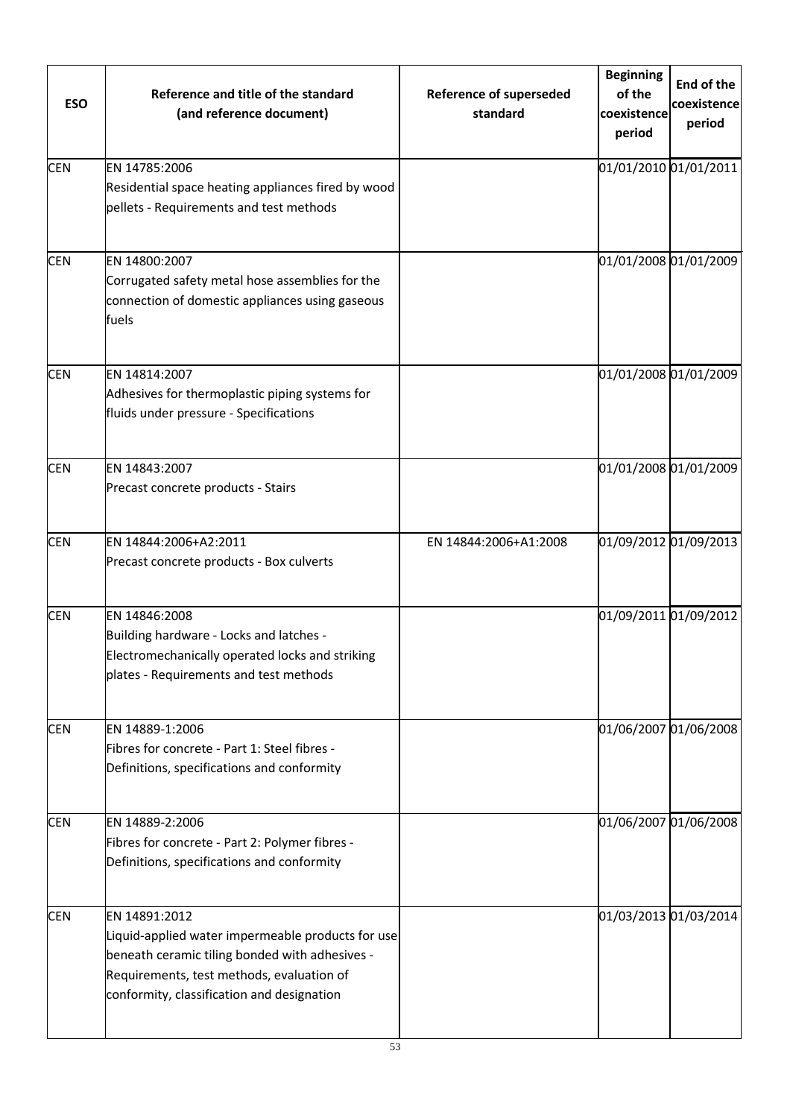| <b>ESO</b> | Reference and title of the standard<br>(and reference document)                                                                                                                                                 | <b>Reference of superseded</b><br>standard | <b>Beginning</b><br>of the<br>coexistence<br>period | <b>End of the</b><br>coexistence<br>period |
|------------|-----------------------------------------------------------------------------------------------------------------------------------------------------------------------------------------------------------------|--------------------------------------------|-----------------------------------------------------|--------------------------------------------|
| <b>CEN</b> | EN 14785:2006<br>Residential space heating appliances fired by wood<br>pellets - Requirements and test methods                                                                                                  |                                            |                                                     | 01/01/2010 01/01/2011                      |
| <b>CEN</b> | EN 14800:2007<br>Corrugated safety metal hose assemblies for the<br>connection of domestic appliances using gaseous<br>fuels                                                                                    |                                            |                                                     | 01/01/2008 01/01/2009                      |
| <b>CEN</b> | EN 14814:2007<br>Adhesives for thermoplastic piping systems for<br>fluids under pressure - Specifications                                                                                                       |                                            |                                                     | 01/01/2008 01/01/2009                      |
| <b>CEN</b> | EN 14843:2007<br>Precast concrete products - Stairs                                                                                                                                                             |                                            |                                                     | 01/01/2008 01/01/2009                      |
| <b>CEN</b> | EN 14844:2006+A2:2011<br>Precast concrete products - Box culverts                                                                                                                                               | EN 14844:2006+A1:2008                      |                                                     | 01/09/2012 01/09/2013                      |
| <b>CEN</b> | EN 14846:2008<br>Building hardware - Locks and latches -<br>Electromechanically operated locks and striking<br>plates - Requirements and test methods                                                           |                                            |                                                     | 01/09/2011 01/09/2012                      |
| <b>CEN</b> | EN 14889-1:2006<br>Fibres for concrete - Part 1: Steel fibres -<br>Definitions, specifications and conformity                                                                                                   |                                            |                                                     | 01/06/2007 01/06/2008                      |
| <b>CEN</b> | EN 14889-2:2006<br>Fibres for concrete - Part 2: Polymer fibres -<br>Definitions, specifications and conformity                                                                                                 |                                            |                                                     | 01/06/2007 01/06/2008                      |
| <b>CEN</b> | EN 14891:2012<br>Liquid-applied water impermeable products for use<br>beneath ceramic tiling bonded with adhesives -<br>Requirements, test methods, evaluation of<br>conformity, classification and designation |                                            |                                                     | 01/03/2013 01/03/2014                      |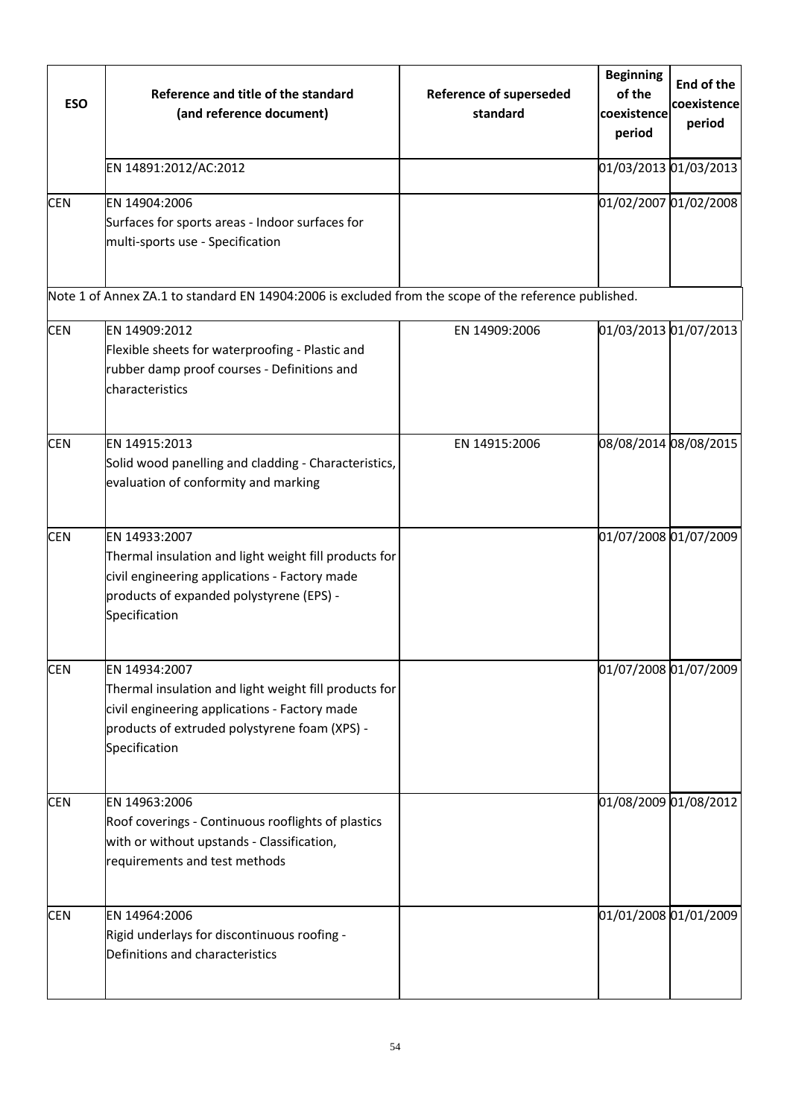| <b>ESO</b> | Reference and title of the standard<br>(and reference document)                                                                                                                           | <b>Reference of superseded</b><br>standard | <b>Beginning</b><br>of the<br>coexistence<br>period | End of the<br>coexistence<br>period |
|------------|-------------------------------------------------------------------------------------------------------------------------------------------------------------------------------------------|--------------------------------------------|-----------------------------------------------------|-------------------------------------|
|            | EN 14891:2012/AC:2012                                                                                                                                                                     |                                            | 01/03/2013 01/03/2013                               |                                     |
| <b>CEN</b> | EN 14904:2006<br>Surfaces for sports areas - Indoor surfaces for<br>multi-sports use - Specification                                                                                      |                                            | 01/02/2007 01/02/2008                               |                                     |
|            | Note 1 of Annex ZA.1 to standard EN 14904:2006 is excluded from the scope of the reference published.                                                                                     |                                            |                                                     |                                     |
| <b>CEN</b> | EN 14909:2012<br>Flexible sheets for waterproofing - Plastic and<br>rubber damp proof courses - Definitions and<br>characteristics                                                        | EN 14909:2006                              | 01/03/2013 01/07/2013                               |                                     |
| <b>CEN</b> | EN 14915:2013<br>Solid wood panelling and cladding - Characteristics,<br>evaluation of conformity and marking                                                                             | EN 14915:2006                              | 08/08/2014 08/08/2015                               |                                     |
| <b>CEN</b> | EN 14933:2007<br>Thermal insulation and light weight fill products for<br>civil engineering applications - Factory made<br>products of expanded polystyrene (EPS) -<br>Specification      |                                            | 01/07/2008 01/07/2009                               |                                     |
| <b>CEN</b> | EN 14934:2007<br>Thermal insulation and light weight fill products for<br>civil engineering applications - Factory made<br>products of extruded polystyrene foam (XPS) -<br>Specification |                                            | 01/07/2008 01/07/2009                               |                                     |
| <b>CEN</b> | EN 14963:2006<br>Roof coverings - Continuous rooflights of plastics<br>with or without upstands - Classification,<br>requirements and test methods                                        |                                            | 01/08/2009 01/08/2012                               |                                     |
| <b>CEN</b> | EN 14964:2006<br>Rigid underlays for discontinuous roofing -<br>Definitions and characteristics                                                                                           |                                            | 01/01/2008 01/01/2009                               |                                     |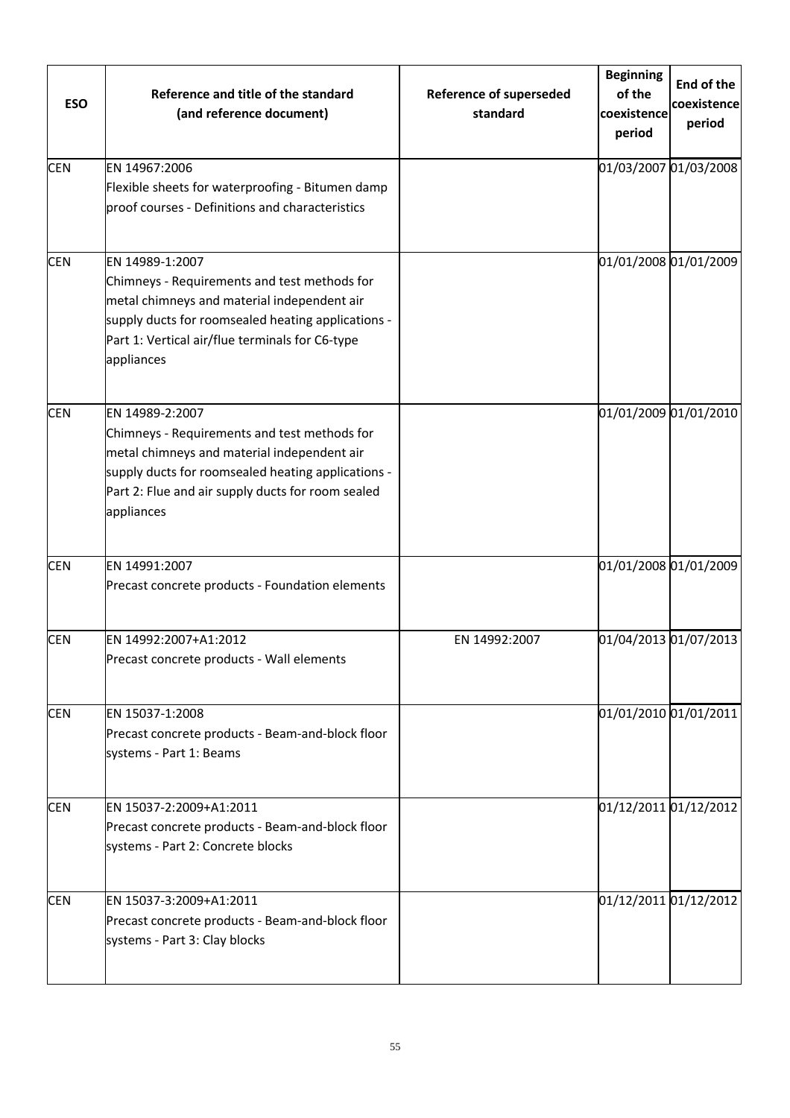| <b>ESO</b><br><b>CEN</b> | Reference and title of the standard<br>(and reference document)<br>EN 14967:2006<br>Flexible sheets for waterproofing - Bitumen damp<br>proof courses - Definitions and characteristics                                                 | <b>Reference of superseded</b><br>standard | <b>Beginning</b><br>of the<br>coexistence<br>period | End of the<br>coexistence<br>period<br>01/03/2007 01/03/2008 |
|--------------------------|-----------------------------------------------------------------------------------------------------------------------------------------------------------------------------------------------------------------------------------------|--------------------------------------------|-----------------------------------------------------|--------------------------------------------------------------|
| <b>CEN</b>               | EN 14989-1:2007<br>Chimneys - Requirements and test methods for<br>metal chimneys and material independent air<br>supply ducts for roomsealed heating applications -<br>Part 1: Vertical air/flue terminals for C6-type<br>appliances   |                                            |                                                     | 01/01/2008 01/01/2009                                        |
| <b>CEN</b>               | EN 14989-2:2007<br>Chimneys - Requirements and test methods for<br>metal chimneys and material independent air<br>supply ducts for roomsealed heating applications -<br>Part 2: Flue and air supply ducts for room sealed<br>appliances |                                            |                                                     | 01/01/2009 01/01/2010                                        |
| <b>CEN</b>               | EN 14991:2007<br>Precast concrete products - Foundation elements                                                                                                                                                                        |                                            |                                                     | 01/01/2008 01/01/2009                                        |
| <b>CEN</b>               | EN 14992:2007+A1:2012<br>Precast concrete products - Wall elements                                                                                                                                                                      | EN 14992:2007                              |                                                     | 01/04/2013 01/07/2013                                        |
| <b>CEN</b>               | EN 15037-1:2008<br>Precast concrete products - Beam-and-block floor<br>systems - Part 1: Beams                                                                                                                                          |                                            |                                                     | 01/01/2010 01/01/2011                                        |
| <b>CEN</b>               | EN 15037-2:2009+A1:2011<br>Precast concrete products - Beam-and-block floor<br>systems - Part 2: Concrete blocks                                                                                                                        |                                            | 01/12/2011 01/12/2012                               |                                                              |
| <b>CEN</b>               | EN 15037-3:2009+A1:2011<br>Precast concrete products - Beam-and-block floor<br>systems - Part 3: Clay blocks                                                                                                                            |                                            |                                                     | 01/12/2011 01/12/2012                                        |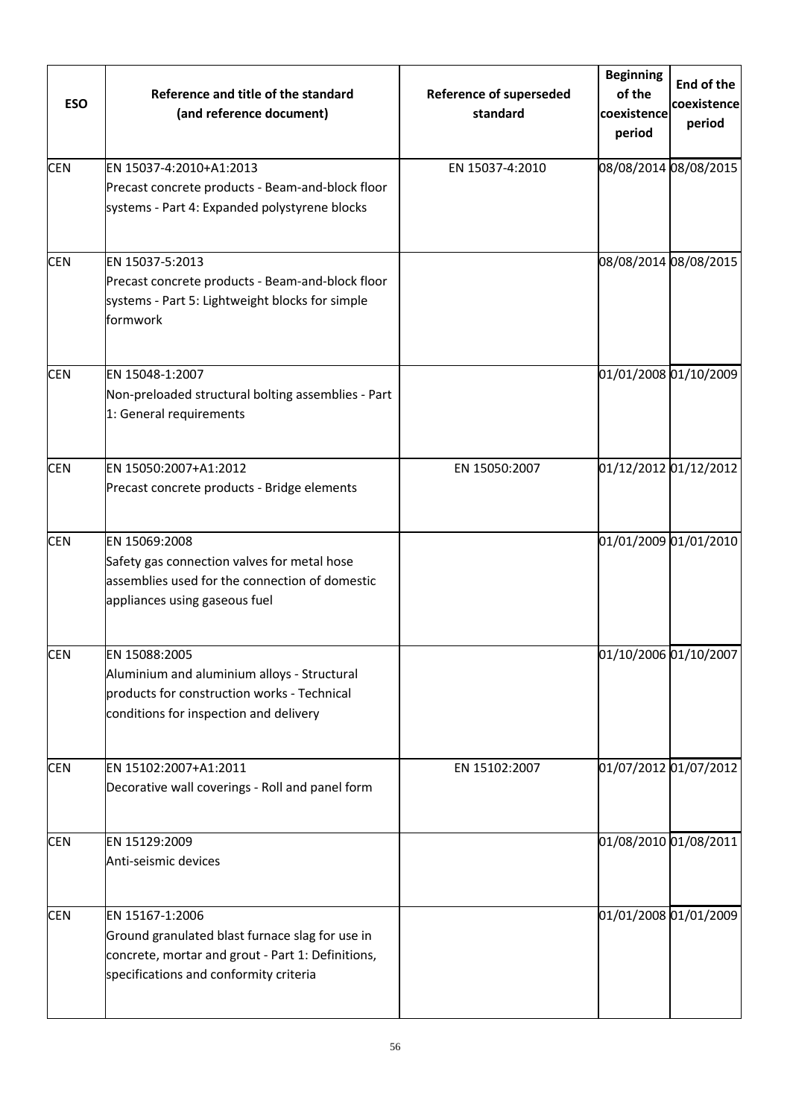| <b>ESO</b> | Reference and title of the standard<br>(and reference document)                                                                                                   | <b>Reference of superseded</b><br>standard | <b>Beginning</b><br>of the<br>coexistence<br>period | End of the<br>coexistence<br>period |
|------------|-------------------------------------------------------------------------------------------------------------------------------------------------------------------|--------------------------------------------|-----------------------------------------------------|-------------------------------------|
| <b>CEN</b> | EN 15037-4:2010+A1:2013<br>Precast concrete products - Beam-and-block floor<br>systems - Part 4: Expanded polystyrene blocks                                      | EN 15037-4:2010                            |                                                     | 08/08/2014 08/08/2015               |
| <b>CEN</b> | EN 15037-5:2013<br>Precast concrete products - Beam-and-block floor<br>systems - Part 5: Lightweight blocks for simple<br>formwork                                |                                            |                                                     | 08/08/2014 08/08/2015               |
| <b>CEN</b> | EN 15048-1:2007<br>Non-preloaded structural bolting assemblies - Part<br>1: General requirements                                                                  |                                            |                                                     | 01/01/2008 01/10/2009               |
| <b>CEN</b> | EN 15050:2007+A1:2012<br>Precast concrete products - Bridge elements                                                                                              | EN 15050:2007                              |                                                     | 01/12/2012 01/12/2012               |
| <b>CEN</b> | EN 15069:2008<br>Safety gas connection valves for metal hose<br>assemblies used for the connection of domestic<br>appliances using gaseous fuel                   |                                            |                                                     | 01/01/2009 01/01/2010               |
| <b>CEN</b> | EN 15088:2005<br>Aluminium and aluminium alloys - Structural<br>products for construction works - Technical<br>conditions for inspection and delivery             |                                            |                                                     | 01/10/2006 01/10/2007               |
| <b>CEN</b> | EN 15102:2007+A1:2011<br>Decorative wall coverings - Roll and panel form                                                                                          | EN 15102:2007                              | 01/07/2012 01/07/2012                               |                                     |
| <b>CEN</b> | EN 15129:2009<br>Anti-seismic devices                                                                                                                             |                                            |                                                     | 01/08/2010 01/08/2011               |
| <b>CEN</b> | EN 15167-1:2006<br>Ground granulated blast furnace slag for use in<br>concrete, mortar and grout - Part 1: Definitions,<br>specifications and conformity criteria |                                            | 01/01/2008 01/01/2009                               |                                     |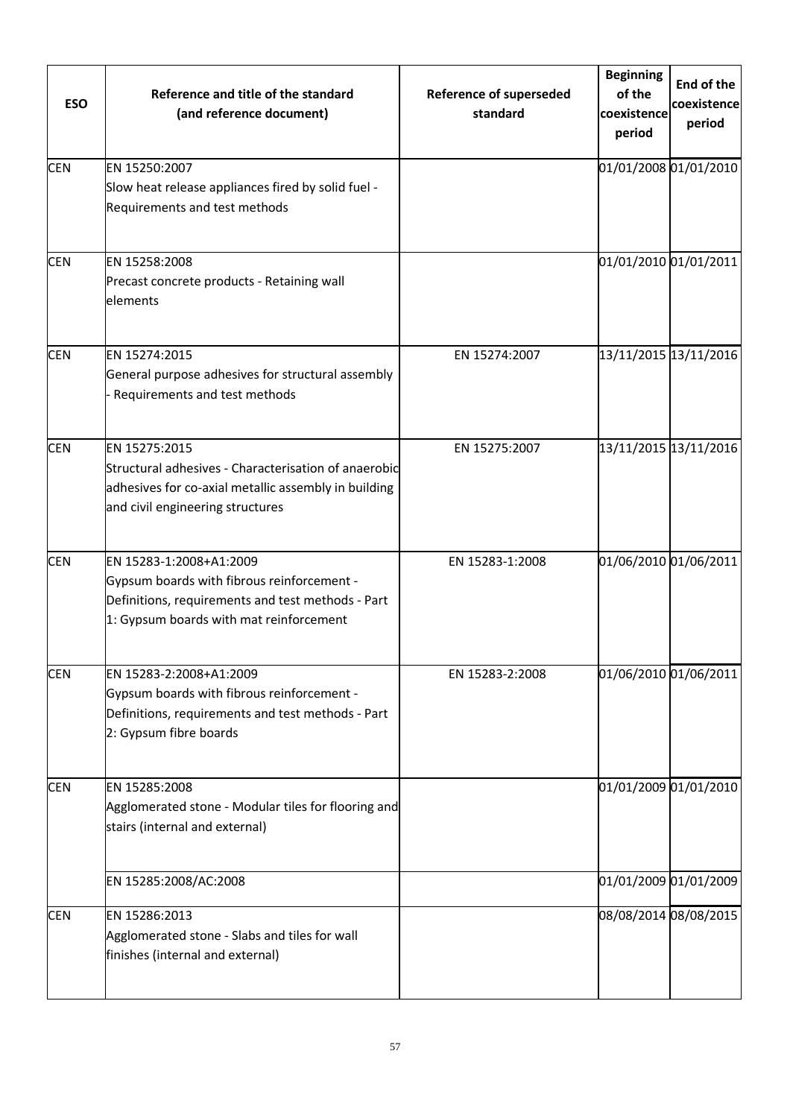| <b>ESO</b> | Reference and title of the standard<br>(and reference document)                                                                                                       | <b>Reference of superseded</b><br>standard | <b>Beginning</b><br>of the<br>coexistence<br>period | End of the<br>coexistence<br>period |
|------------|-----------------------------------------------------------------------------------------------------------------------------------------------------------------------|--------------------------------------------|-----------------------------------------------------|-------------------------------------|
| <b>CEN</b> | EN 15250:2007<br>Slow heat release appliances fired by solid fuel -<br>Requirements and test methods                                                                  |                                            |                                                     | 01/01/2008 01/01/2010               |
| <b>CEN</b> | EN 15258:2008<br>Precast concrete products - Retaining wall<br>lelements                                                                                              |                                            |                                                     | 01/01/2010 01/01/2011               |
| <b>CEN</b> | EN 15274:2015<br>General purpose adhesives for structural assembly<br>Requirements and test methods                                                                   | EN 15274:2007                              |                                                     | 13/11/2015 13/11/2016               |
| <b>CEN</b> | EN 15275:2015<br>Structural adhesives - Characterisation of anaerobic<br>adhesives for co-axial metallic assembly in building<br>and civil engineering structures     | EN 15275:2007                              |                                                     | 13/11/2015 13/11/2016               |
| <b>CEN</b> | EN 15283-1:2008+A1:2009<br>Gypsum boards with fibrous reinforcement -<br>Definitions, requirements and test methods - Part<br>1: Gypsum boards with mat reinforcement | EN 15283-1:2008                            | 01/06/2010 01/06/2011                               |                                     |
| <b>CEN</b> | EN 15283-2:2008+A1:2009<br>Gypsum boards with fibrous reinforcement -<br>Definitions, requirements and test methods - Part<br>2: Gypsum fibre boards                  | EN 15283-2:2008                            |                                                     | 01/06/2010 01/06/2011               |
| <b>CEN</b> | EN 15285:2008<br>Agglomerated stone - Modular tiles for flooring and<br>stairs (internal and external)                                                                |                                            |                                                     | 01/01/2009 01/01/2010               |
|            | EN 15285:2008/AC:2008                                                                                                                                                 |                                            |                                                     | 01/01/2009 01/01/2009               |
| <b>CEN</b> | EN 15286:2013<br>Agglomerated stone - Slabs and tiles for wall<br>finishes (internal and external)                                                                    |                                            |                                                     | 08/08/2014 08/08/2015               |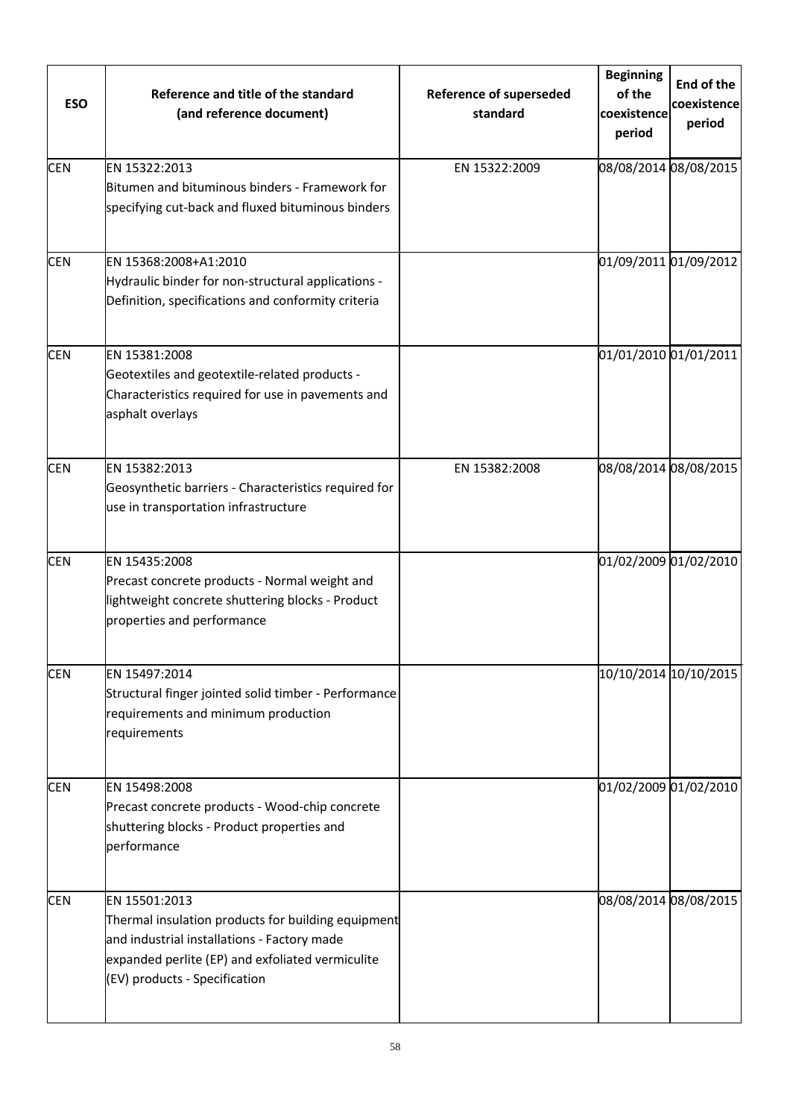| <b>ESO</b> | Reference and title of the standard<br>(and reference document)                                                                                                                                         | <b>Reference of superseded</b><br>standard | <b>Beginning</b><br>of the<br>coexistence<br>period | End of the<br>coexistence<br>period |
|------------|---------------------------------------------------------------------------------------------------------------------------------------------------------------------------------------------------------|--------------------------------------------|-----------------------------------------------------|-------------------------------------|
| <b>CEN</b> | EN 15322:2013<br>Bitumen and bituminous binders - Framework for<br>specifying cut-back and fluxed bituminous binders                                                                                    | EN 15322:2009                              |                                                     | 08/08/2014 08/08/2015               |
| <b>CEN</b> | EN 15368:2008+A1:2010<br>Hydraulic binder for non-structural applications -<br>Definition, specifications and conformity criteria                                                                       |                                            |                                                     | 01/09/2011 01/09/2012               |
| <b>CEN</b> | EN 15381:2008<br>Geotextiles and geotextile-related products -<br>Characteristics required for use in pavements and<br>asphalt overlays                                                                 |                                            |                                                     | 01/01/2010 01/01/2011               |
| <b>CEN</b> | EN 15382:2013<br>Geosynthetic barriers - Characteristics required for<br>use in transportation infrastructure                                                                                           | EN 15382:2008                              | 08/08/2014 08/08/2015                               |                                     |
| <b>CEN</b> | EN 15435:2008<br>Precast concrete products - Normal weight and<br>lightweight concrete shuttering blocks - Product<br>properties and performance                                                        |                                            |                                                     | 01/02/2009 01/02/2010               |
| <b>CEN</b> | EN 15497:2014<br>Structural finger jointed solid timber - Performance<br>requirements and minimum production<br>requirements                                                                            |                                            |                                                     | 10/10/2014 10/10/2015               |
| <b>CEN</b> | EN 15498:2008<br>Precast concrete products - Wood-chip concrete<br>shuttering blocks - Product properties and<br>performance                                                                            |                                            |                                                     | 01/02/2009 01/02/2010               |
| <b>CEN</b> | EN 15501:2013<br>Thermal insulation products for building equipment<br>and industrial installations - Factory made<br>expanded perlite (EP) and exfoliated vermiculite<br>(EV) products - Specification |                                            |                                                     | 08/08/2014 08/08/2015               |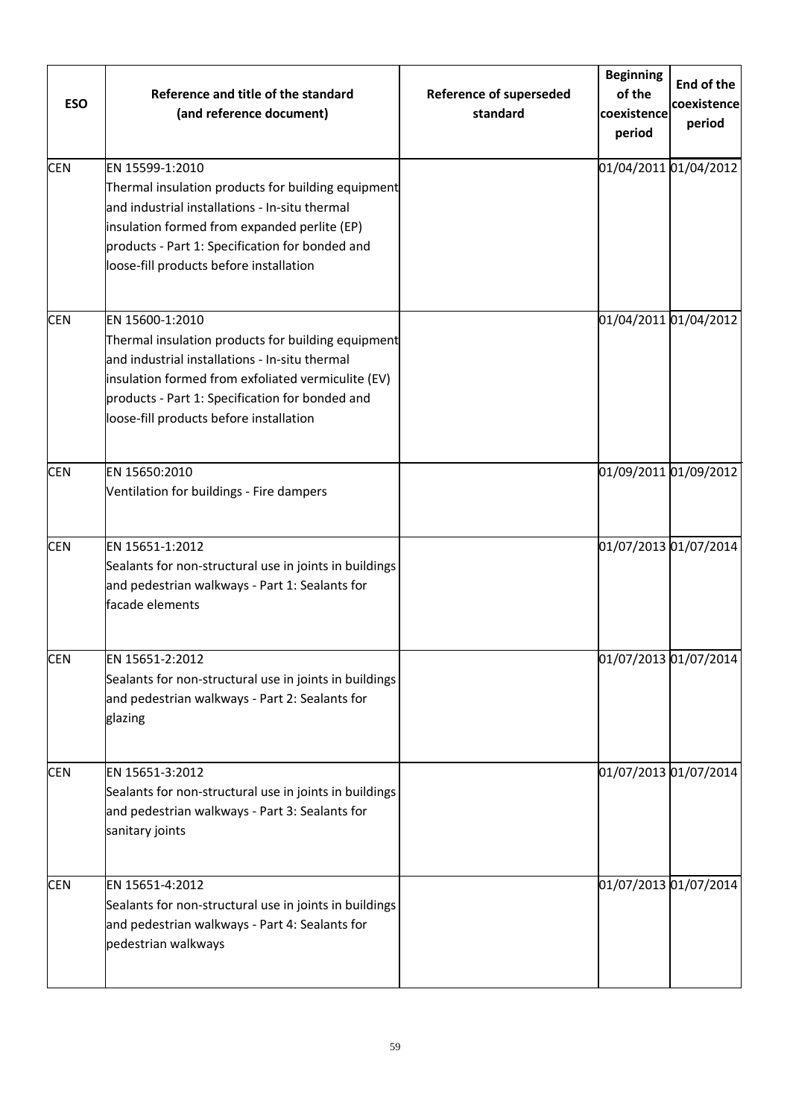| <b>ESO</b> | Reference and title of the standard<br>(and reference document)                                                                                                                                                                                                             | <b>Reference of superseded</b><br>standard | <b>Beginning</b><br>of the<br>coexistence<br>period | End of the<br>coexistence<br>period |
|------------|-----------------------------------------------------------------------------------------------------------------------------------------------------------------------------------------------------------------------------------------------------------------------------|--------------------------------------------|-----------------------------------------------------|-------------------------------------|
| <b>CEN</b> | EN 15599-1:2010<br>Thermal insulation products for building equipment<br>land industrial installations - In-situ thermal<br>insulation formed from expanded perlite (EP)<br>products - Part 1: Specification for bonded and<br>loose-fill products before installation      |                                            |                                                     | 01/04/2011 01/04/2012               |
| <b>CEN</b> | EN 15600-1:2010<br>Thermal insulation products for building equipment<br>and industrial installations - In-situ thermal<br>insulation formed from exfoliated vermiculite (EV)<br>products - Part 1: Specification for bonded and<br>loose-fill products before installation |                                            | 01/04/2011 01/04/2012                               |                                     |
| <b>CEN</b> | EN 15650:2010<br>Ventilation for buildings - Fire dampers                                                                                                                                                                                                                   |                                            | 01/09/2011 01/09/2012                               |                                     |
| <b>CEN</b> | EN 15651-1:2012<br>Sealants for non-structural use in joints in buildings<br>and pedestrian walkways - Part 1: Sealants for<br>facade elements                                                                                                                              |                                            | 01/07/2013 01/07/2014                               |                                     |
| <b>CEN</b> | EN 15651-2:2012<br>Sealants for non-structural use in joints in buildings<br>and pedestrian walkways - Part 2: Sealants for<br>glazing                                                                                                                                      |                                            |                                                     | 01/07/2013 01/07/2014               |
| <b>CEN</b> | EN 15651-3:2012<br>Sealants for non-structural use in joints in buildings<br>and pedestrian walkways - Part 3: Sealants for<br>sanitary joints                                                                                                                              |                                            |                                                     | 01/07/2013 01/07/2014               |
| <b>CEN</b> | EN 15651-4:2012<br>Sealants for non-structural use in joints in buildings<br>and pedestrian walkways - Part 4: Sealants for<br>pedestrian walkways                                                                                                                          |                                            |                                                     | 01/07/2013 01/07/2014               |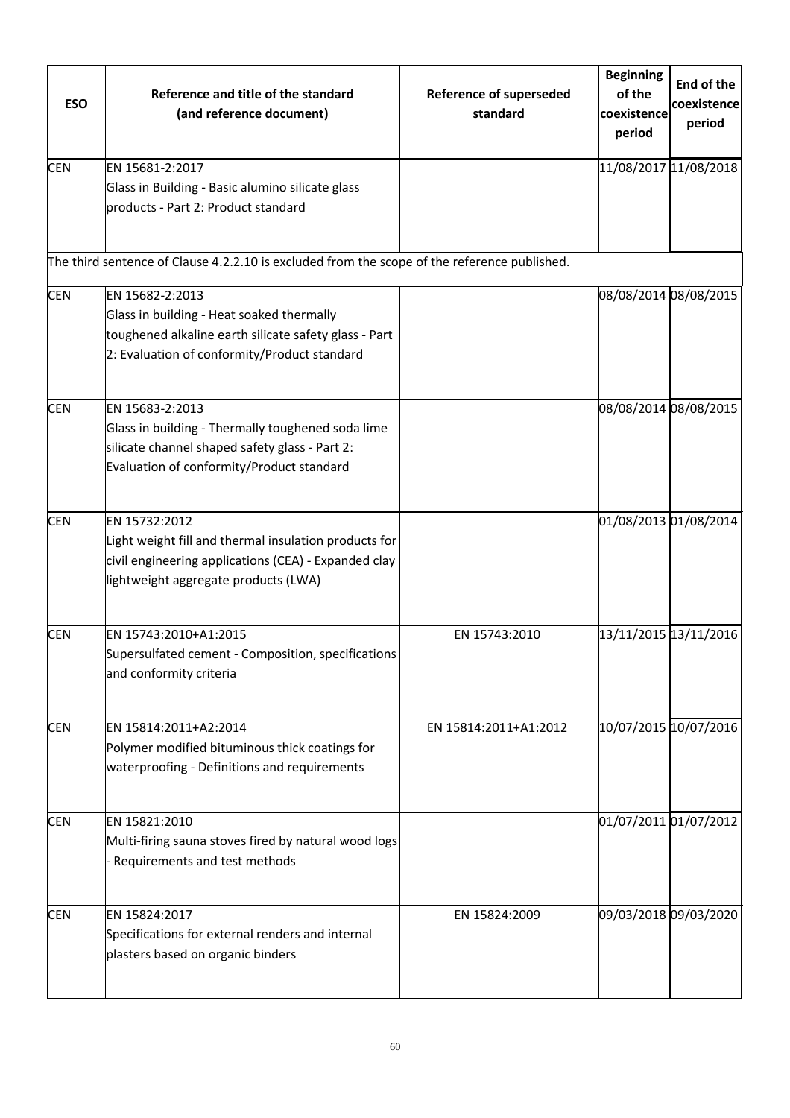| <b>ESO</b> | Reference and title of the standard<br>(and reference document)                                                                                                        | <b>Reference of superseded</b><br>standard | <b>Beginning</b><br>of the<br>coexistence<br>period | End of the<br>coexistence<br>period |
|------------|------------------------------------------------------------------------------------------------------------------------------------------------------------------------|--------------------------------------------|-----------------------------------------------------|-------------------------------------|
| <b>CEN</b> | EN 15681-2:2017<br>Glass in Building - Basic alumino silicate glass<br>products - Part 2: Product standard                                                             |                                            | 11/08/2017 11/08/2018                               |                                     |
|            | The third sentence of Clause 4.2.2.10 is excluded from the scope of the reference published.                                                                           |                                            |                                                     |                                     |
| <b>CEN</b> | EN 15682-2:2013<br>Glass in building - Heat soaked thermally<br>toughened alkaline earth silicate safety glass - Part<br>2: Evaluation of conformity/Product standard  |                                            | 08/08/2014 08/08/2015                               |                                     |
| <b>CEN</b> | EN 15683-2:2013<br>Glass in building - Thermally toughened soda lime<br>silicate channel shaped safety glass - Part 2:<br>Evaluation of conformity/Product standard    |                                            | 08/08/2014 08/08/2015                               |                                     |
| <b>CEN</b> | EN 15732:2012<br>Light weight fill and thermal insulation products for<br>civil engineering applications (CEA) - Expanded clay<br>lightweight aggregate products (LWA) |                                            | 01/08/2013 01/08/2014                               |                                     |
| <b>CEN</b> | EN 15743:2010+A1:2015<br>Supersulfated cement - Composition, specifications<br>and conformity criteria                                                                 | EN 15743:2010                              | 13/11/2015 13/11/2016                               |                                     |
| <b>CEN</b> | EN 15814:2011+A2:2014<br>Polymer modified bituminous thick coatings for<br>waterproofing - Definitions and requirements                                                | EN 15814:2011+A1:2012                      | 10/07/2015 10/07/2016                               |                                     |
| <b>CEN</b> | EN 15821:2010<br>Multi-firing sauna stoves fired by natural wood logs<br>Requirements and test methods                                                                 |                                            | 01/07/2011 01/07/2012                               |                                     |
| <b>CEN</b> | EN 15824:2017<br>Specifications for external renders and internal<br>plasters based on organic binders                                                                 | EN 15824:2009                              | 09/03/2018 09/03/2020                               |                                     |